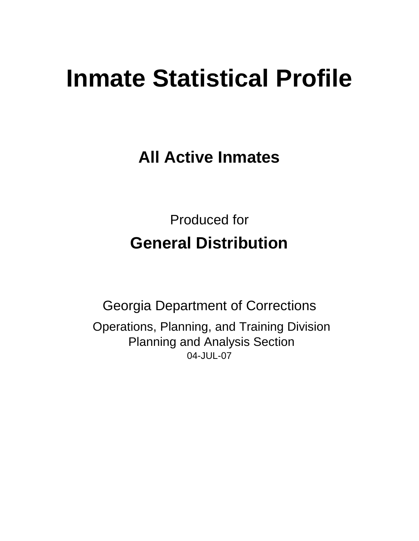# **Inmate Statistical Profile**

**All Active Inmates**

Produced for **General Distribution**

04-JUL-07 Georgia Department of Corrections Operations, Planning, and Training Division Planning and Analysis Section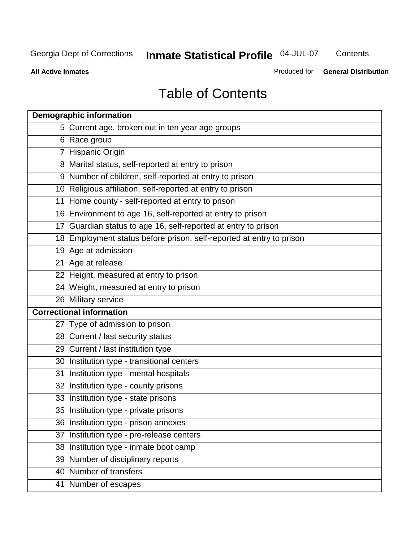**Contents** 

**All Active Inmates**

Produced for **General Distribution**

# Table of Contents

| <b>Demographic information</b>                                       |  |
|----------------------------------------------------------------------|--|
| 5 Current age, broken out in ten year age groups                     |  |
| 6 Race group                                                         |  |
| 7 Hispanic Origin                                                    |  |
| 8 Marital status, self-reported at entry to prison                   |  |
| 9 Number of children, self-reported at entry to prison               |  |
| 10 Religious affiliation, self-reported at entry to prison           |  |
| 11 Home county - self-reported at entry to prison                    |  |
| 16 Environment to age 16, self-reported at entry to prison           |  |
| 17 Guardian status to age 16, self-reported at entry to prison       |  |
| 18 Employment status before prison, self-reported at entry to prison |  |
| 19 Age at admission                                                  |  |
| 21 Age at release                                                    |  |
| 22 Height, measured at entry to prison                               |  |
| 24 Weight, measured at entry to prison                               |  |
| 26 Military service                                                  |  |
| <b>Correctional information</b>                                      |  |
| 27 Type of admission to prison                                       |  |
| 28 Current / last security status                                    |  |
| 29 Current / last institution type                                   |  |
| 30 Institution type - transitional centers                           |  |
| 31 Institution type - mental hospitals                               |  |
| 32 Institution type - county prisons                                 |  |
| 33 Institution type - state prisons                                  |  |
| 35 Institution type - private prisons                                |  |
| 36 Institution type - prison annexes                                 |  |
| 37 Institution type - pre-release centers                            |  |
| 38 Institution type - inmate boot camp                               |  |
| 39 Number of disciplinary reports                                    |  |
| 40 Number of transfers                                               |  |
| 41 Number of escapes                                                 |  |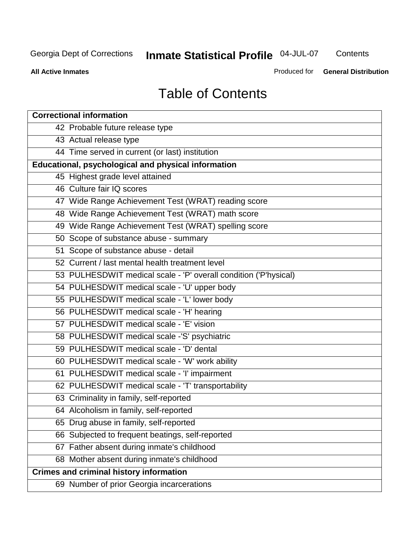**Contents** 

**All Active Inmates**

Produced for **General Distribution**

# Table of Contents

| <b>Correctional information</b>                                  |
|------------------------------------------------------------------|
| 42 Probable future release type                                  |
| 43 Actual release type                                           |
| 44 Time served in current (or last) institution                  |
| Educational, psychological and physical information              |
| 45 Highest grade level attained                                  |
| 46 Culture fair IQ scores                                        |
| 47 Wide Range Achievement Test (WRAT) reading score              |
| 48 Wide Range Achievement Test (WRAT) math score                 |
| 49 Wide Range Achievement Test (WRAT) spelling score             |
| 50 Scope of substance abuse - summary                            |
| 51 Scope of substance abuse - detail                             |
| 52 Current / last mental health treatment level                  |
| 53 PULHESDWIT medical scale - 'P' overall condition ('P'hysical) |
| 54 PULHESDWIT medical scale - 'U' upper body                     |
| 55 PULHESDWIT medical scale - 'L' lower body                     |
| 56 PULHESDWIT medical scale - 'H' hearing                        |
| 57 PULHESDWIT medical scale - 'E' vision                         |
| 58 PULHESDWIT medical scale -'S' psychiatric                     |
| 59 PULHESDWIT medical scale - 'D' dental                         |
| 60 PULHESDWIT medical scale - 'W' work ability                   |
| 61 PULHESDWIT medical scale - 'I' impairment                     |
| 62 PULHESDWIT medical scale - 'T' transportability               |
| 63 Criminality in family, self-reported                          |
| 64 Alcoholism in family, self-reported                           |
| 65 Drug abuse in family, self-reported                           |
| 66 Subjected to frequent beatings, self-reported                 |
| 67 Father absent during inmate's childhood                       |
| 68 Mother absent during inmate's childhood                       |
| <b>Crimes and criminal history information</b>                   |
| 69 Number of prior Georgia incarcerations                        |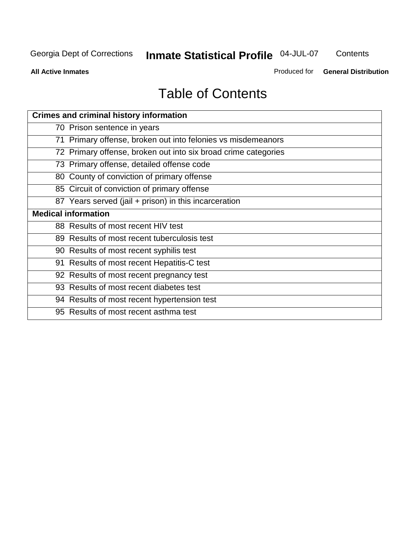**Contents** 

**All Active Inmates**

Produced for **General Distribution**

# Table of Contents

| <b>Crimes and criminal history information</b>                 |
|----------------------------------------------------------------|
| 70 Prison sentence in years                                    |
| 71 Primary offense, broken out into felonies vs misdemeanors   |
| 72 Primary offense, broken out into six broad crime categories |
| 73 Primary offense, detailed offense code                      |
| 80 County of conviction of primary offense                     |
| 85 Circuit of conviction of primary offense                    |
| 87 Years served (jail + prison) in this incarceration          |
| <b>Medical information</b>                                     |
| 88 Results of most recent HIV test                             |
| 89 Results of most recent tuberculosis test                    |
| 90 Results of most recent syphilis test                        |
| 91 Results of most recent Hepatitis-C test                     |
| 92 Results of most recent pregnancy test                       |
| 93 Results of most recent diabetes test                        |
| 94 Results of most recent hypertension test                    |
| 95 Results of most recent asthma test                          |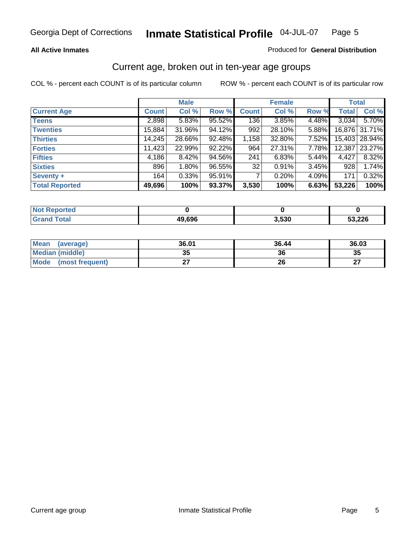#### **All Active Inmates**

#### Produced for **General Distribution**

#### Current age, broken out in ten-year age groups

|                       |              | <b>Male</b> |        |              | <b>Female</b> |       | <b>Total</b> |               |
|-----------------------|--------------|-------------|--------|--------------|---------------|-------|--------------|---------------|
| <b>Current Age</b>    | <b>Count</b> | Col %       | Row %  | <b>Count</b> | Col %         | Row % | <b>Total</b> | Col %         |
| <b>Teens</b>          | 2,898        | 5.83%       | 95.52% | 136          | 3.85%         | 4.48% | 3,034        | 5.70%         |
| <b>Twenties</b>       | 15,884       | 31.96%      | 94.12% | 992          | 28.10%        | 5.88% |              | 16,876 31.71% |
| <b>Thirties</b>       | 14,245       | 28.66%      | 92.48% | 1,158        | 32.80%        | 7.52% |              | 15,403 28.94% |
| <b>Forties</b>        | 11,423       | 22.99%      | 92.22% | 964          | 27.31%        | 7.78% | 12,387       | 23.27%        |
| <b>Fifties</b>        | 4,186        | 8.42%       | 94.56% | 241          | 6.83%         | 5.44% | 4,427        | 8.32%         |
| <b>Sixties</b>        | 896          | $1.80\%$    | 96.55% | 32           | 0.91%         | 3.45% | 928          | 1.74%         |
| Seventy +             | 164          | 0.33%       | 95.91% |              | 0.20%         | 4.09% | 171          | 0.32%         |
| <b>Total Reported</b> | 49,696       | 100%        | 93.37% | 3,530        | 100%          | 6.63% | 53,226       | 100%          |

| <b>Not Reported</b> |        |       |       |
|---------------------|--------|-------|-------|
| <b>Total</b>        | 19,696 | 3,530 | 3,226 |

| <b>Mean</b><br>(average) | 36.01     | 36.44 | 36.03     |
|--------------------------|-----------|-------|-----------|
| Median (middle)          | 25<br>JJ. | 36    | 35        |
| Mode<br>(most frequent)  |           | 26    | ^7<br>. . |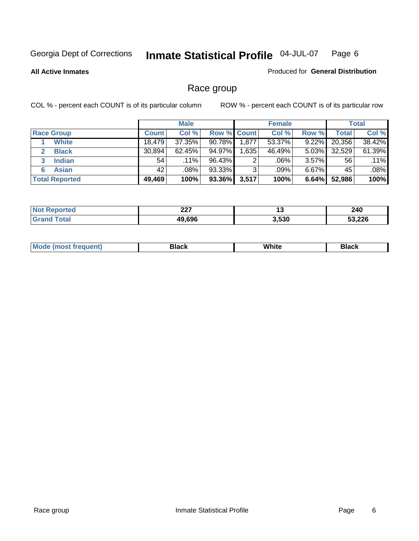**All Active Inmates**

#### Produced for **General Distribution**

### Race group

|                       |              | <b>Male</b> |                    |       | <b>Female</b> |          |        | <b>Total</b> |
|-----------------------|--------------|-------------|--------------------|-------|---------------|----------|--------|--------------|
| <b>Race Group</b>     | <b>Count</b> | Col %       | <b>Row % Count</b> |       | Col %         | Row %    | Total  | Col %        |
| <b>White</b>          | 18,479       | 37.35%      | $90.78\%$          | 1,877 | 53.37%        | 9.22%    | 20,356 | 38.42%       |
| <b>Black</b>          | 30,894       | 62.45%      | 94.97%             | .635  | 46.49%        | $5.03\%$ | 32,529 | 61.39%       |
| <b>Indian</b><br>3    | 54           | $.11\%$     | 96.43%             | ◠     | .06%          | $3.57\%$ | 56     | .11%         |
| <b>Asian</b>          | 42           | $.08\%$     | 93.33%             | ົ     | .09%          | $6.67\%$ | 45     | .08%         |
| <b>Total Reported</b> | 49,469       | 100%        | 93.36%             | 3,517 | 100%          | 6.64%    | 52,986 | 100%         |

| 007<br><i><u>LLI</u></i> | יי    | 240           |
|--------------------------|-------|---------------|
| 10 ROR                   | 3,530 | ED DOC<br>220 |

|  | $Mc$ | Black | White<br>$ -$ | 21904<br>DIACK |
|--|------|-------|---------------|----------------|
|--|------|-------|---------------|----------------|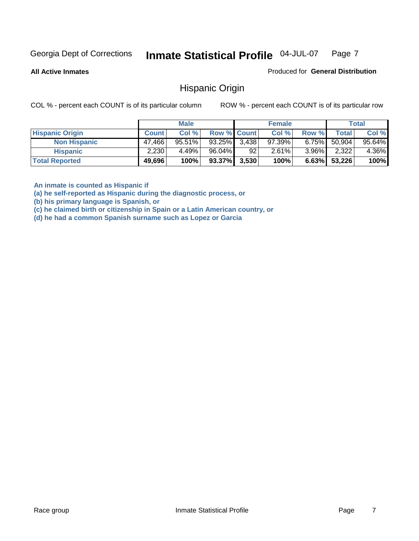**All Active Inmates**

Produced for **General Distribution**

Hispanic Origin

COL % - percent each COUNT is of its particular column ROW % - percent each COUNT is of its particular row

|                        |              | <b>Male</b> |                    |    | <b>Female</b> |          |        | <b>Total</b> |
|------------------------|--------------|-------------|--------------------|----|---------------|----------|--------|--------------|
| <b>Hispanic Origin</b> | <b>Count</b> | Col %       | <b>Row % Count</b> |    | Col %         | Row %    | Total  | Col %        |
| <b>Non Hispanic</b>    | 47,466       | 95.51%      | $93.25\%$ 3,438    |    | $97.39\%$     | $6.75\%$ | 50.904 | $95.64\%$    |
| <b>Hispanic</b>        | 2,230        | 4.49%       | 96.04%             | 92 | 2.61%         | $3.96\%$ | 2,322  | 4.36%        |
| <b>Total Reported</b>  | 49,696       | 100%        | $93.37\%$ 3,530    |    | 100%          | 6.63%    | 53,226 | 100%         |

**An inmate is counted as Hispanic if** 

**(a) he self-reported as Hispanic during the diagnostic process, or** 

**(b) his primary language is Spanish, or** 

**(c) he claimed birth or citizenship in Spain or a Latin American country, or** 

**(d) he had a common Spanish surname such as Lopez or Garcia**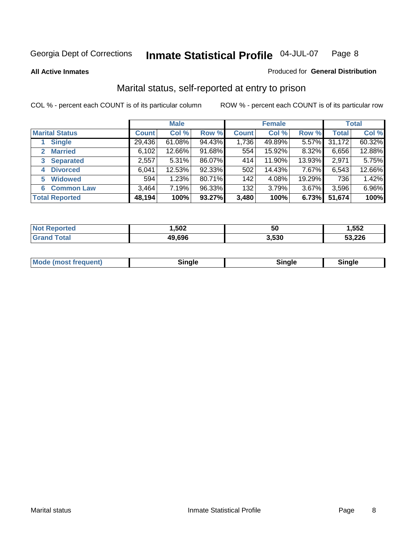**All Active Inmates**

#### Produced for **General Distribution**

### Marital status, self-reported at entry to prison

|                                  | <b>Male</b>  |           |        | <b>Female</b> |        |          | <b>Total</b> |        |
|----------------------------------|--------------|-----------|--------|---------------|--------|----------|--------------|--------|
| <b>Marital Status</b>            | <b>Count</b> | Col %     | Row %  | <b>Count</b>  | Col %  | Row %    | <b>Total</b> | Col %  |
| <b>Single</b>                    | 29,436       | $61.08\%$ | 94.43% | 1,736         | 49.89% | $5.57\%$ | 31,172       | 60.32% |
| <b>Married</b><br>$\overline{2}$ | 6,102        | 12.66%    | 91.68% | 554           | 15.92% | 8.32%    | 6,656        | 12.88% |
| <b>Separated</b><br>3            | 2,557        | $5.31\%$  | 86.07% | 414           | 11.90% | 13.93%   | 2,971        | 5.75%  |
| <b>Divorced</b><br>4             | 6,041        | 12.53%    | 92.33% | 502           | 14.43% | 7.67%    | 6,543        | 12.66% |
| <b>Widowed</b><br>5              | 594          | 1.23%     | 80.71% | 142           | 4.08%  | 19.29%   | 736          | 1.42%  |
| <b>Common Law</b><br>6           | 3,464        | 7.19%     | 96.33% | 132           | 3.79%  | 3.67%    | 3,596        | 6.96%  |
| <b>Total Reported</b>            | 48,194       | 100%      | 93.27% | 3,480         | 100%   | 6.73%    | 51,674       | 100%   |

| ,502          | 50    | ,552   |
|---------------|-------|--------|
| 9.696<br>71 U | 3.530 | 53,226 |

|  | Mode (most f<br>freauent) | `ınale |  | `inale |
|--|---------------------------|--------|--|--------|
|--|---------------------------|--------|--|--------|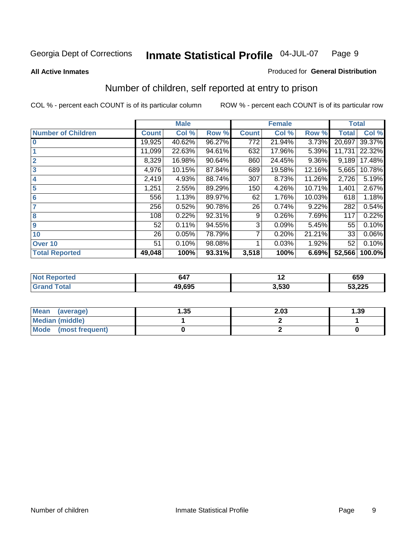#### **All Active Inmates**

#### Produced for **General Distribution**

### Number of children, self reported at entry to prison

|                           | <b>Male</b>  |        |        |              | <b>Female</b> |          | <b>Total</b> |        |
|---------------------------|--------------|--------|--------|--------------|---------------|----------|--------------|--------|
| <b>Number of Children</b> | <b>Count</b> | Col %  | Row %  | <b>Count</b> | Col %         | Row %    | <b>Total</b> | Col %  |
| $\bf{0}$                  | 19,925       | 40.62% | 96.27% | 772          | 21.94%        | 3.73%    | 20,697       | 39.37% |
|                           | 11,099       | 22.63% | 94.61% | 632          | 17.96%        | 5.39%    | 11,731       | 22.32% |
| $\overline{2}$            | 8,329        | 16.98% | 90.64% | 860          | 24.45%        | $9.36\%$ | 9,189        | 17.48% |
| 3                         | 4,976        | 10.15% | 87.84% | 689          | 19.58%        | 12.16%   | 5,665        | 10.78% |
| 4                         | 2,419        | 4.93%  | 88.74% | 307          | 8.73%         | 11.26%   | 2,726        | 5.19%  |
| 5                         | 1,251        | 2.55%  | 89.29% | 150          | 4.26%         | 10.71%   | 1,401        | 2.67%  |
| $6\phantom{a}$            | 556          | 1.13%  | 89.97% | 62           | 1.76%         | 10.03%   | 618          | 1.18%  |
| 7                         | 256          | 0.52%  | 90.78% | 26           | 0.74%         | 9.22%    | 282          | 0.54%  |
| 8                         | 108          | 0.22%  | 92.31% | 9            | 0.26%         | 7.69%    | 117          | 0.22%  |
| 9                         | 52           | 0.11%  | 94.55% | 3            | 0.09%         | 5.45%    | 55           | 0.10%  |
| 10                        | 26           | 0.05%  | 78.79% | 7            | 0.20%         | 21.21%   | 33           | 0.06%  |
| Over 10                   | 51           | 0.10%  | 98.08% |              | 0.03%         | 1.92%    | 52           | 0.10%  |
| <b>Total Reported</b>     | 49,048       | 100%   | 93.31% | 3,518        | 100%          | 6.69%    | 52,566       | 100.0% |

| TAC. | 647               | . .   | 659    |
|------|-------------------|-------|--------|
|      | $A \cap C \cap F$ | 3.530 | 53,225 |

| <b>Mean</b><br>(average) | .35 | 2.03 | .39 |
|--------------------------|-----|------|-----|
| <b>Median (middle)</b>   |     |      |     |
| Mode<br>(most frequent)  |     |      |     |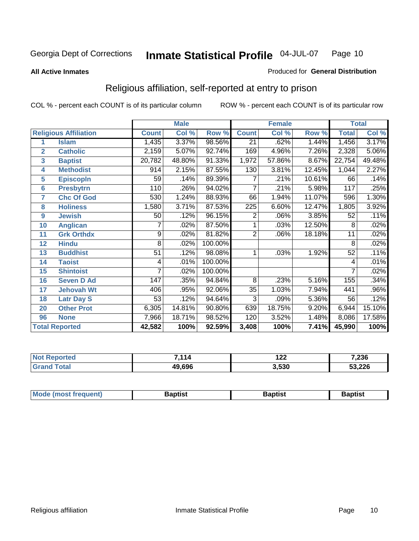**All Active Inmates**

#### Produced for **General Distribution**

### Religious affiliation, self-reported at entry to prison

|                  |                              |                 | <b>Male</b> |         | <b>Female</b>   |        |        | <b>Total</b> |        |
|------------------|------------------------------|-----------------|-------------|---------|-----------------|--------|--------|--------------|--------|
|                  | <b>Religious Affiliation</b> | <b>Count</b>    | Col %       | Row %   | <b>Count</b>    | Col %  | Row %  | <b>Total</b> | Col %  |
| 1                | <b>Islam</b>                 | 1,435           | 3.37%       | 98.56%  | $\overline{21}$ | .62%   | 1.44%  | 1,456        | 3.17%  |
| $\overline{2}$   | <b>Catholic</b>              | 2,159           | 5.07%       | 92.74%  | 169             | 4.96%  | 7.26%  | 2,328        | 5.06%  |
| 3                | <b>Baptist</b>               | 20,782          | 48.80%      | 91.33%  | 1,972           | 57.86% | 8.67%  | 22,754       | 49.48% |
| 4                | <b>Methodist</b>             | 914             | 2.15%       | 87.55%  | 130             | 3.81%  | 12.45% | 1,044        | 2.27%  |
| 5                | <b>EpiscopIn</b>             | 59              | .14%        | 89.39%  | 7               | .21%   | 10.61% | 66           | .14%   |
| 6                | <b>Presbytrn</b>             | 110             | .26%        | 94.02%  | 7               | .21%   | 5.98%  | 117          | .25%   |
| 7                | <b>Chc Of God</b>            | 530             | 1.24%       | 88.93%  | 66              | 1.94%  | 11.07% | 596          | 1.30%  |
| 8                | <b>Holiness</b>              | 1,580           | 3.71%       | 87.53%  | 225             | 6.60%  | 12.47% | 1,805        | 3.92%  |
| $\boldsymbol{9}$ | <b>Jewish</b>                | 50              | .12%        | 96.15%  | 2               | .06%   | 3.85%  | 52           | .11%   |
| 10               | <b>Anglican</b>              |                 | .02%        | 87.50%  |                 | .03%   | 12.50% | 8            | .02%   |
| 11               | <b>Grk Orthdx</b>            | 9               | .02%        | 81.82%  | $\overline{2}$  | .06%   | 18.18% | 11           | .02%   |
| 12               | <b>Hindu</b>                 | 8               | .02%        | 100.00% |                 |        |        | 8            | .02%   |
| 13               | <b>Buddhist</b>              | $\overline{51}$ | .12%        | 98.08%  | 1               | .03%   | 1.92%  | 52           | .11%   |
| 14               | <b>Taoist</b>                | 4               | .01%        | 100.00% |                 |        |        | 4            | .01%   |
| 15               | <b>Shintoist</b>             |                 | .02%        | 100.00% |                 |        |        | 7            | .02%   |
| 16               | <b>Seven D Ad</b>            | 147             | .35%        | 94.84%  | 8               | .23%   | 5.16%  | 155          | .34%   |
| 17               | <b>Jehovah Wt</b>            | 406             | .95%        | 92.06%  | $\overline{35}$ | 1.03%  | 7.94%  | 441          | .96%   |
| 18               | <b>Latr Day S</b>            | 53              | .12%        | 94.64%  | 3               | .09%   | 5.36%  | 56           | .12%   |
| 20               | <b>Other Prot</b>            | 6,305           | 14.81%      | 90.80%  | 639             | 18.75% | 9.20%  | 6,944        | 15.10% |
| 96               | <b>None</b>                  | 7,966           | 18.71%      | 98.52%  | 120             | 3.52%  | 1.48%  | 8,086        | 17.58% |
|                  | <b>Total Reported</b>        | 42,582          | 100%        | 92.59%  | 3,408           | 100%   | 7.41%  | 45,990       | 100%   |

| 14 (20 | ,,,,   | . מי<br>1 L L | 7,236  |  |
|--------|--------|---------------|--------|--|
|        | 49,696 | 3,530         | 53,226 |  |

|  | <b>Mode</b><br>reduent)<br>ns | ำotist | 3aptist | Baptıst |
|--|-------------------------------|--------|---------|---------|
|--|-------------------------------|--------|---------|---------|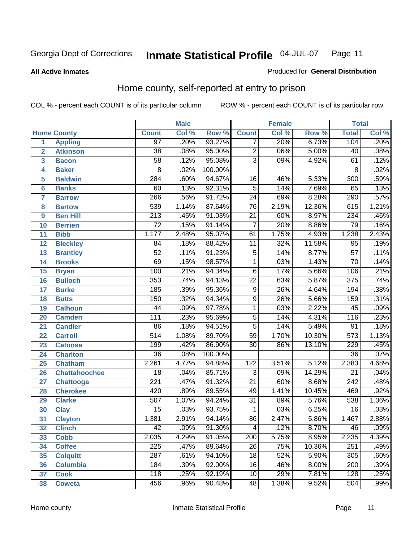#### **All Active Inmates**

#### Produced for **General Distribution**

### Home county, self-reported at entry to prison

|                |                      |                  | <b>Male</b> |         |                           | <b>Female</b> |        | <b>Total</b>     |       |
|----------------|----------------------|------------------|-------------|---------|---------------------------|---------------|--------|------------------|-------|
|                | <b>Home County</b>   | <b>Count</b>     | Col %       | Row %   | <b>Count</b>              | Col %         | Row %  | <b>Total</b>     | Col % |
| 1              | <b>Appling</b>       | $\overline{97}$  | .20%        | 93.27%  | 7                         | .20%          | 6.73%  | 104              | .20%  |
| $\overline{2}$ | <b>Atkinson</b>      | $\overline{38}$  | .08%        | 95.00%  | $\overline{2}$            | .06%          | 5.00%  | 40               | .08%  |
| 3              | <b>Bacon</b>         | 58               | .12%        | 95.08%  | $\overline{\overline{3}}$ | .09%          | 4.92%  | 61               | .12%  |
| 4              | <b>Baker</b>         | 8                | .02%        | 100.00% |                           |               |        | 8                | .02%  |
| 5              | <b>Baldwin</b>       | 284              | .60%        | 94.67%  | 16                        | .46%          | 5.33%  | 300              | .59%  |
| $6\phantom{a}$ | <b>Banks</b>         | 60               | .13%        | 92.31%  | $\overline{5}$            | .14%          | 7.69%  | 65               | .13%  |
| $\overline{7}$ | <b>Barrow</b>        | 266              | .56%        | 91.72%  | $\overline{24}$           | .69%          | 8.28%  | 290              | .57%  |
| 8              | <b>Bartow</b>        | 539              | 1.14%       | 87.64%  | $\overline{76}$           | 2.19%         | 12.36% | 615              | 1.21% |
| 9              | <b>Ben Hill</b>      | $\overline{213}$ | .45%        | 91.03%  | $\overline{21}$           | .60%          | 8.97%  | 234              | .46%  |
| 10             | <b>Berrien</b>       | $\overline{72}$  | .15%        | 91.14%  | $\overline{7}$            | .20%          | 8.86%  | $\overline{79}$  | .16%  |
| 11             | <b>Bibb</b>          | 1,177            | 2.48%       | 95.07%  | 61                        | 1.75%         | 4.93%  | 1,238            | 2.43% |
| 12             | <b>Bleckley</b>      | 84               | .18%        | 88.42%  | $\overline{11}$           | .32%          | 11.58% | $\overline{95}$  | .19%  |
| 13             | <b>Brantley</b>      | $\overline{52}$  | .11%        | 91.23%  | $\overline{5}$            | .14%          | 8.77%  | $\overline{57}$  | .11%  |
| 14             | <b>Brooks</b>        | $\overline{69}$  | .15%        | 98.57%  | $\overline{1}$            | .03%          | 1.43%  | $\overline{70}$  | .14%  |
| 15             | <b>Bryan</b>         | 100              | .21%        | 94.34%  | $\overline{6}$            | .17%          | 5.66%  | 106              | .21%  |
| 16             | <b>Bulloch</b>       | 353              | .74%        | 94.13%  | $\overline{22}$           | .63%          | 5.87%  | $\overline{375}$ | .74%  |
| 17             | <b>Burke</b>         | 185              | .39%        | 95.36%  | $\overline{9}$            | .26%          | 4.64%  | 194              | .38%  |
| 18             | <b>Butts</b>         | 150              | .32%        | 94.34%  | $\overline{9}$            | .26%          | 5.66%  | 159              | .31%  |
| 19             | <b>Calhoun</b>       | $\overline{44}$  | .09%        | 97.78%  | $\overline{1}$            | .03%          | 2.22%  | $\overline{45}$  | .09%  |
| 20             | <b>Camden</b>        | $\overline{111}$ | .23%        | 95.69%  | $\overline{5}$            | .14%          | 4.31%  | 116              | .23%  |
| 21             | <b>Candler</b>       | $\overline{86}$  | .18%        | 94.51%  | $\overline{5}$            | .14%          | 5.49%  | 91               | .18%  |
| 22             | <b>Carroll</b>       | $\overline{514}$ | 1.08%       | 89.70%  | $\overline{59}$           | 1.70%         | 10.30% | $\overline{573}$ | 1.13% |
| 23             | <b>Catoosa</b>       | 199              | .42%        | 86.90%  | $\overline{30}$           | .86%          | 13.10% | 229              | .45%  |
| 24             | <b>Charlton</b>      | $\overline{36}$  | .08%        | 100.00% |                           |               |        | $\overline{36}$  | .07%  |
| 25             | <b>Chatham</b>       | 2,261            | 4.77%       | 94.88%  | 122                       | 3.51%         | 5.12%  | 2,383            | 4.68% |
| 26             | <b>Chattahoochee</b> | $\overline{18}$  | .04%        | 85.71%  | 3                         | .09%          | 14.29% | $\overline{21}$  | .04%  |
| 27             | <b>Chattooga</b>     | $\overline{221}$ | .47%        | 91.32%  | $\overline{21}$           | .60%          | 8.68%  | $\overline{242}$ | .48%  |
| 28             | <b>Cherokee</b>      | 420              | .89%        | 89.55%  | 49                        | 1.41%         | 10.45% | 469              | .92%  |
| 29             | <b>Clarke</b>        | 507              | 1.07%       | 94.24%  | $\overline{31}$           | .89%          | 5.76%  | 538              | 1.06% |
| 30             | <b>Clay</b>          | $\overline{15}$  | .03%        | 93.75%  | $\mathbf{1}$              | .03%          | 6.25%  | $\overline{16}$  | .03%  |
| 31             | <b>Clayton</b>       | 1,381            | 2.91%       | 94.14%  | 86                        | 2.47%         | 5.86%  | 1,467            | 2.88% |
| 32             | <b>Clinch</b>        | $\overline{42}$  | .09%        | 91.30%  | 4                         | .12%          | 8.70%  | $\overline{46}$  | .09%  |
| 33             | <b>Cobb</b>          | 2,035            | 4.29%       | 91.05%  | 200                       | 5.75%         | 8.95%  | 2,235            | 4.39% |
| 34             | <b>Coffee</b>        | $\overline{225}$ | .47%        | 89.64%  | $\overline{26}$           | .75%          | 10.36% | 251              | .49%  |
| 35             | <b>Colquitt</b>      | 287              | .61%        | 94.10%  | 18                        | .52%          | 5.90%  | 305              | .60%  |
| 36             | <b>Columbia</b>      | 184              | .39%        | 92.00%  | 16                        | .46%          | 8.00%  | 200              | .39%  |
| 37             | <b>Cook</b>          | $\overline{118}$ | .25%        | 92.19%  | 10                        | .29%          | 7.81%  | 128              | .25%  |
| 38             | <b>Coweta</b>        | 456              | .96%        | 90.48%  | 48                        | 1.38%         | 9.52%  | 504              | .99%  |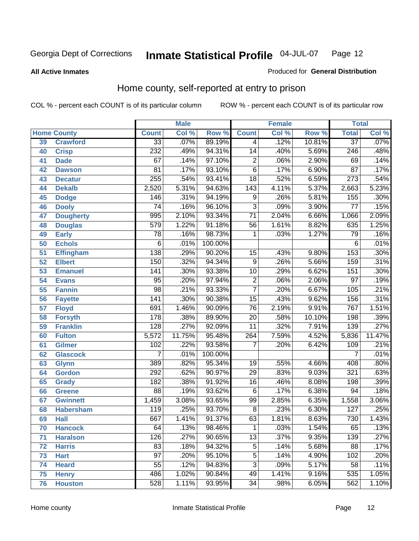**All Active Inmates**

#### Produced for **General Distribution**

### Home county, self-reported at entry to prison

|                 |                    |                  | <b>Male</b> |                  |                  | <b>Female</b> |        | <b>Total</b>      |        |
|-----------------|--------------------|------------------|-------------|------------------|------------------|---------------|--------|-------------------|--------|
|                 | <b>Home County</b> | <b>Count</b>     | Col %       | Row <sup>%</sup> | <b>Count</b>     | Col %         | Row %  | <b>Total</b>      | Col %  |
| 39              | <b>Crawford</b>    | $\overline{33}$  | .07%        | 89.19%           | 4                | .12%          | 10.81% | $\overline{37}$   | .07%   |
| 40              | <b>Crisp</b>       | 232              | .49%        | 94.31%           | $\overline{14}$  | .40%          | 5.69%  | $\overline{246}$  | .48%   |
| 41              | <b>Dade</b>        | 67               | .14%        | 97.10%           | $\overline{2}$   | .06%          | 2.90%  | 69                | .14%   |
| 42              | <b>Dawson</b>      | $\overline{81}$  | .17%        | 93.10%           | $\overline{6}$   | .17%          | 6.90%  | $\overline{87}$   | .17%   |
| 43              | <b>Decatur</b>     | 255              | .54%        | 93.41%           | $\overline{18}$  | .52%          | 6.59%  | $\overline{273}$  | .54%   |
| 44              | <b>Dekalb</b>      | 2,520            | 5.31%       | 94.63%           | $\overline{143}$ | 4.11%         | 5.37%  | 2,663             | 5.23%  |
| 45              | <b>Dodge</b>       | 146              | .31%        | 94.19%           | 9                | .26%          | 5.81%  | 155               | .30%   |
| 46              | <b>Dooly</b>       | $\overline{74}$  | .16%        | 96.10%           | $\overline{3}$   | .09%          | 3.90%  | $\overline{77}$   | .15%   |
| 47              | <b>Dougherty</b>   | $\overline{995}$ | 2.10%       | 93.34%           | $\overline{71}$  | 2.04%         | 6.66%  | 1,066             | 2.09%  |
| 48              | <b>Douglas</b>     | $\overline{579}$ | 1.22%       | 91.18%           | $\overline{56}$  | 1.61%         | 8.82%  | 635               | 1.25%  |
| 49              | <b>Early</b>       | $\overline{78}$  | .16%        | 98.73%           | 1                | .03%          | 1.27%  | 79                | .16%   |
| 50              | <b>Echols</b>      | $\overline{6}$   | .01%        | 100.00%          |                  |               |        | 6                 | .01%   |
| $\overline{51}$ | <b>Effingham</b>   | 138              | .29%        | 90.20%           | 15               | .43%          | 9.80%  | 153               | .30%   |
| 52              | <b>Elbert</b>      | 150              | .32%        | 94.34%           | 9                | .26%          | 5.66%  | 159               | .31%   |
| 53              | <b>Emanuel</b>     | $\overline{141}$ | .30%        | 93.38%           | $\overline{10}$  | .29%          | 6.62%  | 151               | .30%   |
| 54              | <b>Evans</b>       | $\overline{95}$  | .20%        | 97.94%           | $\overline{2}$   | .06%          | 2.06%  | $\overline{97}$   | .19%   |
| 55              | <b>Fannin</b>      | $\overline{98}$  | .21%        | 93.33%           | $\overline{7}$   | .20%          | 6.67%  | $\frac{105}{105}$ | .21%   |
| 56              | <b>Fayette</b>     | $\overline{141}$ | .30%        | 90.38%           | $\overline{15}$  | .43%          | 9.62%  | 156               | .31%   |
| 57              | <b>Floyd</b>       | 691              | 1.46%       | 90.09%           | $\overline{76}$  | 2.19%         | 9.91%  | 767               | 1.51%  |
| 58              | <b>Forsyth</b>     | 178              | .38%        | 89.90%           | $\overline{20}$  | .58%          | 10.10% | 198               | .39%   |
| 59              | <b>Franklin</b>    | 128              | .27%        | 92.09%           | $\overline{11}$  | .32%          | 7.91%  | 139               | .27%   |
| 60              | <b>Fulton</b>      | 5,572            | 11.75%      | 95.48%           | $\overline{264}$ | 7.59%         | 4.52%  | 5,836             | 11.47% |
| 61              | Gilmer             | 102              | .22%        | 93.58%           | 7                | .20%          | 6.42%  | 109               | .21%   |
| 62              | <b>Glascock</b>    | $\overline{7}$   | .01%        | 100.00%          |                  |               |        | $\overline{7}$    | .01%   |
| 63              | <b>Glynn</b>       | 389              | .82%        | 95.34%           | 19               | .55%          | 4.66%  | 408               | .80%   |
| 64              | <b>Gordon</b>      | 292              | .62%        | 90.97%           | $\overline{29}$  | .83%          | 9.03%  | $\overline{321}$  | .63%   |
| 65              | <b>Grady</b>       | 182              | .38%        | 91.92%           | $\overline{16}$  | .46%          | 8.08%  | 198               | .39%   |
| 66              | <b>Greene</b>      | $\overline{88}$  | .19%        | 93.62%           | $\overline{6}$   | .17%          | 6.38%  | $\overline{94}$   | .18%   |
| 67              | <b>Gwinnett</b>    | 1,459            | 3.08%       | 93.65%           | 99               | 2.85%         | 6.35%  | 1,558             | 3.06%  |
| 68              | <b>Habersham</b>   | 119              | .25%        | 93.70%           | $\overline{8}$   | .23%          | 6.30%  | $\overline{127}$  | .25%   |
| 69              | <b>Hall</b>        | 667              | 1.41%       | 91.37%           | 63               | 1.81%         | 8.63%  | 730               | 1.43%  |
| 70              | <b>Hancock</b>     | 64               | .13%        | 98.46%           | 1                | .03%          | 1.54%  | 65                | .13%   |
| 71              | <b>Haralson</b>    | 126              | .27%        | 90.65%           | $\overline{13}$  | .37%          | 9.35%  | 139               | .27%   |
| 72              | <b>Harris</b>      | 83               | .18%        | 94.32%           | $\overline{5}$   | .14%          | 5.68%  | 88                | .17%   |
| 73              | <b>Hart</b>        | $\overline{97}$  | .20%        | 95.10%           | $\overline{5}$   | .14%          | 4.90%  | 102               | .20%   |
| 74              | <b>Heard</b>       | $\overline{55}$  | .12%        | 94.83%           | $\overline{3}$   | .09%          | 5.17%  | 58                | .11%   |
| 75              | <b>Henry</b>       | 486              | 1.02%       | 90.84%           | 49               | 1.41%         | 9.16%  | 535               | 1.05%  |
| 76              | <b>Houston</b>     | 528              | 1.11%       | 93.95%           | $\overline{34}$  | .98%          | 6.05%  | 562               | 1.10%  |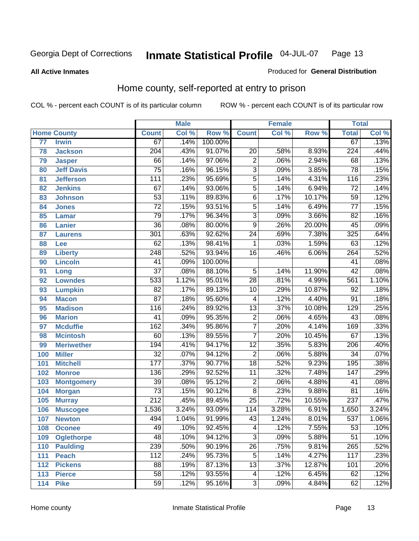#### **All Active Inmates**

#### Produced for **General Distribution**

### Home county, self-reported at entry to prison

|                 |                    |                  | <b>Male</b> |         |                  | <b>Female</b> |        | <b>Total</b>     |       |
|-----------------|--------------------|------------------|-------------|---------|------------------|---------------|--------|------------------|-------|
|                 | <b>Home County</b> | <b>Count</b>     | Col %       | Row %   | <b>Count</b>     | Col %         | Row %  | <b>Total</b>     | Col % |
| $\overline{77}$ | <b>Irwin</b>       | 67               | .14%        | 100.00% |                  |               |        | 67               | .13%  |
| 78              | <b>Jackson</b>     | $\overline{204}$ | .43%        | 91.07%  | $\overline{20}$  | .58%          | 8.93%  | $\overline{224}$ | .44%  |
| 79              | <b>Jasper</b>      | 66               | .14%        | 97.06%  | $\overline{2}$   | .06%          | 2.94%  | 68               | .13%  |
| 80              | <b>Jeff Davis</b>  | $\overline{75}$  | .16%        | 96.15%  | $\overline{3}$   | .09%          | 3.85%  | $\overline{78}$  | .15%  |
| 81              | <b>Jefferson</b>   | $\overline{111}$ | .23%        | 95.69%  | $\overline{5}$   | .14%          | 4.31%  | 116              | .23%  |
| 82              | <b>Jenkins</b>     | 67               | .14%        | 93.06%  | $\overline{5}$   | .14%          | 6.94%  | $\overline{72}$  | .14%  |
| 83              | <b>Johnson</b>     | $\overline{53}$  | .11%        | 89.83%  | $\overline{6}$   | .17%          | 10.17% | $\overline{59}$  | .12%  |
| 84              | <b>Jones</b>       | $\overline{72}$  | .15%        | 93.51%  | $\overline{5}$   | .14%          | 6.49%  | $\overline{77}$  | .15%  |
| 85              | <b>Lamar</b>       | $\overline{79}$  | .17%        | 96.34%  | $\overline{3}$   | .09%          | 3.66%  | $\overline{82}$  | .16%  |
| 86              | <b>Lanier</b>      | $\overline{36}$  | .08%        | 80.00%  | $\overline{9}$   | .26%          | 20.00% | $\overline{45}$  | .09%  |
| 87              | <b>Laurens</b>     | $\overline{301}$ | .63%        | 92.62%  | $\overline{24}$  | .69%          | 7.38%  | 325              | .64%  |
| 88              | <b>Lee</b>         | $\overline{62}$  | .13%        | 98.41%  | 1                | .03%          | 1.59%  | 63               | .12%  |
| 89              | <b>Liberty</b>     | $\overline{248}$ | .52%        | 93.94%  | $\overline{16}$  | .46%          | 6.06%  | 264              | .52%  |
| 90              | <b>Lincoln</b>     | $\overline{41}$  | .09%        | 100.00% |                  |               |        | $\overline{41}$  | .08%  |
| 91              | Long               | $\overline{37}$  | .08%        | 88.10%  | $\overline{5}$   | .14%          | 11.90% | $\overline{42}$  | .08%  |
| 92              | <b>Lowndes</b>     | 533              | 1.12%       | 95.01%  | $\overline{28}$  | .81%          | 4.99%  | 561              | 1.10% |
| 93              | <b>Lumpkin</b>     | $\overline{82}$  | .17%        | 89.13%  | $\overline{10}$  | .29%          | 10.87% | $\overline{92}$  | .18%  |
| 94              | <b>Macon</b>       | $\overline{87}$  | .18%        | 95.60%  | 4                | .12%          | 4.40%  | $\overline{91}$  | .18%  |
| 95              | <b>Madison</b>     | 116              | .24%        | 89.92%  | $\overline{13}$  | .37%          | 10.08% | 129              | .25%  |
| 96              | <b>Marion</b>      | $\overline{41}$  | .09%        | 95.35%  | $\overline{2}$   | .06%          | 4.65%  | $\overline{43}$  | .08%  |
| 97              | <b>Mcduffie</b>    | $\overline{162}$ | .34%        | 95.86%  | $\overline{7}$   | .20%          | 4.14%  | 169              | .33%  |
| 98              | <b>Mcintosh</b>    | $\overline{60}$  | .13%        | 89.55%  | $\overline{7}$   | .20%          | 10.45% | $\overline{67}$  | .13%  |
| 99              | <b>Meriwether</b>  | 194              | .41%        | 94.17%  | $\overline{12}$  | .35%          | 5.83%  | $\overline{206}$ | .40%  |
| 100             | <b>Miller</b>      | $\overline{32}$  | .07%        | 94.12%  | $\overline{2}$   | .06%          | 5.88%  | $\overline{34}$  | .07%  |
| 101             | <b>Mitchell</b>    | $\overline{177}$ | .37%        | 90.77%  | $\overline{18}$  | .52%          | 9.23%  | 195              | .38%  |
| 102             | <b>Monroe</b>      | 136              | .29%        | 92.52%  | $\overline{11}$  | .32%          | 7.48%  | 147              | .29%  |
| 103             | <b>Montgomery</b>  | 39               | .08%        | 95.12%  | $\overline{2}$   | .06%          | 4.88%  | 41               | .08%  |
| 104             | <b>Morgan</b>      | $\overline{73}$  | .15%        | 90.12%  | $\overline{8}$   | .23%          | 9.88%  | $\overline{81}$  | .16%  |
| 105             | <b>Murray</b>      | $\overline{212}$ | .45%        | 89.45%  | $\overline{25}$  | .72%          | 10.55% | 237              | .47%  |
| 106             | <b>Muscogee</b>    | 1,536            | 3.24%       | 93.09%  | $\overline{114}$ | 3.28%         | 6.91%  | 1,650            | 3.24% |
| 107             | <b>Newton</b>      | 494              | 1.04%       | 91.99%  | 43               | 1.24%         | 8.01%  | 537              | 1.06% |
| 108             | <b>Oconee</b>      | 49               | .10%        | 92.45%  | $\overline{4}$   | .12%          | 7.55%  | $\overline{53}$  | .10%  |
| 109             | <b>Oglethorpe</b>  | 48               | .10%        | 94.12%  | $\overline{3}$   | .09%          | 5.88%  | $\overline{51}$  | .10%  |
| 110             | <b>Paulding</b>    | 239              | .50%        | 90.19%  | $\overline{26}$  | .75%          | 9.81%  | 265              | .52%  |
| 111             | <b>Peach</b>       | 112              | .24%        | 95.73%  | $\overline{5}$   | .14%          | 4.27%  | 117              | .23%  |
| 112             | <b>Pickens</b>     | $\overline{88}$  | .19%        | 87.13%  | $\overline{13}$  | .37%          | 12.87% | 101              | .20%  |
| 113             | <b>Pierce</b>      | $\overline{58}$  | .12%        | 93.55%  | 4                | .12%          | 6.45%  | 62               | .12%  |
| 114             | <b>Pike</b>        | $\overline{59}$  | .12%        | 95.16%  | $\overline{3}$   | .09%          | 4.84%  | 62               | .12%  |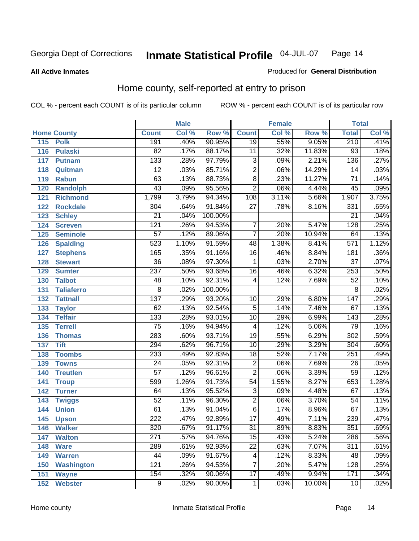#### **All Active Inmates**

#### Produced for **General Distribution**

### Home county, self-reported at entry to prison

|     |                    |                  | <b>Male</b> |                  |                  | <b>Female</b> |        | <b>Total</b>     |       |
|-----|--------------------|------------------|-------------|------------------|------------------|---------------|--------|------------------|-------|
|     | <b>Home County</b> | <b>Count</b>     | Col %       | Row <sup>%</sup> | <b>Count</b>     | Col %         | Row %  | <b>Total</b>     | Col % |
| 115 | <b>Polk</b>        | 191              | .40%        | 90.95%           | $\overline{19}$  | .55%          | 9.05%  | 210              | .41%  |
| 116 | <b>Pulaski</b>     | $\overline{82}$  | .17%        | 88.17%           | $\overline{11}$  | .32%          | 11.83% | $\overline{93}$  | .18%  |
| 117 | <b>Putnam</b>      | $\overline{133}$ | .28%        | 97.79%           | $\overline{3}$   | .09%          | 2.21%  | 136              | .27%  |
| 118 | Quitman            | $\overline{12}$  | .03%        | 85.71%           | $\overline{2}$   | .06%          | 14.29% | 14               | .03%  |
| 119 | <b>Rabun</b>       | 63               | .13%        | 88.73%           | $\overline{8}$   | .23%          | 11.27% | $\overline{71}$  | .14%  |
| 120 | <b>Randolph</b>    | $\overline{43}$  | .09%        | 95.56%           | $\overline{2}$   | .06%          | 4.44%  | 45               | .09%  |
| 121 | <b>Richmond</b>    | 1,799            | 3.79%       | 94.34%           | $\overline{108}$ | 3.11%         | 5.66%  | 1,907            | 3.75% |
| 122 | <b>Rockdale</b>    | 304              | .64%        | 91.84%           | $\overline{27}$  | .78%          | 8.16%  | 331              | .65%  |
| 123 | <b>Schley</b>      | $\overline{21}$  | .04%        | 100.00%          |                  |               |        | $\overline{21}$  | .04%  |
| 124 | <b>Screven</b>     | $\overline{121}$ | .26%        | 94.53%           | 7                | .20%          | 5.47%  | 128              | .25%  |
| 125 | <b>Seminole</b>    | 57               | .12%        | 89.06%           | $\overline{7}$   | .20%          | 10.94% | 64               | .13%  |
| 126 | <b>Spalding</b>    | 523              | 1.10%       | 91.59%           | 48               | 1.38%         | 8.41%  | 571              | 1.12% |
| 127 | <b>Stephens</b>    | 165              | .35%        | 91.16%           | $\overline{16}$  | .46%          | 8.84%  | 181              | .36%  |
| 128 | <b>Stewart</b>     | $\overline{36}$  | .08%        | 97.30%           | 1                | .03%          | 2.70%  | $\overline{37}$  | .07%  |
| 129 | <b>Sumter</b>      | $\overline{237}$ | .50%        | 93.68%           | $\overline{16}$  | .46%          | 6.32%  | 253              | .50%  |
| 130 | <b>Talbot</b>      | 48               | .10%        | 92.31%           | 4                | .12%          | 7.69%  | $\overline{52}$  | .10%  |
| 131 | <b>Taliaferro</b>  | 8                | .02%        | 100.00%          |                  |               |        | $\overline{8}$   | .02%  |
| 132 | <b>Tattnall</b>    | 137              | .29%        | 93.20%           | $\overline{10}$  | .29%          | 6.80%  | $\overline{147}$ | .29%  |
| 133 | <b>Taylor</b>      | 62               | .13%        | 92.54%           | $\overline{5}$   | .14%          | 7.46%  | 67               | .13%  |
| 134 | <b>Telfair</b>     | $\overline{133}$ | .28%        | 93.01%           | $\overline{10}$  | .29%          | 6.99%  | 143              | .28%  |
| 135 | <b>Terrell</b>     | $\overline{75}$  | .16%        | 94.94%           | 4                | .12%          | 5.06%  | 79               | .16%  |
| 136 | <b>Thomas</b>      | 283              | .60%        | 93.71%           | $\overline{19}$  | .55%          | 6.29%  | 302              | .59%  |
| 137 | <b>Tift</b>        | 294              | .62%        | 96.71%           | $\overline{10}$  | .29%          | 3.29%  | 304              | .60%  |
| 138 | <b>Toombs</b>      | 233              | .49%        | 92.83%           | $\overline{18}$  | .52%          | 7.17%  | 251              | .49%  |
| 139 | <b>Towns</b>       | $\overline{24}$  | .05%        | 92.31%           | $\overline{2}$   | .06%          | 7.69%  | 26               | .05%  |
| 140 | <b>Treutlen</b>    | $\overline{57}$  | .12%        | 96.61%           | $\overline{2}$   | .06%          | 3.39%  | 59               | .12%  |
| 141 | <b>Troup</b>       | 599              | 1.26%       | 91.73%           | $\overline{54}$  | 1.55%         | 8.27%  | 653              | 1.28% |
| 142 | <b>Turner</b>      | 64               | .13%        | 95.52%           | $\overline{3}$   | .09%          | 4.48%  | 67               | .13%  |
| 143 | <b>Twiggs</b>      | $\overline{52}$  | .11%        | 96.30%           | $\overline{2}$   | .06%          | 3.70%  | 54               | .11%  |
| 144 | <b>Union</b>       | 61               | .13%        | 91.04%           | $\overline{6}$   | .17%          | 8.96%  | 67               | .13%  |
| 145 | <b>Upson</b>       | $\overline{222}$ | .47%        | 92.89%           | $\overline{17}$  | .49%          | 7.11%  | 239              | .47%  |
| 146 | <b>Walker</b>      | $\overline{320}$ | .67%        | 91.17%           | $\overline{31}$  | .89%          | 8.83%  | 351              | .69%  |
| 147 | <b>Walton</b>      | 271              | .57%        | 94.76%           | $\overline{15}$  | .43%          | 5.24%  | 286              | .56%  |
| 148 | <b>Ware</b>        | 289              | .61%        | 92.93%           | $\overline{22}$  | .63%          | 7.07%  | $\overline{311}$ | .61%  |
| 149 | <b>Warren</b>      | 44               | .09%        | 91.67%           | 4                | .12%          | 8.33%  | 48               | .09%  |
| 150 | <b>Washington</b>  | 121              | .26%        | 94.53%           | 7                | .20%          | 5.47%  | 128              | .25%  |
| 151 | <b>Wayne</b>       | 154              | .32%        | 90.06%           | $\overline{17}$  | .49%          | 9.94%  | 171              | .34%  |
| 152 | <b>Webster</b>     | $\overline{9}$   | .02%        | 90.00%           | 1                | .03%          | 10.00% | 10               | .02%  |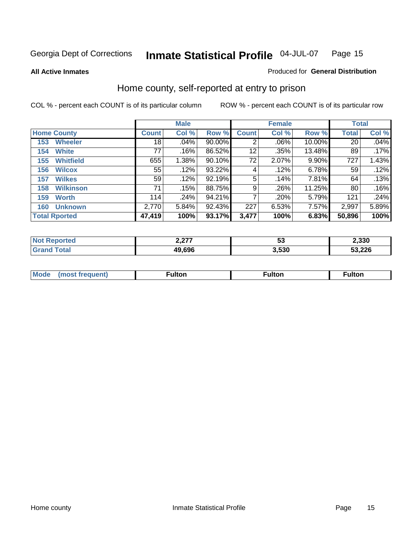#### **All Active Inmates**

#### Produced for **General Distribution**

### Home county, self-reported at entry to prison

|                      |                  | <b>Male</b>  |       |        |              | <b>Female</b> | <b>Total</b> |              |       |
|----------------------|------------------|--------------|-------|--------|--------------|---------------|--------------|--------------|-------|
| <b>Home County</b>   |                  | <b>Count</b> | Col % | Row %  | <b>Count</b> | Col %         | Row %        | <b>Total</b> | Col % |
| 153                  | <b>Wheeler</b>   | 18           | .04%  | 90.00% | 2            | .06%          | 10.00%       | 20           | .04%  |
| 154                  | <b>White</b>     | 77           | .16%  | 86.52% | 12           | .35%          | 13.48%       | 89           | .17%  |
| 155                  | <b>Whitfield</b> | 655          | 1.38% | 90.10% | 72           | 2.07%         | 9.90%        | 727          | 1.43% |
| 156                  | <b>Wilcox</b>    | 55           | .12%  | 93.22% | 4            | .12%          | 6.78%        | 59           | .12%  |
| 157                  | <b>Wilkes</b>    | 59           | .12%  | 92.19% | 5            | .14%          | 7.81%        | 64           | .13%  |
| 158                  | <b>Wilkinson</b> | 71           | .15%  | 88.75% | 9            | .26%          | 11.25%       | 80           | .16%  |
| 159                  | <b>Worth</b>     | 114          | .24%  | 94.21% | 7            | .20%          | 5.79%        | 121          | .24%  |
| 160                  | <b>Unknown</b>   | 2,770        | 5.84% | 92.43% | 227          | 6.53%         | 7.57%        | 2,997        | 5.89% |
| <b>Total Rported</b> |                  | 47,419       | 100%  | 93.17% | 3,477        | 100%          | 6.83%        | 50,896       | 100%  |

| rted<br>NO1 | 2.LI   | JJ.  | 2,330  |
|-------------|--------|------|--------|
| `otal       | 49,696 | .530 | 53,226 |

| <b>Mode</b> | مرمية الرار | ™ulton | uiton |
|-------------|-------------|--------|-------|
|             |             |        |       |
|             |             |        |       |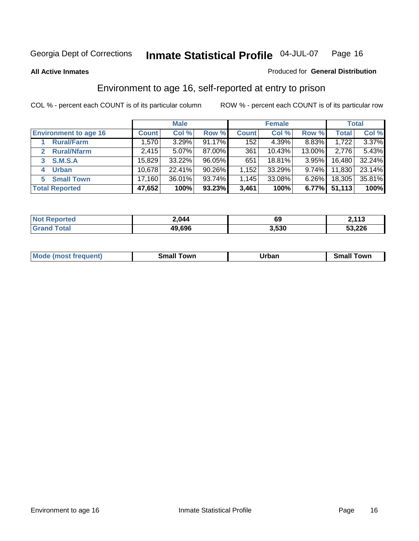#### **All Active Inmates**

#### Produced for **General Distribution**

### Environment to age 16, self-reported at entry to prison

|                                      | <b>Male</b>  |          |           | <b>Female</b>      |        | <b>Total</b> |        |        |
|--------------------------------------|--------------|----------|-----------|--------------------|--------|--------------|--------|--------|
| <b>Environment to age 16</b>         | <b>Count</b> | Col %    | Row %     | <b>Count</b>       | Col %  | Row %        | Total  | Col %  |
| <b>Rural/Farm</b>                    | 1,570        | 3.29%    | $91.17\%$ | 152                | 4.39%  | 8.83%        | 1,722  | 3.37%  |
| <b>Rural/Nfarm</b><br>$\overline{2}$ | 2,415        | $5.07\%$ | 87.00%    | 361                | 10.43% | 13.00%       | 2,776  | 5.43%  |
| <b>S.M.S.A</b><br>3                  | 15,829       | 33.22%   | 96.05%    | 651                | 18.81% | 3.95%        | 16,480 | 32.24% |
| <b>Urban</b><br>4                    | 10,678       | 22.41%   | $90.26\%$ | 1,152              | 33.29% | $9.74\%$     | 11,830 | 23.14% |
| <b>Small Town</b><br>5               | 17,160       | 36.01%   | 93.74%    | $\vert .145 \vert$ | 33.08% | 6.26%        | 18,305 | 35.81% |
| <b>Total Reported</b>                | 47,652       | 100%     | 93.23%    | 3,461              | 100%   | 6.77%        | 51,113 | 100%   |

| Reported<br><b>Not</b> | 2,044  | 69    | <b>2112</b><br><b>4,110</b> |
|------------------------|--------|-------|-----------------------------|
| Total                  | 49,696 | 3,530 | 53,226                      |

| Mo<br>. . | . owr | <u>'''' ''</u><br>roa<br>_____ | .0W <sub>r</sub> |
|-----------|-------|--------------------------------|------------------|
|           |       |                                |                  |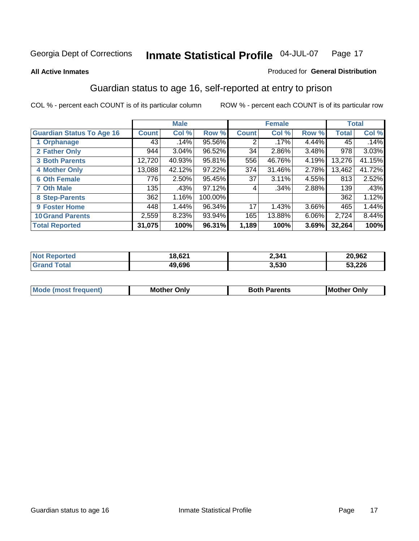#### **All Active Inmates**

#### Produced for **General Distribution**

### Guardian status to age 16, self-reported at entry to prison

|                                  |              | <b>Male</b> |         |              | <b>Female</b> |          |              | <b>Total</b> |
|----------------------------------|--------------|-------------|---------|--------------|---------------|----------|--------------|--------------|
| <b>Guardian Status To Age 16</b> | <b>Count</b> | Col %       | Row %   | <b>Count</b> | Col %         | Row %    | <b>Total</b> | Col %        |
| 1 Orphanage                      | 43           | .14%        | 95.56%  | 2            | $.17\%$       | 4.44%    | 45           | .14%         |
| 2 Father Only                    | 944          | 3.04%       | 96.52%  | 34           | $2.86\%$      | 3.48%    | 978          | 3.03%        |
| <b>3 Both Parents</b>            | 12,720       | 40.93%      | 95.81%  | 556          | 46.76%        | 4.19%    | 13,276       | 41.15%       |
| <b>4 Mother Only</b>             | 13,088       | 42.12%      | 97.22%  | 374          | 31.46%        | 2.78%    | 13,462       | 41.72%       |
| <b>6 Oth Female</b>              | 776          | 2.50%       | 95.45%  | 37           | 3.11%         | 4.55%    | 813          | 2.52%        |
| <b>7 Oth Male</b>                | 135          | .43%        | 97.12%  | 4            | $.34\%$       | 2.88%    | 139          | .43%         |
| 8 Step-Parents                   | 362          | 1.16%       | 100.00% |              |               |          | 362          | 1.12%        |
| 9 Foster Home                    | 448          | 1.44%       | 96.34%  | 17           | 1.43%         | $3.66\%$ | 465          | 1.44%        |
| <b>10 Grand Parents</b>          | 2,559        | 8.23%       | 93.94%  | 165          | 13.88%        | 6.06%    | 2,724        | 8.44%        |
| <b>Total Reported</b>            | 31,075       | 100%        | 96.31%  | 1,189        | 100%          | 3.69%    | 32,264       | 100%         |

| rrec<br>Nt | 18,62' | 2,341 | 20,962 |
|------------|--------|-------|--------|
| . Gr       | 19.696 | 3,530 | 53,226 |

| Mode | Onlv<br>Mot | <b>Roth</b><br>Parents | <b>IMot</b><br>Onlv<br>∵hei |
|------|-------------|------------------------|-----------------------------|
|      |             |                        |                             |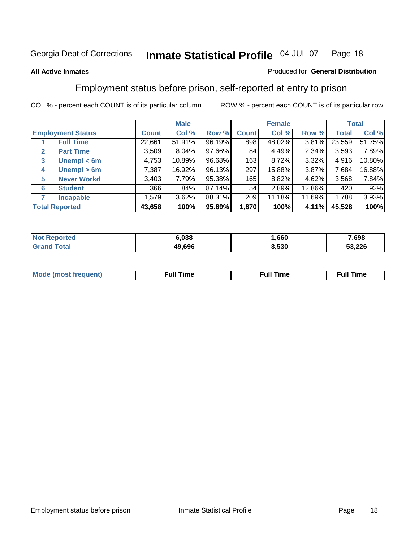#### **All Active Inmates**

#### Produced for **General Distribution**

### Employment status before prison, self-reported at entry to prison

|              |                          |              | <b>Male</b> |        |              | <b>Female</b> |          |              | <b>Total</b> |
|--------------|--------------------------|--------------|-------------|--------|--------------|---------------|----------|--------------|--------------|
|              | <b>Employment Status</b> | <b>Count</b> | Col %       | Row %  | <b>Count</b> | Col %         | Row %    | <b>Total</b> | Col %        |
|              | <b>Full Time</b>         | 22,661       | 51.91%      | 96.19% | 898          | 48.02%        | 3.81%    | 23,559       | 51.75%       |
| $\mathbf{2}$ | <b>Part Time</b>         | 3,509        | 8.04%       | 97.66% | 84           | 4.49%         | 2.34%    | 3,593        | 7.89%        |
| 3            | Unempl $<$ 6m            | 4,753        | 10.89%      | 96.68% | 163          | 8.72%         | 3.32%    | 4,916        | 10.80%       |
| 4            | Unempl > 6m              | 7,387        | 16.92%      | 96.13% | 297          | 15.88%        | 3.87%    | 7,684        | 16.88%       |
| 5            | <b>Never Workd</b>       | 3,403        | 7.79%       | 95.38% | 165          | 8.82%         | $4.62\%$ | 3,568        | 7.84%        |
| 6            | <b>Student</b>           | 366          | .84%        | 87.14% | 54           | 2.89%         | 12.86%   | 420          | .92%         |
|              | <b>Incapable</b>         | 1,579        | 3.62%       | 88.31% | 209          | 11.18%        | 11.69%   | 1,788        | 3.93%        |
|              | <b>Total Reported</b>    | 43,658       | 100%        | 95.89% | 1,870        | 100%          | 4.11%    | 45,528       | 100%         |

| nu c | 6.038  | .660  | 7,698  |
|------|--------|-------|--------|
|      | 49.696 | 3.530 | 53,226 |

| <b>M</b> ດ | the contract of the contract of the contract of the contract of the contract of the contract of the contract of | , ull i<br>ıme<br>the contract of the contract of the contract of the contract of the contract of the contract of the contract of | ïme<br>uı |
|------------|-----------------------------------------------------------------------------------------------------------------|-----------------------------------------------------------------------------------------------------------------------------------|-----------|
|            |                                                                                                                 |                                                                                                                                   |           |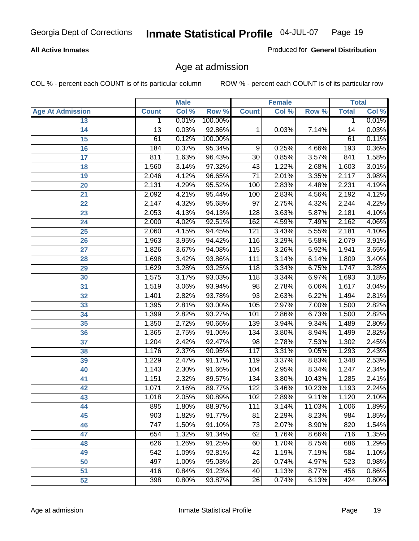#### **All Active Inmates**

Produced for **General Distribution**

### Age at admission

|                         | <b>Male</b>      |       | <b>Female</b> |                 |       | <b>Total</b> |              |       |
|-------------------------|------------------|-------|---------------|-----------------|-------|--------------|--------------|-------|
| <b>Age At Admission</b> | <b>Count</b>     | Col % | Row %         | <b>Count</b>    | Col % | Row %        | <b>Total</b> | Col % |
| 13                      | $\mathbf{1}$     | 0.01% | 100.00%       |                 |       |              | 1            | 0.01% |
| 14                      | $\overline{13}$  | 0.03% | 92.86%        | 1               | 0.03% | 7.14%        | 14           | 0.03% |
| 15                      | 61               | 0.12% | 100.00%       |                 |       |              | 61           | 0.11% |
| 16                      | 184              | 0.37% | 95.34%        | 9               | 0.25% | 4.66%        | 193          | 0.36% |
| $\overline{17}$         | 811              | 1.63% | 96.43%        | $\overline{30}$ | 0.85% | 3.57%        | 841          | 1.58% |
| 18                      | 1,560            | 3.14% | 97.32%        | 43              | 1.22% | 2.68%        | 1,603        | 3.01% |
| 19                      | 2,046            | 4.12% | 96.65%        | $\overline{71}$ | 2.01% | 3.35%        | 2,117        | 3.98% |
| 20                      | 2,131            | 4.29% | 95.52%        | 100             | 2.83% | 4.48%        | 2,231        | 4.19% |
| 21                      | 2,092            | 4.21% | 95.44%        | 100             | 2.83% | 4.56%        | 2,192        | 4.12% |
| 22                      | 2,147            | 4.32% | 95.68%        | $\overline{97}$ | 2.75% | 4.32%        | 2,244        | 4.22% |
| 23                      | 2,053            | 4.13% | 94.13%        | 128             | 3.63% | 5.87%        | 2,181        | 4.10% |
| 24                      | 2,000            | 4.02% | 92.51%        | 162             | 4.59% | 7.49%        | 2,162        | 4.06% |
| $\overline{25}$         | 2,060            | 4.15% | 94.45%        | 121             | 3.43% | 5.55%        | 2,181        | 4.10% |
| 26                      | 1,963            | 3.95% | 94.42%        | 116             | 3.29% | 5.58%        | 2,079        | 3.91% |
| 27                      | 1,826            | 3.67% | 94.08%        | 115             | 3.26% | 5.92%        | 1,941        | 3.65% |
| 28                      | 1,698            | 3.42% | 93.86%        | 111             | 3.14% | 6.14%        | 1,809        | 3.40% |
| 29                      | 1,629            | 3.28% | 93.25%        | 118             | 3.34% | 6.75%        | 1,747        | 3.28% |
| 30                      | 1,575            | 3.17% | 93.03%        | 118             | 3.34% | 6.97%        | 1,693        | 3.18% |
| 31                      | 1,519            | 3.06% | 93.94%        | 98              | 2.78% | 6.06%        | 1,617        | 3.04% |
| 32                      | 1,401            | 2.82% | 93.78%        | $\overline{93}$ | 2.63% | 6.22%        | 1,494        | 2.81% |
| 33                      | 1,395            | 2.81% | 93.00%        | 105             | 2.97% | 7.00%        | 1,500        | 2.82% |
| 34                      | 1,399            | 2.82% | 93.27%        | 101             | 2.86% | 6.73%        | 1,500        | 2.82% |
| 35                      | 1,350            | 2.72% | 90.66%        | 139             | 3.94% | 9.34%        | 1,489        | 2.80% |
| 36                      | 1,365            | 2.75% | 91.06%        | 134             | 3.80% | 8.94%        | 1,499        | 2.82% |
| 37                      | 1,204            | 2.42% | 92.47%        | 98              | 2.78% | 7.53%        | 1,302        | 2.45% |
| 38                      | 1,176            | 2.37% | 90.95%        | 117             | 3.31% | 9.05%        | 1,293        | 2.43% |
| 39                      | 1,229            | 2.47% | 91.17%        | 119             | 3.37% | 8.83%        | 1,348        | 2.53% |
| 40                      | 1,143            | 2.30% | 91.66%        | 104             | 2.95% | 8.34%        | 1,247        | 2.34% |
| 41                      | 1,151            | 2.32% | 89.57%        | 134             | 3.80% | 10.43%       | 1,285        | 2.41% |
| 42                      | 1,071            | 2.16% | 89.77%        | 122             | 3.46% | 10.23%       | 1,193        | 2.24% |
| 43                      | 1,018            | 2.05% | 90.89%        | 102             | 2.89% | 9.11%        | 1,120        | 2.10% |
| 44                      | 895              | 1.80% | 88.97%        | 111             | 3.14% | 11.03%       | 1,006        | 1.89% |
| 45                      | 903              | 1.82% | 91.77%        | 81              | 2.29% | 8.23%        | 984          | 1.85% |
| 46                      | $\overline{747}$ | 1.50% | 91.10%        | 73              | 2.07% | 8.90%        | 820          | 1.54% |
| 47                      | 654              | 1.32% | 91.34%        | 62              | 1.76% | 8.66%        | 716          | 1.35% |
| 48                      | 626              | 1.26% | 91.25%        | 60              | 1.70% | 8.75%        | 686          | 1.29% |
| 49                      | 542              | 1.09% | 92.81%        | 42              | 1.19% | 7.19%        | 584          | 1.10% |
| 50                      | 497              | 1.00% | 95.03%        | 26              | 0.74% | 4.97%        | 523          | 0.98% |
| 51                      | 416              | 0.84% | 91.23%        | 40              | 1.13% | 8.77%        | 456          | 0.86% |
| 52                      | 398              | 0.80% | 93.87%        | 26              | 0.74% | 6.13%        | 424          | 0.80% |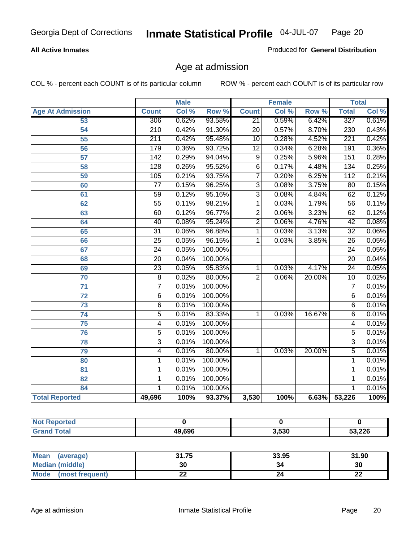#### **All Active Inmates**

Produced for **General Distribution**

### Age at admission

|                          | <b>Male</b>      |       | <b>Female</b> |                 |       | <b>Total</b> |                  |       |
|--------------------------|------------------|-------|---------------|-----------------|-------|--------------|------------------|-------|
| <b>Age At Admission</b>  | <b>Count</b>     | Col % | Row %         | <b>Count</b>    | Col % | Row %        | <b>Total</b>     | Col % |
| 53                       | 306              | 0.62% | 93.58%        | $\overline{21}$ | 0.59% | 6.42%        | 327              | 0.61% |
| 54                       | $\overline{210}$ | 0.42% | 91.30%        | $\overline{20}$ | 0.57% | 8.70%        | 230              | 0.43% |
| 55                       | $\overline{211}$ | 0.42% | 95.48%        | 10              | 0.28% | 4.52%        | $\overline{221}$ | 0.42% |
| $\overline{56}$          | 179              | 0.36% | 93.72%        | $\overline{12}$ | 0.34% | 6.28%        | 191              | 0.36% |
| 57                       | $\overline{142}$ | 0.29% | 94.04%        | $\overline{9}$  | 0.25% | 5.96%        | 151              | 0.28% |
| 58                       | 128              | 0.26% | 95.52%        | $\overline{6}$  | 0.17% | 4.48%        | 134              | 0.25% |
| 59                       | 105              | 0.21% | 93.75%        | 7               | 0.20% | 6.25%        | 112              | 0.21% |
| 60                       | $\overline{77}$  | 0.15% | 96.25%        | $\overline{3}$  | 0.08% | 3.75%        | $\overline{80}$  | 0.15% |
| 61                       | $\overline{59}$  | 0.12% | 95.16%        | $\overline{3}$  | 0.08% | 4.84%        | 62               | 0.12% |
| 62                       | $\overline{55}$  | 0.11% | 98.21%        | $\mathbf{1}$    | 0.03% | 1.79%        | $\overline{56}$  | 0.11% |
| 63                       | 60               | 0.12% | 96.77%        | $\overline{2}$  | 0.06% | 3.23%        | 62               | 0.12% |
| 64                       | $\overline{40}$  | 0.08% | 95.24%        | $\overline{2}$  | 0.06% | 4.76%        | $\overline{42}$  | 0.08% |
| 65                       | $\overline{31}$  | 0.06% | 96.88%        | 1               | 0.03% | 3.13%        | $\overline{32}$  | 0.06% |
| 66                       | $\overline{25}$  | 0.05% | 96.15%        | 1               | 0.03% | 3.85%        | $\overline{26}$  | 0.05% |
| 67                       | 24               | 0.05% | 100.00%       |                 |       |              | $\overline{24}$  | 0.05% |
| 68                       | $\overline{20}$  | 0.04% | 100.00%       |                 |       |              | $\overline{20}$  | 0.04% |
| 69                       | $\overline{23}$  | 0.05% | 95.83%        | 1               | 0.03% | 4.17%        | $\overline{24}$  | 0.05% |
| 70                       | $\overline{8}$   | 0.02% | 80.00%        | $\overline{2}$  | 0.06% | 20.00%       | $\overline{10}$  | 0.02% |
| 71                       | $\overline{7}$   | 0.01% | 100.00%       |                 |       |              | 7                | 0.01% |
| $\overline{72}$          | $\overline{6}$   | 0.01% | 100.00%       |                 |       |              | $\overline{6}$   | 0.01% |
| 73                       | $\overline{6}$   | 0.01% | 100.00%       |                 |       |              | $\overline{6}$   | 0.01% |
| 74                       | $\overline{5}$   | 0.01% | 83.33%        | 1               | 0.03% | 16.67%       | $\overline{6}$   | 0.01% |
| 75                       | 4                | 0.01% | 100.00%       |                 |       |              | 4                | 0.01% |
| 76                       | $\overline{5}$   | 0.01% | 100.00%       |                 |       |              | $\overline{5}$   | 0.01% |
| 78                       | $\overline{3}$   | 0.01% | 100.00%       |                 |       |              | $\overline{3}$   | 0.01% |
| 79                       | $\overline{4}$   | 0.01% | 80.00%        | 1               | 0.03% | 20.00%       | $\overline{5}$   | 0.01% |
| 80                       | 1                | 0.01% | 100.00%       |                 |       |              | 1                | 0.01% |
| $\overline{\mathbf{81}}$ | $\mathbf{1}$     | 0.01% | 100.00%       |                 |       |              | 1                | 0.01% |
| 82                       | 1                | 0.01% | 100.00%       |                 |       |              | 1                | 0.01% |
| 84                       | 1                | 0.01% | 100.00%       |                 |       |              | 1                | 0.01% |
| <b>Total Reported</b>    | 49,696           | 100%  | 93.37%        | 3,530           | 100%  | 6.63%        | 53,226           | 100%  |

| <b>Not Reported</b> |        |       |        |
|---------------------|--------|-------|--------|
| <b>Grand Total</b>  | 49,696 | 3,530 | 53,226 |

| <b>Mean</b><br>(average) | 31.75     | 33.95 | 31.90    |
|--------------------------|-----------|-------|----------|
| Median (middle)          | 30        |       | 30       |
| Mode<br>(most frequent)  | <u>__</u> |       | ^^<br>44 |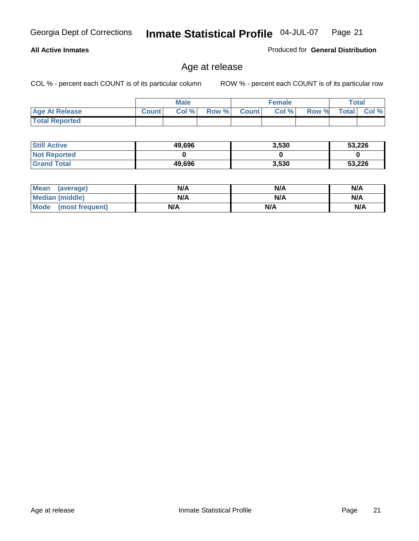#### **All Active Inmates**

Produced for **General Distribution**

### Age at release

|                       |              | <b>Male</b> |       |              | <b>Female</b> |       | <b>Total</b> |       |
|-----------------------|--------------|-------------|-------|--------------|---------------|-------|--------------|-------|
| <b>Age At Release</b> | <b>Count</b> | Col%        | Row % | <b>Count</b> | Col %         | Row % | <b>Total</b> | Col % |
| <b>Total Reported</b> |              |             |       |              |               |       |              |       |

| <b>Still Active</b> | 49,696 | 3,530 | 53,226 |
|---------------------|--------|-------|--------|
| <b>Not Reported</b> |        |       |        |
| <b>Grand Total</b>  | 49,696 | 3,530 | 53,226 |

| Mean (average)       | N/A | N/A | N/A |
|----------------------|-----|-----|-----|
| Median (middle)      | N/A | N/A | N/A |
| Mode (most frequent) | N/A | N/A | N/A |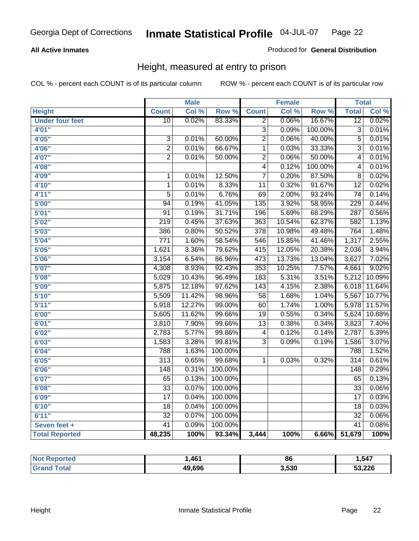#### **All Active Inmates**

#### Produced for **General Distribution**

### Height, measured at entry to prison

|                        |                  | <b>Male</b> |                  |                  | <b>Female</b> |         | <b>Total</b>     |        |
|------------------------|------------------|-------------|------------------|------------------|---------------|---------|------------------|--------|
| <b>Height</b>          | <b>Count</b>     | Col %       | Row <sup>%</sup> | <b>Count</b>     | Col %         | Row %   | <b>Total</b>     | Col %  |
| <b>Under four feet</b> | $\overline{10}$  | 0.02%       | 83.33%           | 2                | 0.06%         | 16.67%  | $\overline{12}$  | 0.02%  |
| 4'01"                  |                  |             |                  | $\overline{3}$   | 0.09%         | 100.00% | $\overline{3}$   | 0.01%  |
| 4'05''                 | $\overline{3}$   | 0.01%       | 60.00%           | $\overline{2}$   | 0.06%         | 40.00%  | $\overline{5}$   | 0.01%  |
| 4'06"                  | $\overline{2}$   | 0.01%       | 66.67%           | $\mathbf 1$      | 0.03%         | 33.33%  | $\overline{3}$   | 0.01%  |
| 4'07"                  | $\overline{2}$   | 0.01%       | 50.00%           | $\overline{2}$   | 0.06%         | 50.00%  | 4                | 0.01%  |
| 4'08"                  |                  |             |                  | 4                | 0.12%         | 100.00% | 4                | 0.01%  |
| 4'09"                  | $\mathbf 1$      | 0.01%       | 12.50%           | $\overline{7}$   | 0.20%         | 87.50%  | 8                | 0.02%  |
| 4'10"                  | $\mathbf 1$      | 0.01%       | 8.33%            | 11               | 0.32%         | 91.67%  | $\overline{12}$  | 0.02%  |
| 4'11''                 | $\overline{5}$   | 0.01%       | 6.76%            | $\overline{69}$  | 2.00%         | 93.24%  | $\overline{74}$  | 0.14%  |
| 5'00''                 | $\overline{94}$  | 0.19%       | 41.05%           | 135              | 3.92%         | 58.95%  | 229              | 0.44%  |
| 5'01''                 | $\overline{91}$  | 0.19%       | 31.71%           | 196              | 5.69%         | 68.29%  | 287              | 0.56%  |
| 5'02''                 | $\overline{219}$ | 0.45%       | 37.63%           | 363              | 10.54%        | 62.37%  | 582              | 1.13%  |
| 5'03''                 | 386              | 0.80%       | 50.52%           | 378              | 10.98%        | 49.48%  | 764              | 1.48%  |
| 5'04''                 | $\overline{771}$ | 1.60%       | 58.54%           | 546              | 15.85%        | 41.46%  | 1,317            | 2.55%  |
| 5'05''                 | 1,621            | 3.36%       | 79.62%           | 415              | 12.05%        | 20.38%  | 2,036            | 3.94%  |
| 5'06''                 | 3,154            | 6.54%       | 86.96%           | 473              | 13.73%        | 13.04%  | 3,627            | 7.02%  |
| 5'07''                 | 4,308            | 8.93%       | 92.43%           | 353              | 10.25%        | 7.57%   | 4,661            | 9.02%  |
| 5'08''                 | 5,029            | 10.43%      | 96.49%           | 183              | 5.31%         | 3.51%   | 5,212            | 10.09% |
| 5'09''                 | 5,875            | 12.18%      | 97.62%           | $\overline{143}$ | 4.15%         | 2.38%   | 6,018            | 11.64% |
| 5'10''                 | 5,509            | 11.42%      | 98.96%           | $\overline{58}$  | 1.68%         | 1.04%   | 5,567            | 10.77% |
| 5'11''                 | 5,918            | 12.27%      | 99.00%           | 60               | 1.74%         | 1.00%   | 5,978            | 11.57% |
| 6'00''                 | 5,605            | 11.62%      | 99.66%           | $\overline{19}$  | 0.55%         | 0.34%   | 5,624            | 10.88% |
| 6'01''                 | 3,810            | 7.90%       | 99.66%           | $\overline{13}$  | 0.38%         | 0.34%   | 3,823            | 7.40%  |
| 6'02''                 | 2,783            | 5.77%       | 99.86%           | 4                | 0.12%         | 0.14%   | 2,787            | 5.39%  |
| 6'03''                 | 1,583            | 3.28%       | 99.81%           | 3                | 0.09%         | 0.19%   | 1,586            | 3.07%  |
| 6'04''                 | 788              | 1.63%       | 100.00%          |                  |               |         | 788              | 1.52%  |
| 6'05''                 | $\overline{313}$ | 0.65%       | 99.68%           | $\mathbf 1$      | 0.03%         | 0.32%   | $\overline{314}$ | 0.61%  |
| 6'06''                 | $\overline{148}$ | 0.31%       | 100.00%          |                  |               |         | $\overline{148}$ | 0.29%  |
| 6'07''                 | 65               | 0.13%       | 100.00%          |                  |               |         | 65               | 0.13%  |
| 6'08''                 | $\overline{33}$  | 0.07%       | 100.00%          |                  |               |         | $\overline{33}$  | 0.06%  |
| 6'09''                 | $\overline{17}$  | 0.04%       | 100.00%          |                  |               |         | $\overline{17}$  | 0.03%  |
| 6'10''                 | $\overline{18}$  | 0.04%       | 100.00%          |                  |               |         | $\overline{18}$  | 0.03%  |
| 6'11''                 | $\overline{32}$  | 0.07%       | 100.00%          |                  |               |         | $\overline{32}$  | 0.06%  |
| Seven feet +           | $\overline{41}$  | 0.09%       | 100.00%          |                  |               |         | $\overline{41}$  | 0.08%  |
| <b>Total Reported</b>  | 48,235           | 100%        | 93.34%           | 3,444            | 100%          | 6.66%   | 51,679           | 100%   |

| vrted | ,461   | 86    | .547   |
|-------|--------|-------|--------|
| ⊺otaı | 49,696 | 3.530 | 53,226 |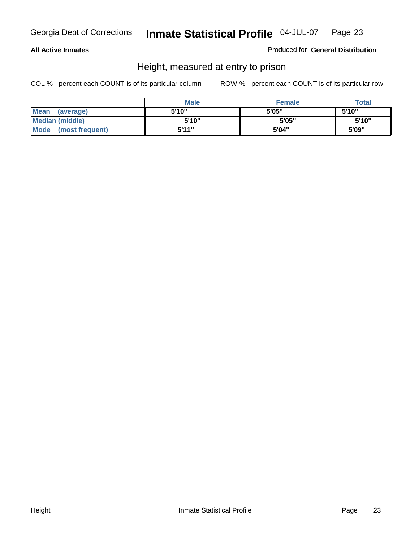#### **All Active Inmates**

#### Produced for **General Distribution**

### Height, measured at entry to prison

|                      | <b>Male</b> | <b>Female</b> | <b>Total</b> |
|----------------------|-------------|---------------|--------------|
| Mean (average)       | 5'10"       | 5'05"         | 5'10"        |
| Median (middle)      | 5'10"       | 5'05"         | 5'10''       |
| Mode (most frequent) | 5'11"       | 5'04"         | 5'09"        |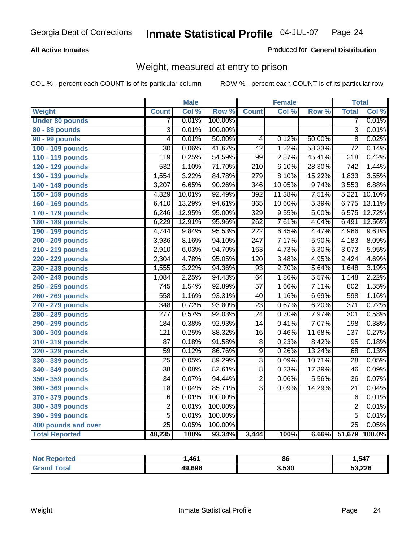#### **All Active Inmates**

#### Produced for **General Distribution**

### Weight, measured at entry to prison

|                        |                  | <b>Male</b> |         |                  | <b>Female</b> |        | <b>Total</b>     |        |
|------------------------|------------------|-------------|---------|------------------|---------------|--------|------------------|--------|
| Weight                 | <b>Count</b>     | Col %       | Row %   | <b>Count</b>     | Col %         | Row %  | <b>Total</b>     | Col %  |
| <b>Under 80 pounds</b> | 7                | 0.01%       | 100.00% |                  |               |        | 7                | 0.01%  |
| 80 - 89 pounds         | $\overline{3}$   | 0.01%       | 100.00% |                  |               |        | $\overline{3}$   | 0.01%  |
| 90 - 99 pounds         | $\overline{4}$   | 0.01%       | 50.00%  | $\overline{4}$   | 0.12%         | 50.00% | $\overline{8}$   | 0.02%  |
| 100 - 109 pounds       | $\overline{30}$  | 0.06%       | 41.67%  | $\overline{42}$  | 1.22%         | 58.33% | $\overline{72}$  | 0.14%  |
| 110 - 119 pounds       | 119              | 0.25%       | 54.59%  | $\overline{99}$  | 2.87%         | 45.41% | $\overline{218}$ | 0.42%  |
| 120 - 129 pounds       | 532              | 1.10%       | 71.70%  | $\overline{210}$ | 6.10%         | 28.30% | $\overline{742}$ | 1.44%  |
| 130 - 139 pounds       | 1,554            | 3.22%       | 84.78%  | 279              | 8.10%         | 15.22% | 1,833            | 3.55%  |
| 140 - 149 pounds       | 3,207            | 6.65%       | 90.26%  | $\overline{346}$ | 10.05%        | 9.74%  | 3,553            | 6.88%  |
| 150 - 159 pounds       | 4,829            | 10.01%      | 92.49%  | $\overline{392}$ | 11.38%        | 7.51%  | 5,221            | 10.10% |
| 160 - 169 pounds       | 6,410            | 13.29%      | 94.61%  | 365              | 10.60%        | 5.39%  | 6,775            | 13.11% |
| 170 - 179 pounds       | 6,246            | 12.95%      | 95.00%  | 329              | 9.55%         | 5.00%  | 6,575            | 12.72% |
| 180 - 189 pounds       | 6,229            | 12.91%      | 95.96%  | 262              | 7.61%         | 4.04%  | 6,491            | 12.56% |
| 190 - 199 pounds       | 4,744            | 9.84%       | 95.53%  | $\overline{222}$ | 6.45%         | 4.47%  | 4,966            | 9.61%  |
| 200 - 209 pounds       | 3,936            | 8.16%       | 94.10%  | 247              | 7.17%         | 5.90%  | 4,183            | 8.09%  |
| 210 - 219 pounds       | 2,910            | 6.03%       | 94.70%  | 163              | 4.73%         | 5.30%  | 3,073            | 5.95%  |
| 220 - 229 pounds       | 2,304            | 4.78%       | 95.05%  | 120              | 3.48%         | 4.95%  | 2,424            | 4.69%  |
| 230 - 239 pounds       | 1,555            | 3.22%       | 94.36%  | $\overline{93}$  | 2.70%         | 5.64%  | 1,648            | 3.19%  |
| 240 - 249 pounds       | 1,084            | 2.25%       | 94.43%  | 64               | 1.86%         | 5.57%  | 1,148            | 2.22%  |
| 250 - 259 pounds       | $\overline{745}$ | 1.54%       | 92.89%  | $\overline{57}$  | 1.66%         | 7.11%  | 802              | 1.55%  |
| 260 - 269 pounds       | 558              | 1.16%       | 93.31%  | $\overline{40}$  | 1.16%         | 6.69%  | 598              | 1.16%  |
| 270 - 279 pounds       | $\overline{348}$ | 0.72%       | 93.80%  | $\overline{23}$  | 0.67%         | 6.20%  | $\overline{371}$ | 0.72%  |
| 280 - 289 pounds       | $\overline{277}$ | 0.57%       | 92.03%  | $\overline{24}$  | 0.70%         | 7.97%  | $\overline{301}$ | 0.58%  |
| 290 - 299 pounds       | 184              | 0.38%       | 92.93%  | $\overline{14}$  | 0.41%         | 7.07%  | 198              | 0.38%  |
| 300 - 309 pounds       | $\overline{121}$ | 0.25%       | 88.32%  | $\overline{16}$  | 0.46%         | 11.68% | $\overline{137}$ | 0.27%  |
| 310 - 319 pounds       | 87               | 0.18%       | 91.58%  | $\overline{8}$   | 0.23%         | 8.42%  | $\overline{95}$  | 0.18%  |
| 320 - 329 pounds       | $\overline{59}$  | 0.12%       | 86.76%  | $\overline{9}$   | 0.26%         | 13.24% | 68               | 0.13%  |
| 330 - 339 pounds       | $\overline{25}$  | 0.05%       | 89.29%  | $\overline{3}$   | 0.09%         | 10.71% | $\overline{28}$  | 0.05%  |
| 340 - 349 pounds       | 38               | 0.08%       | 82.61%  | $\overline{8}$   | 0.23%         | 17.39% | 46               | 0.09%  |
| 350 - 359 pounds       | $\overline{34}$  | 0.07%       | 94.44%  | $\overline{2}$   | 0.06%         | 5.56%  | $\overline{36}$  | 0.07%  |
| 360 - 369 pounds       | $\overline{18}$  | 0.04%       | 85.71%  | $\overline{3}$   | 0.09%         | 14.29% | $\overline{21}$  | 0.04%  |
| 370 - 379 pounds       | $\overline{6}$   | 0.01%       | 100.00% |                  |               |        | 6                | 0.01%  |
| 380 - 389 pounds       | $\overline{2}$   | 0.01%       | 100.00% |                  |               |        | $\overline{2}$   | 0.01%  |
| 390 - 399 pounds       | $\overline{5}$   | 0.01%       | 100.00% |                  |               |        | $\overline{5}$   | 0.01%  |
| 400 pounds and over    | $\overline{25}$  | 0.05%       | 100.00% |                  |               |        | $\overline{25}$  | 0.05%  |
| <b>Total Reported</b>  | 48,235           | 100%        | 93.34%  | 3,444            | 100%          | 6.66%  | 51,679           | 100.0% |

| <b>Reported</b><br>' Not | .461   | 86    | ,547   |
|--------------------------|--------|-------|--------|
| ⊺ota.<br>' Gra.          | 49,696 | 3,530 | 53,226 |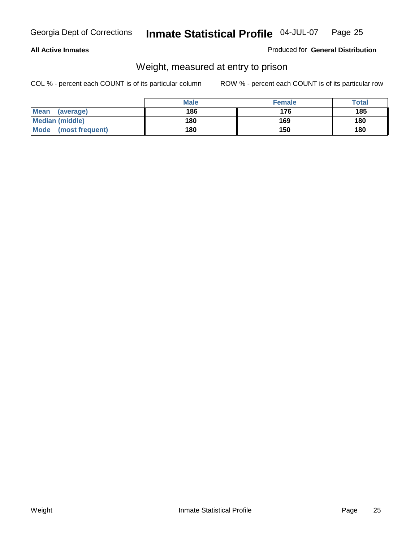#### **All Active Inmates**

#### Produced for **General Distribution**

### Weight, measured at entry to prison

|                         | <b>Male</b> | <b>Female</b> | Total |
|-------------------------|-------------|---------------|-------|
| Mean<br>(average)       | 186         | 176           | 185   |
| <b>Median (middle)</b>  | 180         | 169           | 180   |
| Mode<br>(most frequent) | 180         | 150           | 180   |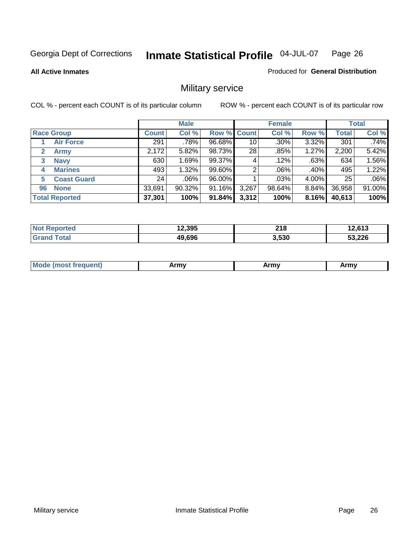**All Active Inmates**

#### Produced for **General Distribution**

### Military service

|                             |              | <b>Male</b> |                    |       | <b>Female</b> |       |              | <b>Total</b> |
|-----------------------------|--------------|-------------|--------------------|-------|---------------|-------|--------------|--------------|
| <b>Race Group</b>           | <b>Count</b> | Col %       | <b>Row % Count</b> |       | Col %         | Row % | <b>Total</b> | Col %        |
| <b>Air Force</b>            | 291          | ا %78.      | 96.68%             | 10    | $.30\%$       | 3.32% | 301          | .74%         |
| $\mathbf{2}$<br><b>Army</b> | 2,172        | 5.82%       | 98.73%             | 28    | .85%          | 1.27% | 2,200        | 5.42%        |
| <b>Navy</b><br>3            | 630          | 1.69%       | 99.37%             | 4     | .12%          | .63%  | 634          | 1.56%        |
| <b>Marines</b><br>4         | 493          | 1.32%       | 99.60%             | 2     | $.06\%$       | .40%  | 495          | 1.22%        |
| <b>Coast Guard</b><br>5     | 24           | $.06\%$     | 96.00%             |       | .03%          | 4.00% | 25           | .06%         |
| <b>None</b><br>96           | 33,691       | 90.32%      | 91.16%             | 3,267 | 98.64%        | 8.84% | 36,958       | 91.00%       |
| <b>Total Reported</b>       | 37,301       | 100%        | 91.84%             | 3,312 | 100%          | 8.16% | 40,613       | 100%         |

| ported<br><b>N</b>           | 12,395 | 218   | 0.012<br><b>2,013</b> |
|------------------------------|--------|-------|-----------------------|
| <b>Total</b><br><b>Grano</b> | 49,696 | 3,530 | 53,226                |

| <b>Mou</b><br><b>Army</b><br>ATIIV<br>41U -<br>$\sim$ 1111 $\sigma$ |  |
|---------------------------------------------------------------------|--|
|---------------------------------------------------------------------|--|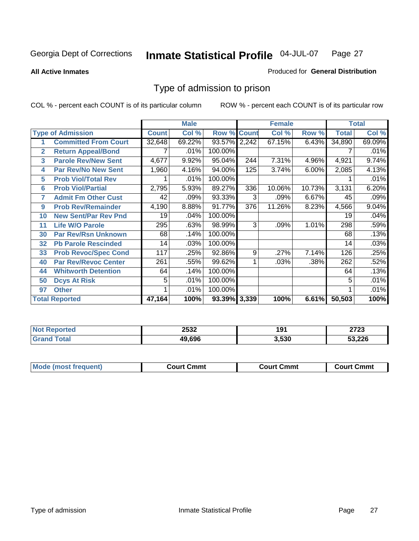#### **All Active Inmates**

#### Produced for **General Distribution**

### Type of admission to prison

|              |                             |              | <b>Male</b> |                    |     | <b>Female</b> |        |              | <b>Total</b> |
|--------------|-----------------------------|--------------|-------------|--------------------|-----|---------------|--------|--------------|--------------|
|              | <b>Type of Admission</b>    | <b>Count</b> | Col %       | <b>Row % Count</b> |     | Col %         | Row %  | <b>Total</b> | Col %        |
|              | <b>Committed From Court</b> | 32,648       | 69.22%      | 93.57% 2,242       |     | 67.15%        | 6.43%  | 34,890       | 69.09%       |
| $\mathbf{2}$ | <b>Return Appeal/Bond</b>   |              | .01%        | 100.00%            |     |               |        |              | .01%         |
| 3            | <b>Parole Rev/New Sent</b>  | 4,677        | 9.92%       | 95.04%             | 244 | 7.31%         | 4.96%  | 4,921        | 9.74%        |
| 4            | <b>Par Rev/No New Sent</b>  | 1,960        | 4.16%       | 94.00%             | 125 | 3.74%         | 6.00%  | 2,085        | 4.13%        |
| 5            | <b>Prob Viol/Total Rev</b>  |              | .01%        | 100.00%            |     |               |        |              | .01%         |
| 6            | <b>Prob Viol/Partial</b>    | 2,795        | 5.93%       | 89.27%             | 336 | 10.06%        | 10.73% | 3,131        | 6.20%        |
| 7            | <b>Admit Fm Other Cust</b>  | 42           | .09%        | 93.33%             | 3   | .09%          | 6.67%  | 45           | .09%         |
| 9            | <b>Prob Rev/Remainder</b>   | 4,190        | 8.88%       | 91.77%             | 376 | 11.26%        | 8.23%  | 4,566        | 9.04%        |
| 10           | <b>New Sent/Par Rev Pnd</b> | 19           | .04%        | 100.00%            |     |               |        | 19           | .04%         |
| 11           | <b>Life W/O Parole</b>      | 295          | .63%        | 98.99%             | 3   | .09%          | 1.01%  | 298          | .59%         |
| 30           | <b>Par Rev/Rsn Unknown</b>  | 68           | .14%        | 100.00%            |     |               |        | 68           | .13%         |
| 32           | <b>Pb Parole Rescinded</b>  | 14           | .03%        | 100.00%            |     |               |        | 14           | .03%         |
| 33           | <b>Prob Revoc/Spec Cond</b> | 117          | .25%        | 92.86%             | 9   | .27%          | 7.14%  | 126          | .25%         |
| 40           | <b>Par Rev/Revoc Center</b> | 261          | .55%        | 99.62%             |     | .03%          | .38%   | 262          | .52%         |
| 44           | <b>Whitworth Detention</b>  | 64           | .14%        | 100.00%            |     |               |        | 64           | .13%         |
| 50           | <b>Dcys At Risk</b>         | 5            | .01%        | 100.00%            |     |               |        | 5            | .01%         |
| 97           | <b>Other</b>                |              | .01%        | 100.00%            |     |               |        |              | .01%         |
|              | <b>Total Reported</b>       | 47,164       | 100%        | 93.39% 3,339       |     | 100%          | 6.61%  | 50,503       | 100%         |

| Reported<br><b>Not</b> | 2532   | 191   | 0700<br>د ۲ د ۲ |
|------------------------|--------|-------|-----------------|
| <b>ota</b><br>Grr      | 49.69F | 3,530 | 53,226          |

| <b>Mode (most frequent)</b><br><b>Court Cmmt</b><br>Court Cmmt | <b>Court Cmmt</b> |
|----------------------------------------------------------------|-------------------|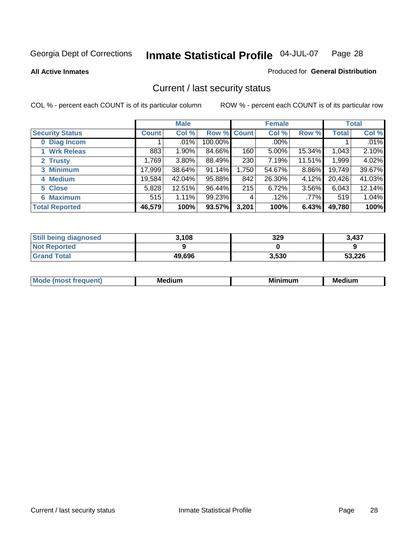**All Active Inmates**

#### Produced for **General Distribution**

### Current / last security status

|                        |         | <b>Male</b> |             |       | <b>Female</b> |        |              | <b>Total</b> |
|------------------------|---------|-------------|-------------|-------|---------------|--------|--------------|--------------|
| <b>Security Status</b> | Count l | Col %       | Row % Count |       | Col %         | Row %  | <b>Total</b> | Col %        |
| 0 Diag Incom           |         | .01%        | 100.00%     |       | $.00\%$       |        |              | .01%         |
| 1 Wrk Releas           | 883     | 1.90%       | 84.66%      | 160   | 5.00%         | 15.34% | 1,043        | 2.10%        |
| 2 Trusty               | 1.769   | 3.80%       | 88.49%      | 230   | 7.19%         | 11.51% | 1,999        | 4.02%        |
| 3 Minimum              | 17,999  | 38.64%      | 91.14%      | 1,750 | 54.67%        | 8.86%  | 19,749       | 39.67%       |
| 4 Medium               | 19,584  | 42.04%      | 95.88%      | 842   | 26.30%        | 4.12%  | 20,426       | 41.03%       |
| 5 Close                | 5,828   | 12.51%      | 96.44%      | 215   | 6.72%         | 3.56%  | 6,043        | 12.14%       |
| <b>6 Maximum</b>       | 515     | 1.11%       | 99.23%      | 4     | .12%          | .77%   | 519          | 1.04%        |
| <b>Total Reported</b>  | 46,579  | 100%        | 93.57%      | 3,201 | 100%          | 6.43%  | 49,780       | 100%         |

| <b>Still being diagnosed</b> | 3,108  | 329   | 3,437  |
|------------------------------|--------|-------|--------|
| <b>Not Reported</b>          |        |       |        |
| <b>Grand Total</b>           | 49,696 | 3,530 | 53,226 |

| $M_{\Omega}$<br>יחב | M۵<br>dium | <b>BAL.</b><br>num | Mer<br>dium |
|---------------------|------------|--------------------|-------------|
|                     |            |                    |             |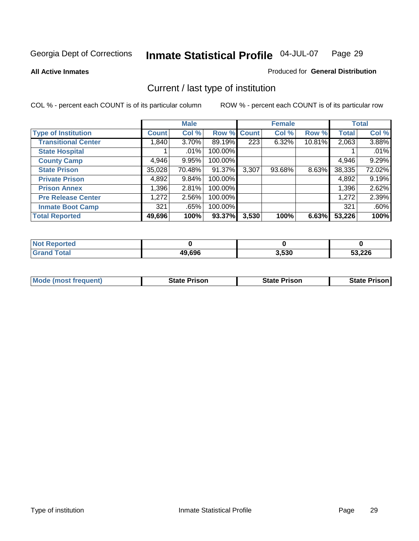**All Active Inmates**

#### Produced for **General Distribution**

### Current / last type of institution

|                            |              | <b>Male</b> |             |       | <b>Female</b> |        |                     | <b>Total</b> |
|----------------------------|--------------|-------------|-------------|-------|---------------|--------|---------------------|--------------|
| <b>Type of Institution</b> | <b>Count</b> | Col %       | Row % Count |       | Col %         | Row %  | <b>Total</b>        | Col %        |
| <b>Transitional Center</b> | 1,840        | $3.70\%$    | 89.19%      | 223   | 6.32%         | 10.81% | 2,063               | 3.88%        |
| <b>State Hospital</b>      |              | $.01\%$     | 100.00%     |       |               |        |                     | .01%         |
| <b>County Camp</b>         | 4,946        | 9.95%       | 100.00%     |       |               |        | 4,946               | 9.29%        |
| <b>State Prison</b>        | 35,028       | 70.48%      | 91.37%      | 3,307 | 93.68%        | 8.63%  | $\overline{38,335}$ | 72.02%       |
| <b>Private Prison</b>      | 4,892        | 9.84%       | 100.00%     |       |               |        | 4,892               | 9.19%        |
| <b>Prison Annex</b>        | 1,396        | 2.81%       | 100.00%     |       |               |        | 1,396               | 2.62%        |
| <b>Pre Release Center</b>  | 1,272        | 2.56%       | 100.00%     |       |               |        | 1,272               | 2.39%        |
| <b>Inmate Boot Camp</b>    | 321          | .65%        | 100.00%     |       |               |        | 321                 | .60%         |
| <b>Total Reported</b>      | 49,696       | 100%        | 93.37%      | 3,530 | 100%          | 6.63%  | 53,226              | 100%         |

| <b>Not Reported</b> |        |       |        |
|---------------------|--------|-------|--------|
| <b>Grand Total</b>  | 49,696 | 3,530 | 53,226 |

| <b>Mode (most frequent)</b> | <b>State Prison</b> | <b>State Prison</b> | <b>State Prison I</b> |
|-----------------------------|---------------------|---------------------|-----------------------|
|                             |                     |                     |                       |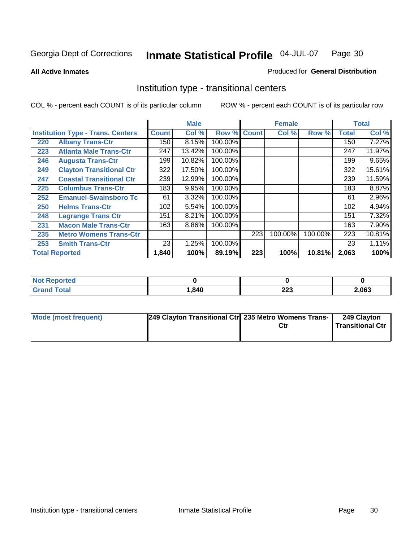**All Active Inmates**

#### Produced for **General Distribution**

### Institution type - transitional centers

|     |                                          |              | <b>Male</b> |                    |     | <b>Female</b> |         |              | <b>Total</b> |
|-----|------------------------------------------|--------------|-------------|--------------------|-----|---------------|---------|--------------|--------------|
|     | <b>Institution Type - Trans. Centers</b> | <b>Count</b> | Col %       | <b>Row % Count</b> |     | Col %         | Row %   | <b>Total</b> | Col %        |
| 220 | <b>Albany Trans-Ctr</b>                  | 150          | 8.15%       | 100.00%            |     |               |         | 150          | 7.27%        |
| 223 | <b>Atlanta Male Trans-Ctr</b>            | 247          | 13.42%      | 100.00%            |     |               |         | 247          | 11.97%       |
| 246 | <b>Augusta Trans-Ctr</b>                 | 199          | 10.82%      | 100.00%            |     |               |         | 199          | 9.65%        |
| 249 | <b>Clayton Transitional Ctr</b>          | 322          | 17.50%      | 100.00%            |     |               |         | 322          | 15.61%       |
| 247 | <b>Coastal Transitional Ctr</b>          | 239          | 12.99%      | 100.00%            |     |               |         | 239          | 11.59%       |
| 225 | <b>Columbus Trans-Ctr</b>                | 183          | 9.95%       | 100.00%            |     |               |         | 183          | 8.87%        |
| 252 | <b>Emanuel-Swainsboro Tc</b>             | 61           | 3.32%       | 100.00%            |     |               |         | 61           | 2.96%        |
| 250 | <b>Helms Trans-Ctr</b>                   | 102          | 5.54%       | 100.00%            |     |               |         | 102          | 4.94%        |
| 248 | <b>Lagrange Trans Ctr</b>                | 151          | 8.21%       | 100.00%            |     |               |         | 151          | 7.32%        |
| 231 | <b>Macon Male Trans-Ctr</b>              | 163          | 8.86%       | 100.00%            |     |               |         | 163          | 7.90%        |
| 235 | <b>Metro Womens Trans-Ctr</b>            |              |             |                    | 223 | 100.00%       | 100.00% | 223          | 10.81%       |
| 253 | <b>Smith Trans-Ctr</b>                   | 23           | 1.25%       | 100.00%            |     |               |         | 23           | 1.11%        |
|     | <b>Total Reported</b>                    | 1,840        | 100%        | 89.19%             | 223 | 100%          | 10.81%  | 2,063        | 100%         |

| mueu -<br>$\cdots$ |      |            |       |
|--------------------|------|------------|-------|
|                    | .840 | nna<br>LLJ | 2,063 |

| Mode (most frequent) | [249 Clayton Transitional Ctr] 235 Metro Womens Trans- | 249 Clayton<br><b>Transitional Ctr</b> |
|----------------------|--------------------------------------------------------|----------------------------------------|
|                      |                                                        |                                        |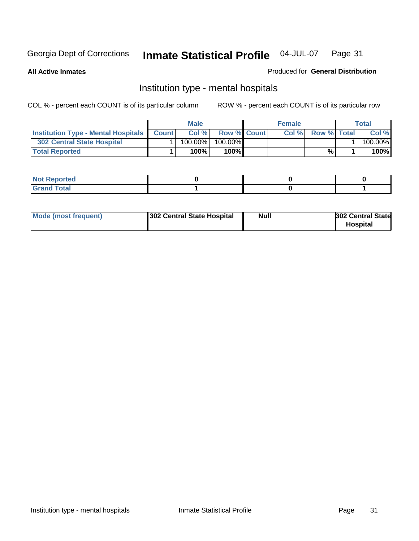**All Active Inmates**

#### Produced for **General Distribution**

### Institution type - mental hospitals

|                                                  | <b>Male</b> |                    | <b>Female</b> |                    | Total   |
|--------------------------------------------------|-------------|--------------------|---------------|--------------------|---------|
| <b>Institution Type - Mental Hospitals Count</b> | Col%        | <b>Row % Count</b> | Col%          | <b>Row % Total</b> | Col %   |
| 302 Central State Hospital                       | $100.00\%$  | 100.00%            |               |                    | 100.00% |
| <b>Total Reported</b>                            | 100%        | 100%I              |               | %                  | 100%    |

| <b><i>College College College College College College College College College College College College College College College College College College College College College College College College College College College Coll</i></b><br><b>NOT Reported</b> |  |  |
|-------------------------------------------------------------------------------------------------------------------------------------------------------------------------------------------------------------------------------------------------------------------|--|--|
| $int^{\bullet}$<br>.                                                                                                                                                                                                                                              |  |  |

| Mode (most frequent)<br>302 Central State Hospital | Null | <b>302 Central State</b><br><b>Hospital</b> |
|----------------------------------------------------|------|---------------------------------------------|
|----------------------------------------------------|------|---------------------------------------------|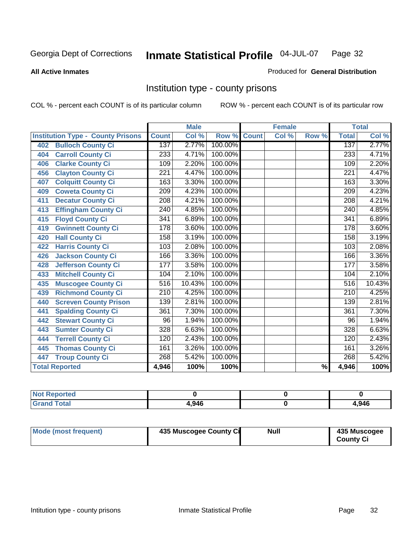#### **All Active Inmates**

#### Produced for **General Distribution**

### Institution type - county prisons

|                                          |                  | <b>Male</b> |         |              | <b>Female</b> |                          |                  | <b>Total</b>               |
|------------------------------------------|------------------|-------------|---------|--------------|---------------|--------------------------|------------------|----------------------------|
| <b>Institution Type - County Prisons</b> | <b>Count</b>     | Col %       | Row %   | <b>Count</b> | Col %         | Row %                    | <b>Total</b>     | $\overline{\text{Col }^9}$ |
| <b>Bulloch County Ci</b><br>402          | 137              | 2.77%       | 100.00% |              |               |                          | 137              | 2.77%                      |
| <b>Carroll County Ci</b><br>404          | 233              | 4.71%       | 100.00% |              |               |                          | 233              | 4.71%                      |
| <b>Clarke County Ci</b><br>406           | 109              | 2.20%       | 100.00% |              |               |                          | 109              | 2.20%                      |
| <b>Clayton County Ci</b><br>456          | 221              | 4.47%       | 100.00% |              |               |                          | 221              | 4.47%                      |
| <b>Colquitt County Ci</b><br>407         | 163              | 3.30%       | 100.00% |              |               |                          | 163              | 3.30%                      |
| <b>Coweta County Ci</b><br>409           | $\overline{209}$ | 4.23%       | 100.00% |              |               |                          | $\overline{209}$ | 4.23%                      |
| <b>Decatur County Ci</b><br>411          | 208              | 4.21%       | 100.00% |              |               |                          | 208              | 4.21%                      |
| <b>Effingham County Ci</b><br>413        | 240              | 4.85%       | 100.00% |              |               |                          | 240              | 4.85%                      |
| <b>Floyd County Ci</b><br>415            | $\overline{341}$ | 6.89%       | 100.00% |              |               |                          | $\overline{3}41$ | 6.89%                      |
| <b>Gwinnett County Ci</b><br>419         | $\overline{178}$ | 3.60%       | 100.00% |              |               |                          | 178              | 3.60%                      |
| <b>Hall County Ci</b><br>420             | 158              | 3.19%       | 100.00% |              |               |                          | 158              | 3.19%                      |
| <b>Harris County Ci</b><br>422           | 103              | 2.08%       | 100.00% |              |               |                          | 103              | 2.08%                      |
| <b>Jackson County Ci</b><br>426          | 166              | 3.36%       | 100.00% |              |               |                          | 166              | 3.36%                      |
| <b>Jefferson County Ci</b><br>428        | 177              | 3.58%       | 100.00% |              |               |                          | 177              | 3.58%                      |
| <b>Mitchell County Ci</b><br>433         | 104              | 2.10%       | 100.00% |              |               |                          | 104              | 2.10%                      |
| <b>Muscogee County Ci</b><br>435         | 516              | 10.43%      | 100.00% |              |               |                          | $\overline{516}$ | 10.43%                     |
| <b>Richmond County Ci</b><br>439         | $\overline{210}$ | 4.25%       | 100.00% |              |               |                          | $\overline{210}$ | 4.25%                      |
| <b>Screven County Prison</b><br>440      | 139              | 2.81%       | 100.00% |              |               |                          | 139              | 2.81%                      |
| <b>Spalding County Ci</b><br>441         | 361              | 7.30%       | 100.00% |              |               |                          | 361              | 7.30%                      |
| <b>Stewart County Ci</b><br>442          | 96               | 1.94%       | 100.00% |              |               |                          | 96               | 1.94%                      |
| <b>Sumter County Ci</b><br>443           | $\overline{328}$ | 6.63%       | 100.00% |              |               |                          | $\overline{328}$ | 6.63%                      |
| <b>Terrell County Ci</b><br>444          | 120              | 2.43%       | 100.00% |              |               |                          | 120              | 2.43%                      |
| <b>Thomas County Ci</b><br>445           | 161              | 3.26%       | 100.00% |              |               |                          | 161              | 3.26%                      |
| <b>Troup County Ci</b><br>447            | 268              | 5.42%       | 100.00% |              |               |                          | 268              | 5.42%                      |
| <b>Total Reported</b>                    | 4,946            | 100%        | 100%    |              |               | $\overline{\frac{9}{6}}$ | 4,946            | 100%                       |

| τeα                   |       |      |
|-----------------------|-------|------|
| $n \leftrightarrow n$ | 4.946 | .946 |

| Mode (most frequent) | 435 Muscogee County Ci | Null | 435 Muscogee |
|----------------------|------------------------|------|--------------|
|                      |                        |      | County Ci    |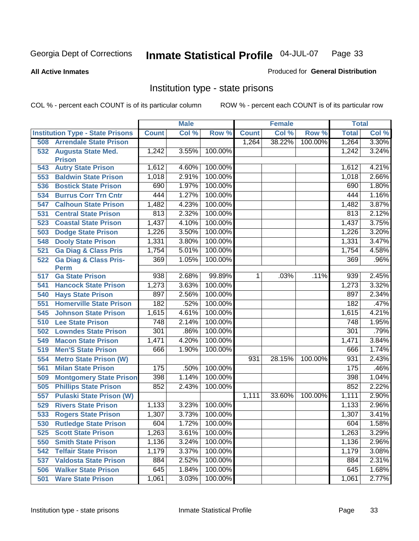#### **All Active Inmates**

#### Produced for **General Distribution**

### Institution type - state prisons

|     |                                         |              | <b>Male</b> |         |                | <b>Female</b> |         | <b>Total</b> |       |
|-----|-----------------------------------------|--------------|-------------|---------|----------------|---------------|---------|--------------|-------|
|     | <b>Institution Type - State Prisons</b> | <b>Count</b> | Col %       | Row %   | <b>Count</b>   | Col %         | Row %   | <b>Total</b> | Col % |
| 508 | <b>Arrendale State Prison</b>           |              |             |         | 1,264          | 38.22%        | 100.00% | 1,264        | 3.30% |
|     | 532 Augusta State Med.<br><b>Prison</b> | 1,242        | 3.55%       | 100.00% |                |               |         | 1,242        | 3.24% |
| 543 | <b>Autry State Prison</b>               | 1,612        | 4.60%       | 100.00% |                |               |         | 1,612        | 4.21% |
| 553 | <b>Baldwin State Prison</b>             | 1,018        | 2.91%       | 100.00% |                |               |         | 1,018        | 2.66% |
| 536 | <b>Bostick State Prison</b>             | 690          | 1.97%       | 100.00% |                |               |         | 690          | 1.80% |
| 534 | <b>Burrus Corr Trn Cntr</b>             | 444          | 1.27%       | 100.00% |                |               |         | 444          | 1.16% |
| 547 | <b>Calhoun State Prison</b>             | 1,482        | 4.23%       | 100.00% |                |               |         | 1,482        | 3.87% |
| 531 | <b>Central State Prison</b>             | 813          | 2.32%       | 100.00% |                |               |         | 813          | 2.12% |
| 523 | <b>Coastal State Prison</b>             | 1,437        | 4.10%       | 100.00% |                |               |         | 1,437        | 3.75% |
| 503 | <b>Dodge State Prison</b>               | 1,226        | 3.50%       | 100.00% |                |               |         | 1,226        | 3.20% |
| 548 | <b>Dooly State Prison</b>               | 1,331        | 3.80%       | 100.00% |                |               |         | 1,331        | 3.47% |
| 521 | <b>Ga Diag &amp; Class Pris</b>         | 1,754        | 5.01%       | 100.00% |                |               |         | 1,754        | 4.58% |
| 522 | <b>Ga Diag &amp; Class Pris-</b>        | 369          | 1.05%       | 100.00% |                |               |         | 369          | .96%  |
| 517 | <b>Perm</b><br><b>Ga State Prison</b>   | 938          | 2.68%       | 99.89%  | 1 <sup>1</sup> | .03%          | .11%    | 939          | 2.45% |
| 541 | <b>Hancock State Prison</b>             | 1,273        | 3.63%       | 100.00% |                |               |         | 1,273        | 3.32% |
| 540 | <b>Hays State Prison</b>                | 897          | 2.56%       | 100.00% |                |               |         | 897          | 2.34% |
| 551 | <b>Homerville State Prison</b>          | 182          | .52%        | 100.00% |                |               |         | 182          | .47%  |
| 545 | <b>Johnson State Prison</b>             | 1,615        | 4.61%       | 100.00% |                |               |         | 1,615        | 4.21% |
| 510 | <b>Lee State Prison</b>                 | 748          | 2.14%       | 100.00% |                |               |         | 748          | 1.95% |
| 502 | <b>Lowndes State Prison</b>             | 301          | .86%        | 100.00% |                |               |         | 301          | .79%  |
| 549 | <b>Macon State Prison</b>               | 1,471        | 4.20%       | 100.00% |                |               |         | 1,471        | 3.84% |
| 519 | <b>Men'S State Prison</b>               | 666          | 1.90%       | 100.00% |                |               |         | 666          | 1.74% |
| 554 | <b>Metro State Prison (W)</b>           |              |             |         | 931            | 28.15%        | 100.00% | 931          | 2.43% |
| 561 | <b>Milan State Prison</b>               | 175          | .50%        | 100.00% |                |               |         | 175          | .46%  |
| 509 | <b>Montgomery State Prison</b>          | 398          | 1.14%       | 100.00% |                |               |         | 398          | 1.04% |
| 505 | <b>Phillips State Prison</b>            | 852          | 2.43%       | 100.00% |                |               |         | 852          | 2.22% |
| 557 | <b>Pulaski State Prison (W)</b>         |              |             |         | 1,111          | 33.60%        | 100.00% | 1,111        | 2.90% |
| 529 | <b>Rivers State Prison</b>              | 1,133        | 3.23%       | 100.00% |                |               |         | 1,133        | 2.96% |
| 533 | <b>Rogers State Prison</b>              | 1,307        | 3.73%       | 100.00% |                |               |         | 1,307        | 3.41% |
| 530 | <b>Rutledge State Prison</b>            | 604          | 1.72%       | 100.00% |                |               |         | 604          | 1.58% |
| 525 | <b>Scott State Prison</b>               | 1,263        | 3.61%       | 100.00% |                |               |         | 1,263        | 3.29% |
| 550 | <b>Smith State Prison</b>               | 1,136        | 3.24%       | 100.00% |                |               |         | 1,136        | 2.96% |
| 542 | <b>Telfair State Prison</b>             | 1,179        | 3.37%       | 100.00% |                |               |         | 1,179        | 3.08% |
| 537 | <b>Valdosta State Prison</b>            | 884          | 2.52%       | 100.00% |                |               |         | 884          | 2.31% |
| 506 | <b>Walker State Prison</b>              | 645          | 1.84%       | 100.00% |                |               |         | 645          | 1.68% |
| 501 | <b>Ware State Prison</b>                | 1,061        | 3.03%       | 100.00% |                |               |         | 1,061        | 2.77% |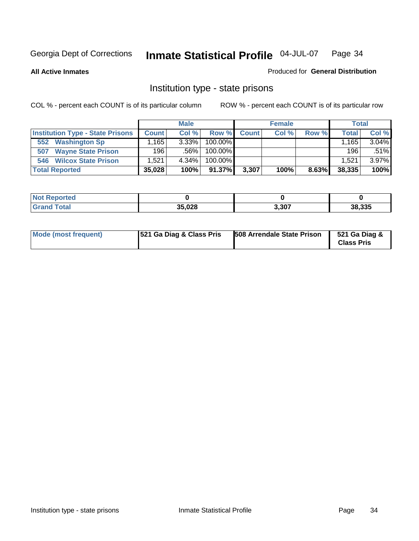**All Active Inmates**

#### Produced for **General Distribution**

### Institution type - state prisons

|                                         |              | <b>Male</b> |            |       | <b>Female</b> |       | <b>Total</b> |       |
|-----------------------------------------|--------------|-------------|------------|-------|---------------|-------|--------------|-------|
| <b>Institution Type - State Prisons</b> | <b>Count</b> | Col %       | Row %      | Count | Col %         | Row % | Total        | Col % |
| <b>Washington Sp</b><br>552             | ,165         | $3.33\%$    | $100.00\%$ |       |               |       | ⊟165         | 3.04% |
| <b>Wayne State Prison</b><br>507        | 196          | .56%        | $100.00\%$ |       |               |       | 196          | .51%  |
| <b>Wilcox State Prison</b><br>546       | .521         | 4.34%       | $100.00\%$ |       |               |       | 1.521        | 3.97% |
| <b>Total Reported</b>                   | 35,028       | 100%        | $91.37\%$  | 3,307 | 100%          | 8.63% | 38,335       | 100%  |

| 'Not<br>Reported |        |       |        |
|------------------|--------|-------|--------|
| <b>Total</b>     | 35.028 | 3,307 | 38.335 |

| Mode (most frequent) | 521 Ga Diag & Class Pris | 508 Arrendale State Prison | 521 Ga Diag &<br><b>Class Pris</b> |
|----------------------|--------------------------|----------------------------|------------------------------------|
|----------------------|--------------------------|----------------------------|------------------------------------|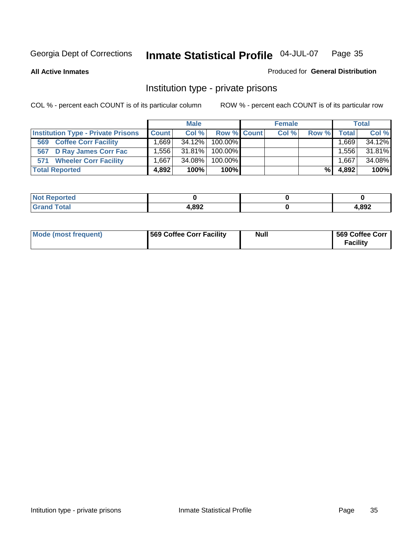**All Active Inmates**

#### Produced for **General Distribution**

### Institution type - private prisons

|                                           |              | <b>Male</b> |             | <b>Female</b> |       |         | <b>Total</b> |
|-------------------------------------------|--------------|-------------|-------------|---------------|-------|---------|--------------|
| <b>Institution Type - Private Prisons</b> | <b>Count</b> | Col %       | Row % Count | Col %         | Row % | Total   | Col %        |
| <b>Coffee Corr Facility</b><br>569        | .669 l       | 34.12%      | 100.00%     |               |       | ∃669، ، | 34.12%       |
| 567 D Ray James Corr Fac                  | .5561        | 31.81%      | 100.00%     |               |       | .556    | 31.81%       |
| <b>Wheeler Corr Facility</b><br>571       | .667         | 34.08%      | 100.00%     |               |       | .667    | 34.08%       |
| <b>Total Reported</b>                     | 4.892        | 100%        | 100%        |               | %     | 4,892   | 100%         |

| rted<br>NOT              |       |      |
|--------------------------|-------|------|
| <b>Total</b><br>$\sim$ . | 1,892 | ,892 |

| <b>Mode (most frequent)</b> | 569 Coffee Corr Facility | <b>Null</b> | 569 Coffee Corr<br><b>Facility</b> |
|-----------------------------|--------------------------|-------------|------------------------------------|
|-----------------------------|--------------------------|-------------|------------------------------------|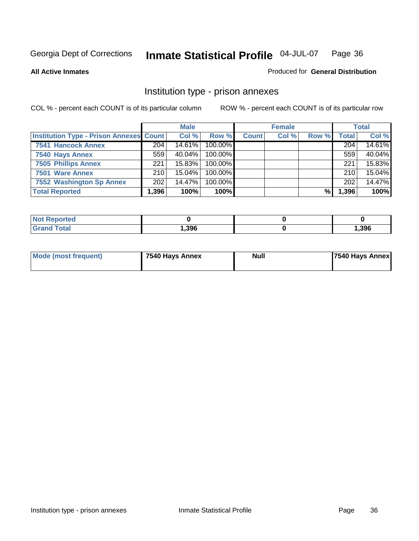#### **All Active Inmates**

#### Produced for **General Distribution**

### Institution type - prison annexes

|                                                | <b>Male</b> |           | <b>Female</b> |              |       | <b>Total</b> |              |        |
|------------------------------------------------|-------------|-----------|---------------|--------------|-------|--------------|--------------|--------|
| <b>Institution Type - Prison Annexes Count</b> |             | Col %     | Row %         | <b>Count</b> | Col % | Row %        | <b>Total</b> | Col %  |
| <b>7541 Hancock Annex</b>                      | 204         | 14.61%    | 100.00%       |              |       |              | 204          | 14.61% |
| 7540 Hays Annex                                | 559         | $40.04\%$ | $100.00\%$    |              |       |              | 559          | 40.04% |
| <b>7505 Phillips Annex</b>                     | 221         | $15.83\%$ | 100.00%       |              |       |              | 221          | 15.83% |
| 7501 Ware Annex                                | 210         | 15.04%    | $100.00\%$    |              |       |              | 210          | 15.04% |
| 7552 Washington Sp Annex                       | 202         | 14.47%    | 100.00%       |              |       |              | 202          | 14.47% |
| <b>Total Reported</b>                          | 1,396       | 100%      | $100\%$       |              |       | %            | 396. ا       | 100%   |

| <b>ported</b><br>' NOT |      |       |
|------------------------|------|-------|
| <b>Total</b>           | 396, | 1,396 |

| Mode (most frequent) | 7540 Hays Annex | <b>Null</b> | <b>7540 Hays Annex</b> |
|----------------------|-----------------|-------------|------------------------|
|                      |                 |             |                        |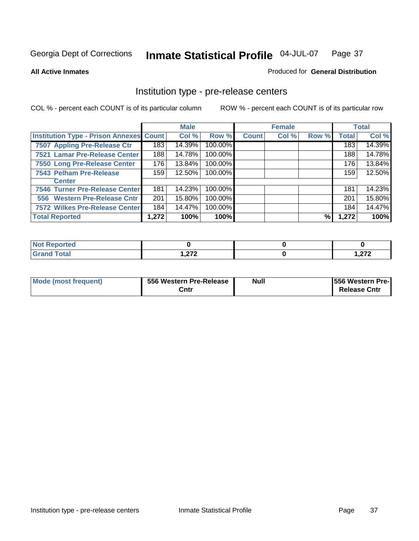#### **All Active Inmates**

#### Produced for **General Distribution**

### Institution type - pre-release centers

|                                         |       | <b>Male</b> |         |              | <b>Female</b> |       |              | <b>Total</b> |
|-----------------------------------------|-------|-------------|---------|--------------|---------------|-------|--------------|--------------|
| Institution Type - Prison Annexes Count |       | Col %       | Row %   | <b>Count</b> | Col %         | Row % | <b>Total</b> | Col %        |
| 7507 Appling Pre-Release Ctr            | 183   | 14.39%      | 100.00% |              |               |       | 183          | 14.39%       |
| 7521 Lamar Pre-Release Center           | 188   | 14.78%      | 100.00% |              |               |       | 188          | 14.78%       |
| 7550 Long Pre-Release Center            | 176   | 13.84%      | 100.00% |              |               |       | 176          | 13.84%       |
| 7543 Pelham Pre-Release                 | 159   | 12.50%      | 100.00% |              |               |       | 159          | 12.50%       |
| <b>Center</b>                           |       |             |         |              |               |       |              |              |
| 7546 Turner Pre-Release Center          | 181   | 14.23%      | 100.00% |              |               |       | 181          | 14.23%       |
| 556 Western Pre-Release Cntr            | 201   | 15.80%      | 100.00% |              |               |       | 201          | 15.80%       |
| 7572 Wilkes Pre-Release Center          | 184   | 14.47%      | 100.00% |              |               |       | 184          | 14.47%       |
| <b>Total Reported</b>                   | 1,272 | 100%        | 100%    |              |               | %     | 1,272        | 100%         |

| Reported     |               |                |
|--------------|---------------|----------------|
| <b>Total</b> | -270          | היה            |
| Grar         | 1. <i>lle</i> | ک <i>ت</i> ھرا |

| Mode (most frequent) | 556 Western Pre-Release | <b>Null</b> | <b>1556 Western Pre-I</b> |
|----------------------|-------------------------|-------------|---------------------------|
|                      | Cntr                    |             | <b>Release Cntr</b>       |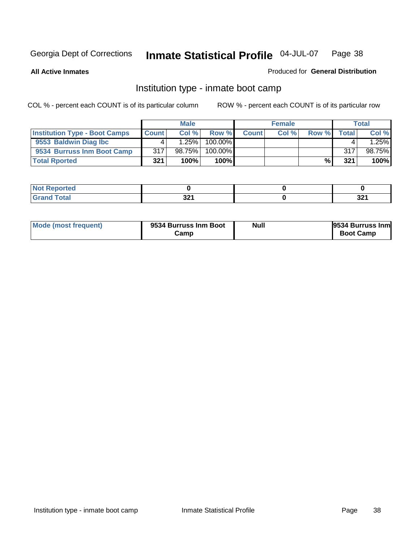**All Active Inmates**

#### Produced for **General Distribution**

### Institution type - inmate boot camp

|                                      |       | <b>Male</b> |               |              | <b>Female</b> |       |        | <b>Total</b> |
|--------------------------------------|-------|-------------|---------------|--------------|---------------|-------|--------|--------------|
| <b>Institution Type - Boot Camps</b> | Count | Col%        | Row %         | <b>Count</b> | Col %         | Row % | Totall | Col %        |
| 9553 Baldwin Diag Ibc                |       | 1.25%       | $100.00\%$    |              |               |       |        | .25%         |
| 9534 Burruss Inm Boot Camp           | 317   | 98.75%      | 100.00%       |              |               |       | 317    | 98.75%       |
| <b>Total Rported</b>                 | 321   | 100%        | 100% <b>I</b> |              |               | %     | 321    | 100%         |

| rted.       |     |     |
|-------------|-----|-----|
| <b>otal</b> | ົາລ | 224 |
| ----        | JZI | JZI |

| Mode (most frequent) | 9534 Burruss Inm Boot<br>Camp | Null | 9534 Burruss Inm<br><b>Boot Camp</b> |
|----------------------|-------------------------------|------|--------------------------------------|
|----------------------|-------------------------------|------|--------------------------------------|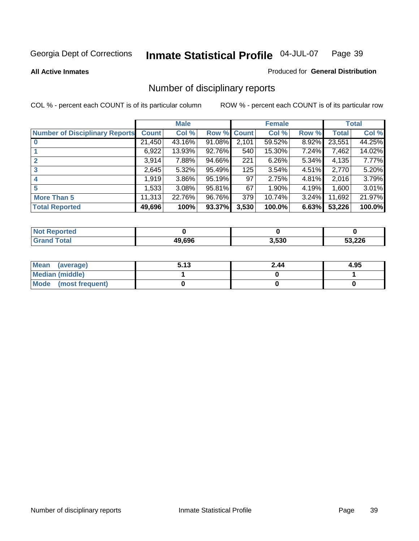**All Active Inmates**

#### Produced for **General Distribution**

## Number of disciplinary reports

|                                       |              | <b>Male</b> |        |              | <b>Female</b> |          |              | <b>Total</b> |
|---------------------------------------|--------------|-------------|--------|--------------|---------------|----------|--------------|--------------|
| <b>Number of Disciplinary Reports</b> | <b>Count</b> | Col %       | Row %  | <b>Count</b> | Col %         | Row %    | <b>Total</b> | Col %        |
|                                       | 21,450       | 43.16%      | 91.08% | 2,101        | 59.52%        | 8.92%    | 23,551       | 44.25%       |
|                                       | 6,922        | 13.93%      | 92.76% | 540          | 15.30%        | 7.24%    | 7,462        | 14.02%       |
|                                       | 3,914        | 7.88%       | 94.66% | 221          | 6.26%         | 5.34%    | 4,135        | 7.77%        |
| 3                                     | 2,645        | 5.32%       | 95.49% | 125          | 3.54%         | 4.51%    | 2,770        | 5.20%        |
|                                       | 1,919        | $3.86\%$    | 95.19% | 97           | 2.75%         | 4.81%    | 2,016        | 3.79%        |
| 5                                     | 1,533        | $3.08\%$    | 95.81% | 67           | 1.90%         | 4.19%    | 1,600        | 3.01%        |
| <b>More Than 5</b>                    | 11,313       | 22.76%      | 96.76% | 379          | 10.74%        | $3.24\%$ | 11,692       | 21.97%       |
| <b>Total Reported</b>                 | 49,696       | 100%        | 93.37% | 3,530        | 100.0%        | 6.63%    | 53,226       | 100.0%       |

| N                   |        |       |        |
|---------------------|--------|-------|--------|
| $\sim$ 10<br>______ | in chc | 3.530 | 53 226 |

| Mean (average)       | 5.13 | 2.44 | 4.95 |
|----------------------|------|------|------|
| Median (middle)      |      |      |      |
| Mode (most frequent) |      |      |      |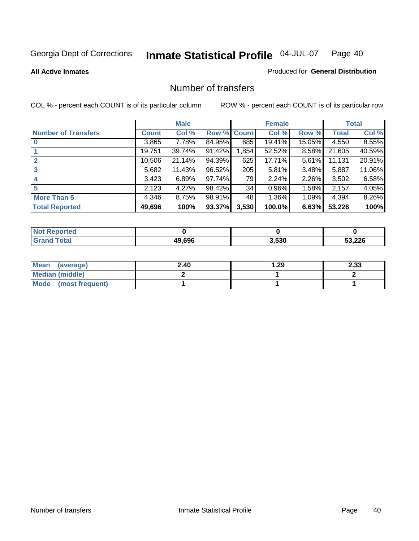#### **All Active Inmates**

#### Produced for **General Distribution**

### Number of transfers

|                            |         | <b>Male</b> |        |              | <b>Female</b> |          |              | <b>Total</b> |
|----------------------------|---------|-------------|--------|--------------|---------------|----------|--------------|--------------|
| <b>Number of Transfers</b> | Count l | Col %       | Row %  | <b>Count</b> | Col %         | Row %    | <b>Total</b> | Col %        |
|                            | 3,865   | $7.78\%$    | 84.95% | 685          | 19.41%        | 15.05%   | 4,550        | 8.55%        |
|                            | 19,751  | 39.74%      | 91.42% | 1,854        | 52.52%        | 8.58%    | 21,605       | 40.59%       |
|                            | 10,506  | 21.14%      | 94.39% | 625          | 17.71%        | 5.61%    | 11,131       | 20.91%       |
| 3                          | 5,682   | 11.43%      | 96.52% | 205          | 5.81%         | $3.48\%$ | 5,887        | 11.06%       |
|                            | 3,423   | 6.89%       | 97.74% | 79           | 2.24%         | $2.26\%$ | 3,502        | 6.58%        |
| 5                          | 2,123   | 4.27%       | 98.42% | 34           | 0.96%         | $1.58\%$ | 2,157        | 4.05%        |
| <b>More Than 5</b>         | 4,346   | 8.75%       | 98.91% | 48           | 1.36%         | $1.09\%$ | 4,394        | 8.26%        |
| <b>Total Reported</b>      | 49,696  | 100%        | 93.37% | 3,530        | 100.0%        | 6.63%    | 53,226       | 100%         |

| ---<br>N                        |           |       |        |
|---------------------------------|-----------|-------|--------|
| $f \wedge f \wedge f$<br>______ | $AO$ $GO$ | 3.530 | 53,226 |

| Mean (average)       | 2.40 | ∣.29 | 2.33 |
|----------------------|------|------|------|
| Median (middle)      |      |      |      |
| Mode (most frequent) |      |      |      |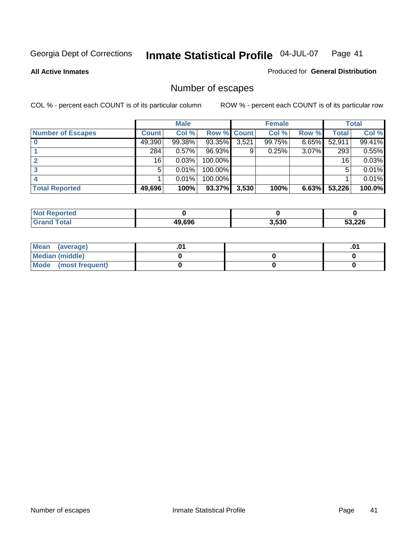**All Active Inmates**

#### Produced for **General Distribution**

## Number of escapes

|                          |              | <b>Male</b> |             |       | <b>Female</b> |          |        | <b>Total</b> |
|--------------------------|--------------|-------------|-------------|-------|---------------|----------|--------|--------------|
| <b>Number of Escapes</b> | <b>Count</b> | Col %       | Row % Count |       | Col %         | Row %    | Total  | Col %        |
|                          | 49,390       | 99.38%      | 93.35%      | 3,521 | 99.75%        | $6.65\%$ | 52,911 | 99.41%       |
|                          | 284          | 0.57%       | 96.93%      | 9     | 0.25%         | 3.07%    | 293    | 0.55%        |
|                          | 16           | 0.03%       | 100.00%     |       |               |          | 16     | 0.03%        |
|                          | 5            | 0.01%       | 100.00%     |       |               |          | 5      | 0.01%        |
|                          |              | 0.01%       | $100.00\%$  |       |               |          |        | 0.01%        |
| <b>Total Reported</b>    | 49,696       | 100%        | 93.37%      | 3,530 | 100%          | 6.63%    | 53,226 | 100.0%       |

| Reported          |        |       |        |
|-------------------|--------|-------|--------|
| T <sub>ofol</sub> | 49.696 | 3.530 | 53,226 |

| Mean (average)       |  | ו ש. |
|----------------------|--|------|
| Median (middle)      |  |      |
| Mode (most frequent) |  |      |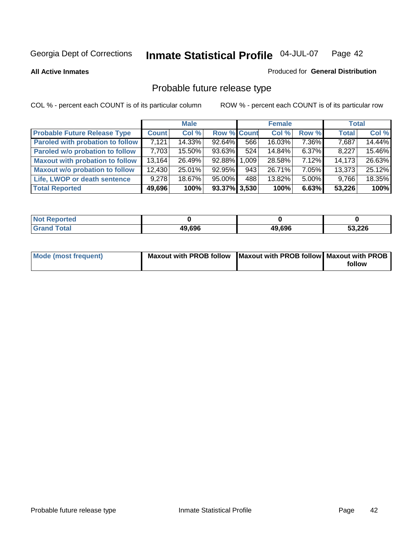**All Active Inmates**

#### Produced for **General Distribution**

## Probable future release type

|                                         |              | <b>Male</b> |                    |                        | <b>Female</b> |          | <b>Total</b> |        |
|-----------------------------------------|--------------|-------------|--------------------|------------------------|---------------|----------|--------------|--------|
| <b>Probable Future Release Type</b>     | <b>Count</b> | Col %       | <b>Row % Count</b> |                        | Col %         | Row %    | <b>Total</b> | Col %  |
| <b>Paroled with probation to follow</b> | 7,121        | 14.33%      | $92.64\%$          | 566                    | 16.03%        | 7.36%    | 7,687        | 14.44% |
| Paroled w/o probation to follow         | 7,703        | $15.50\%$   | 93.63%             | 524                    | 14.84%        | $6.37\%$ | 8,227        | 15.46% |
| <b>Maxout with probation to follow</b>  | 13,164       | 26.49%      | 92.88%             | .009 <sub>1</sub><br>1 | 28.58%        | $7.12\%$ | 14,173       | 26.63% |
| <b>Maxout w/o probation to follow</b>   | 12,430       | 25.01%      | 92.95%             | 943                    | 26.71%        | 7.05%    | 13,373       | 25.12% |
| Life, LWOP or death sentence            | 9,278        | 18.67%      | $95.00\%$          | 488                    | 13.82%        | $5.00\%$ | 9,766        | 18.35% |
| <b>Total Reported</b>                   | 49,696       | 100%        | 93.37% 3,530       |                        | 100%          | 6.63%    | 53,226       | 100%   |

| $'$ Not $_1$<br>Reported |        |        |        |
|--------------------------|--------|--------|--------|
| <b>Grand Total</b>       | 49,696 | 49,696 | 53,226 |

| Mode (most frequent) | Maxout with PROB follow   Maxout with PROB follow   Maxout with PROB |        |
|----------------------|----------------------------------------------------------------------|--------|
|                      |                                                                      | follow |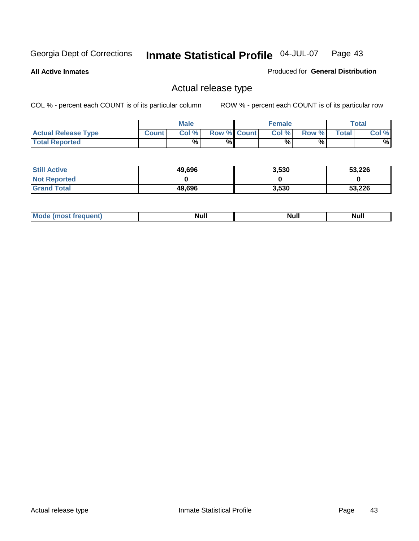**All Active Inmates**

Produced for **General Distribution**

### Actual release type

|                            |              | <b>Male</b> |                    | <b>Female</b> |        |       | $\tau$ otal |
|----------------------------|--------------|-------------|--------------------|---------------|--------|-------|-------------|
| <b>Actual Release Type</b> | <b>Count</b> | Col %       | <b>Row % Count</b> | Col %         | Row %I | Total | Col %       |
| <b>Total Reported</b>      |              | $\%$        | %                  | %             | %      |       | %           |

| <b>Still Active</b> | 49,696 | 3,530 | 53,226 |
|---------------------|--------|-------|--------|
| <b>Not Reported</b> |        |       |        |
| <b>Grand Total</b>  | 49,696 | 3,530 | 53,226 |

| īМ | м.<br>$-$ - $-$ - $-$ - $-$ | Null | $\cdots$ |
|----|-----------------------------|------|----------|
|    |                             |      |          |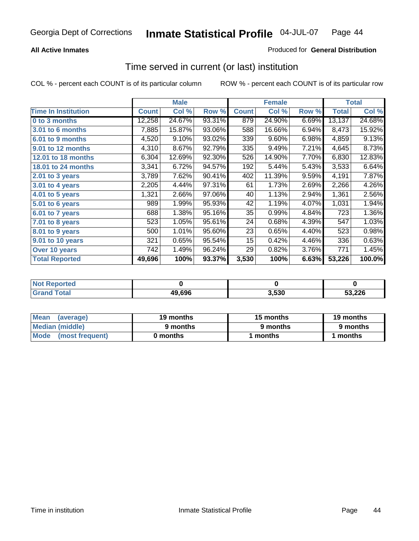### **All Active Inmates**

### Produced for **General Distribution**

### Time served in current (or last) institution

|                            |              | <b>Male</b> |        |              | <b>Female</b> |       |        | <b>Total</b> |
|----------------------------|--------------|-------------|--------|--------------|---------------|-------|--------|--------------|
| <b>Time In Institution</b> | <b>Count</b> | Col %       | Row %  | <b>Count</b> | Col %         | Row % | Total  | Col %        |
| 0 to 3 months              | 12,258       | 24.67%      | 93.31% | 879          | 24.90%        | 6.69% | 13,137 | 24.68%       |
| 3.01 to 6 months           | 7,885        | 15.87%      | 93.06% | 588          | 16.66%        | 6.94% | 8,473  | 15.92%       |
| 6.01 to 9 months           | 4,520        | 9.10%       | 93.02% | 339          | 9.60%         | 6.98% | 4,859  | 9.13%        |
| 9.01 to 12 months          | 4,310        | 8.67%       | 92.79% | 335          | 9.49%         | 7.21% | 4,645  | 8.73%        |
| 12.01 to 18 months         | 6,304        | 12.69%      | 92.30% | 526          | 14.90%        | 7.70% | 6,830  | 12.83%       |
| <b>18.01 to 24 months</b>  | 3,341        | 6.72%       | 94.57% | 192          | 5.44%         | 5.43% | 3,533  | 6.64%        |
| 2.01 to 3 years            | 3,789        | 7.62%       | 90.41% | 402          | 11.39%        | 9.59% | 4,191  | 7.87%        |
| 3.01 to 4 years            | 2,205        | 4.44%       | 97.31% | 61           | 1.73%         | 2.69% | 2,266  | 4.26%        |
| 4.01 to 5 years            | 1,321        | 2.66%       | 97.06% | 40           | 1.13%         | 2.94% | 1,361  | 2.56%        |
| 5.01 to 6 years            | 989          | 1.99%       | 95.93% | 42           | 1.19%         | 4.07% | 1,031  | 1.94%        |
| 6.01 to 7 years            | 688          | 1.38%       | 95.16% | 35           | 0.99%         | 4.84% | 723    | 1.36%        |
| 7.01 to 8 years            | 523          | 1.05%       | 95.61% | 24           | 0.68%         | 4.39% | 547    | 1.03%        |
| 8.01 to 9 years            | 500          | 1.01%       | 95.60% | 23           | 0.65%         | 4.40% | 523    | 0.98%        |
| 9.01 to 10 years           | 321          | 0.65%       | 95.54% | 15           | 0.42%         | 4.46% | 336    | 0.63%        |
| Over 10 years              | 742          | 1.49%       | 96.24% | 29           | 0.82%         | 3.76% | 771    | 1.45%        |
| <b>Total Reported</b>      | 49,696       | 100%        | 93.37% | 3,530        | 100%          | 6.63% | 53,226 | 100.0%       |

| orted<br>N |        |      |        |
|------------|--------|------|--------|
| `ofai      | 49,696 | .530 | 53.226 |

| <b>Mean</b><br>(average) | 19 months | 15 months | 19 months |  |
|--------------------------|-----------|-----------|-----------|--|
| Median (middle)          | 9 months  | 9 months  | 9 months  |  |
| Mode<br>(most frequent)  | 0 months  | 1 months  | months    |  |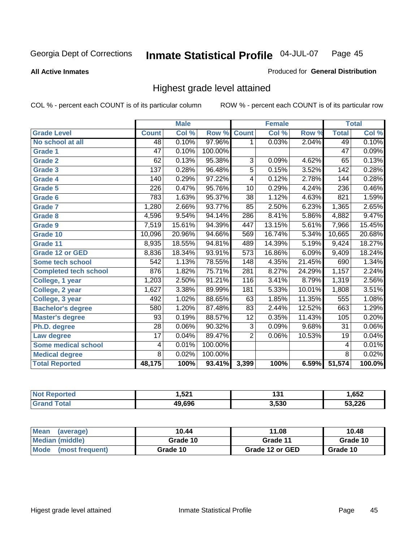**All Active Inmates**

#### Produced for **General Distribution**

### Highest grade level attained

|                              |                 | <b>Male</b> |         |                  | <b>Female</b> |        |                 | <b>Total</b> |
|------------------------------|-----------------|-------------|---------|------------------|---------------|--------|-----------------|--------------|
| <b>Grade Level</b>           | <b>Count</b>    | Col %       | Row %   | <b>Count</b>     | Col %         | Row %  | <b>Total</b>    | Col %        |
| No school at all             | 48              | 0.10%       | 97.96%  | 1                | 0.03%         | 2.04%  | 49              | 0.10%        |
| Grade 1                      | $\overline{47}$ | 0.10%       | 100.00% |                  |               |        | $\overline{47}$ | 0.09%        |
| <b>Grade 2</b>               | 62              | 0.13%       | 95.38%  | 3                | 0.09%         | 4.62%  | 65              | 0.13%        |
| <b>Grade 3</b>               | 137             | 0.28%       | 96.48%  | 5                | 0.15%         | 3.52%  | 142             | 0.28%        |
| Grade 4                      | 140             | 0.29%       | 97.22%  | 4                | 0.12%         | 2.78%  | 144             | 0.28%        |
| Grade 5                      | 226             | 0.47%       | 95.76%  | 10               | 0.29%         | 4.24%  | 236             | 0.46%        |
| Grade 6                      | 783             | 1.63%       | 95.37%  | $\overline{38}$  | 1.12%         | 4.63%  | 821             | 1.59%        |
| <b>Grade 7</b>               | 1,280           | 2.66%       | 93.77%  | 85               | 2.50%         | 6.23%  | 1,365           | 2.65%        |
| <b>Grade 8</b>               | 4,596           | 9.54%       | 94.14%  | 286              | 8.41%         | 5.86%  | 4,882           | 9.47%        |
| Grade 9                      | 7,519           | 15.61%      | 94.39%  | 447              | 13.15%        | 5.61%  | 7,966           | 15.45%       |
| Grade 10                     | 10,096          | 20.96%      | 94.66%  | 569              | 16.74%        | 5.34%  | 10,665          | 20.68%       |
| Grade 11                     | 8,935           | 18.55%      | 94.81%  | 489              | 14.39%        | 5.19%  | 9,424           | 18.27%       |
| <b>Grade 12 or GED</b>       | 8,836           | 18.34%      | 93.91%  | $\overline{573}$ | 16.86%        | 6.09%  | 9,409           | 18.24%       |
| <b>Some tech school</b>      | 542             | 1.13%       | 78.55%  | 148              | 4.35%         | 21.45% | 690             | 1.34%        |
| <b>Completed tech school</b> | 876             | 1.82%       | 75.71%  | $\overline{281}$ | 8.27%         | 24.29% | 1,157           | 2.24%        |
| College, 1 year              | 1,203           | 2.50%       | 91.21%  | 116              | 3.41%         | 8.79%  | 1,319           | 2.56%        |
| College, 2 year              | 1,627           | 3.38%       | 89.99%  | 181              | 5.33%         | 10.01% | 1,808           | 3.51%        |
| College, 3 year              | 492             | 1.02%       | 88.65%  | 63               | 1.85%         | 11.35% | 555             | 1.08%        |
| <b>Bachelor's degree</b>     | 580             | 1.20%       | 87.48%  | 83               | 2.44%         | 12.52% | 663             | 1.29%        |
| <b>Master's degree</b>       | 93              | 0.19%       | 88.57%  | 12               | 0.35%         | 11.43% | 105             | 0.20%        |
| Ph.D. degree                 | $\overline{28}$ | 0.06%       | 90.32%  | 3                | 0.09%         | 9.68%  | 31              | $0.06\%$     |
| Law degree                   | $\overline{17}$ | 0.04%       | 89.47%  | $\overline{2}$   | 0.06%         | 10.53% | 19              | 0.04%        |
| <b>Some medical school</b>   | 4               | 0.01%       | 100.00% |                  |               |        | 4               | 0.01%        |
| <b>Medical degree</b>        | 8               | 0.02%       | 100.00% |                  |               |        | $\overline{8}$  | 0.02%        |
| <b>Total Reported</b>        | 48,175          | 100%        | 93.41%  | 3,399            | 100%          | 6.59%  | 51,574          | 100.0%       |

| 521.ا  | 12.5  | <b>GEO</b> |
|--------|-------|------------|
| ___    | IJ    | <b>UJZ</b> |
| APA 64 | 3,530 |            |

| <b>Mean</b><br>(average)       | 10.44    | 11.08           | 10.48    |
|--------------------------------|----------|-----------------|----------|
| Median (middle)                | Grade 10 | Grade 11        | Grade 10 |
| <b>Mode</b><br>(most frequent) | Grade 10 | Grade 12 or GED | Grade 10 |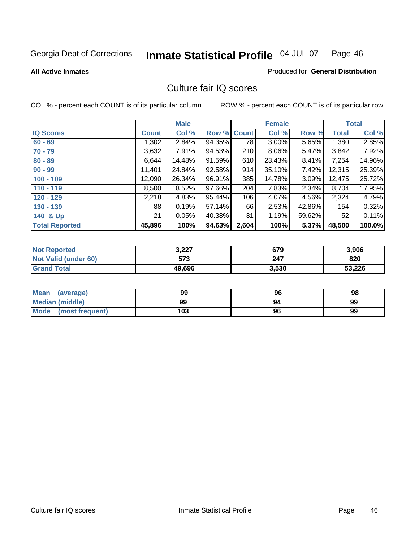#### **All Active Inmates**

#### Produced for **General Distribution**

### Culture fair IQ scores

|                       |              | <b>Male</b> |        |              | <b>Female</b> |          |              | <b>Total</b> |
|-----------------------|--------------|-------------|--------|--------------|---------------|----------|--------------|--------------|
| <b>IQ Scores</b>      | <b>Count</b> | Col %       | Row %  | <b>Count</b> | Col %         | Row %    | <b>Total</b> | Col %        |
| $60 - 69$             | 1,302        | 2.84%       | 94.35% | 78           | $3.00\%$      | 5.65%    | 1,380        | 2.85%        |
| $70 - 79$             | 3,632        | $7.91\%$    | 94.53% | 210          | $8.06\%$      | 5.47%    | 3,842        | 7.92%        |
| $80 - 89$             | 6,644        | 14.48%      | 91.59% | 610          | 23.43%        | $8.41\%$ | 7,254        | 14.96%       |
| $90 - 99$             | 11,401       | 24.84%      | 92.58% | 914          | 35.10%        | 7.42%    | 12,315       | 25.39%       |
| $100 - 109$           | 12,090       | 26.34%      | 96.91% | 385          | 14.78%        | $3.09\%$ | 12,475       | 25.72%       |
| $110 - 119$           | 8,500        | 18.52%      | 97.66% | 204          | 7.83%         | 2.34%    | 8,704        | 17.95%       |
| $120 - 129$           | 2,218        | 4.83%       | 95.44% | 106          | 4.07%         | 4.56%    | 2,324        | 4.79%        |
| $130 - 139$           | 88           | 0.19%       | 57.14% | 66           | 2.53%         | 42.86%   | 154          | 0.32%        |
| 140 & Up              | 21           | 0.05%       | 40.38% | 31           | 1.19%         | 59.62%   | 52           | 0.11%        |
| <b>Total Reported</b> | 45,896       | 100%        | 94.63% | 2,604        | 100%          | 5.37%    | 48,500       | 100.0%       |

| <b>Not Reported</b>  | 3,227  | 679   | 3,906  |
|----------------------|--------|-------|--------|
| Not Valid (under 60) | 573    | 247   | 820    |
| <b>Grand Total</b>   | 49,696 | 3,530 | 53,226 |

| <b>Mean</b><br>(average) | 99  | 96 | 98 |
|--------------------------|-----|----|----|
| Median (middle)          | 99  | 94 | 99 |
| Mode (most frequent)     | 103 | 96 | 99 |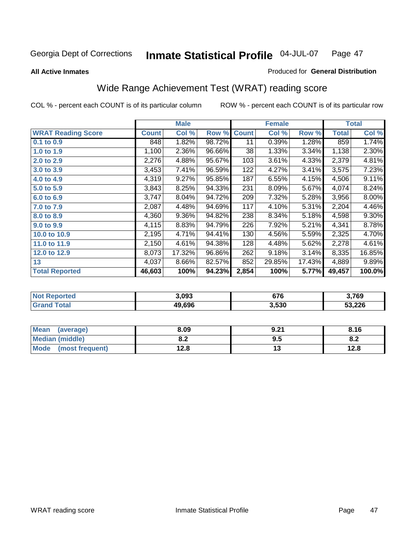**All Active Inmates**

#### Produced for **General Distribution**

## Wide Range Achievement Test (WRAT) reading score

|                           |              | <b>Male</b> |        |              | <b>Female</b> |        |              | <b>Total</b> |
|---------------------------|--------------|-------------|--------|--------------|---------------|--------|--------------|--------------|
| <b>WRAT Reading Score</b> | <b>Count</b> | Col %       | Row %  | <b>Count</b> | Col %         | Row %  | <b>Total</b> | Col %        |
| $0.1$ to 0.9              | 848          | 1.82%       | 98.72% | 11           | 0.39%         | 1.28%  | 859          | 1.74%        |
| 1.0 to 1.9                | 1,100        | 2.36%       | 96.66% | 38           | 1.33%         | 3.34%  | 1,138        | 2.30%        |
| 2.0 to 2.9                | 2,276        | 4.88%       | 95.67% | 103          | 3.61%         | 4.33%  | 2,379        | 4.81%        |
| 3.0 to 3.9                | 3,453        | 7.41%       | 96.59% | 122          | 4.27%         | 3.41%  | 3,575        | 7.23%        |
| 4.0 to 4.9                | 4,319        | 9.27%       | 95.85% | 187          | 6.55%         | 4.15%  | 4,506        | 9.11%        |
| 5.0 to 5.9                | 3,843        | 8.25%       | 94.33% | 231          | 8.09%         | 5.67%  | 4,074        | 8.24%        |
| 6.0 to 6.9                | 3,747        | 8.04%       | 94.72% | 209          | 7.32%         | 5.28%  | 3,956        | $8.00\%$     |
| 7.0 to 7.9                | 2,087        | 4.48%       | 94.69% | 117          | 4.10%         | 5.31%  | 2,204        | 4.46%        |
| 8.0 to 8.9                | 4,360        | 9.36%       | 94.82% | 238          | 8.34%         | 5.18%  | 4,598        | $9.30\%$     |
| 9.0 to 9.9                | 4,115        | 8.83%       | 94.79% | 226          | 7.92%         | 5.21%  | 4,341        | 8.78%        |
| 10.0 to 10.9              | 2,195        | 4.71%       | 94.41% | 130          | 4.56%         | 5.59%  | 2,325        | 4.70%        |
| 11.0 to 11.9              | 2,150        | 4.61%       | 94.38% | 128          | 4.48%         | 5.62%  | 2,278        | 4.61%        |
| 12.0 to 12.9              | 8,073        | 17.32%      | 96.86% | 262          | 9.18%         | 3.14%  | 8,335        | 16.85%       |
| 13                        | 4,037        | 8.66%       | 82.57% | 852          | 29.85%        | 17.43% | 4,889        | 9.89%        |
| <b>Total Reported</b>     | 46,603       | 100%        | 94.23% | 2,854        | 100%          | 5.77%  | 49,457       | 100.0%       |

| <b>orted</b>      | 3.093  | ~70   | \,769      |
|-------------------|--------|-------|------------|
| NO.               |        | 0/6   | ๋ ∙ ว่ ∙ ะ |
| <b>ota</b><br>Gr. | 49.696 | 3,530 | 53,226     |

| Mean<br>(average)      | 8.09       | 9.21 | 8.16                           |
|------------------------|------------|------|--------------------------------|
| <b>Median (middle)</b> | 0 מ<br>0.Z | 9.5  | ດ -<br>$\mathbf{0}.\mathbf{L}$ |
| Mode (most frequent)   | 12.8       | ט ו  | 12.8                           |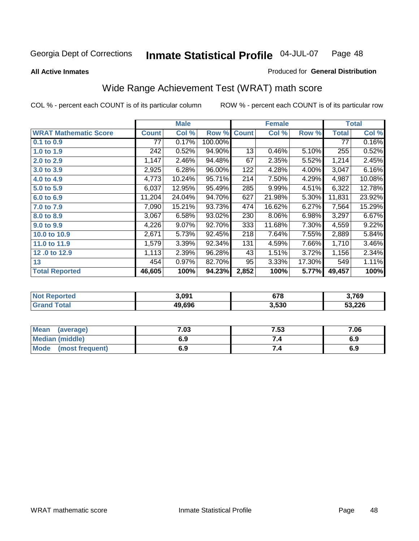**All Active Inmates**

#### Produced for **General Distribution**

## Wide Range Achievement Test (WRAT) math score

|                              |              | <b>Male</b> |         |              | <b>Female</b> |        |              | <b>Total</b> |
|------------------------------|--------------|-------------|---------|--------------|---------------|--------|--------------|--------------|
| <b>WRAT Mathematic Score</b> | <b>Count</b> | Col %       | Row %   | <b>Count</b> | Col %         | Row %  | <b>Total</b> | Col %        |
| 0.1 to 0.9                   | 77           | 0.17%       | 100.00% |              |               |        | 77           | 0.16%        |
| 1.0 to 1.9                   | 242          | 0.52%       | 94.90%  | 13           | 0.46%         | 5.10%  | 255          | 0.52%        |
| 2.0 to 2.9                   | 1,147        | 2.46%       | 94.48%  | 67           | 2.35%         | 5.52%  | 1,214        | 2.45%        |
| 3.0 to 3.9                   | 2,925        | 6.28%       | 96.00%  | 122          | 4.28%         | 4.00%  | 3,047        | 6.16%        |
| 4.0 to 4.9                   | 4,773        | 10.24%      | 95.71%  | 214          | 7.50%         | 4.29%  | 4,987        | 10.08%       |
| 5.0 to 5.9                   | 6,037        | 12.95%      | 95.49%  | 285          | 9.99%         | 4.51%  | 6,322        | 12.78%       |
| 6.0 to 6.9                   | 11,204       | 24.04%      | 94.70%  | 627          | 21.98%        | 5.30%  | 11,831       | 23.92%       |
| 7.0 to 7.9                   | 7,090        | 15.21%      | 93.73%  | 474          | 16.62%        | 6.27%  | 7,564        | 15.29%       |
| 8.0 to 8.9                   | 3,067        | 6.58%       | 93.02%  | 230          | 8.06%         | 6.98%  | 3,297        | 6.67%        |
| 9.0 to 9.9                   | 4,226        | 9.07%       | 92.70%  | 333          | 11.68%        | 7.30%  | 4,559        | 9.22%        |
| 10.0 to 10.9                 | 2,671        | 5.73%       | 92.45%  | 218          | 7.64%         | 7.55%  | 2,889        | 5.84%        |
| 11.0 to 11.9                 | 1,579        | 3.39%       | 92.34%  | 131          | 4.59%         | 7.66%  | 1,710        | 3.46%        |
| 12.0 to 12.9                 | 1,113        | 2.39%       | 96.28%  | 43           | 1.51%         | 3.72%  | 1,156        | 2.34%        |
| 13                           | 454          | 0.97%       | 82.70%  | 95           | 3.33%         | 17.30% | 549          | 1.11%        |
| <b>Total Reported</b>        | 46,605       | 100%        | 94.23%  | 2,852        | 100%          | 5.77%  | 49,457       | 100%         |

| orted<br>NO1 | 3.091  | 678   | \,769  |
|--------------|--------|-------|--------|
| <b>otal</b>  | 49.696 | 3,530 | 53,226 |

| <b>Mean</b><br>(average)       | 7.03 | 7.53 | 7.06 |
|--------------------------------|------|------|------|
| Median (middle)                | 6.9  |      | 6.9  |
| <b>Mode</b><br>(most frequent) | 6.9  | 7.4  | 6.9  |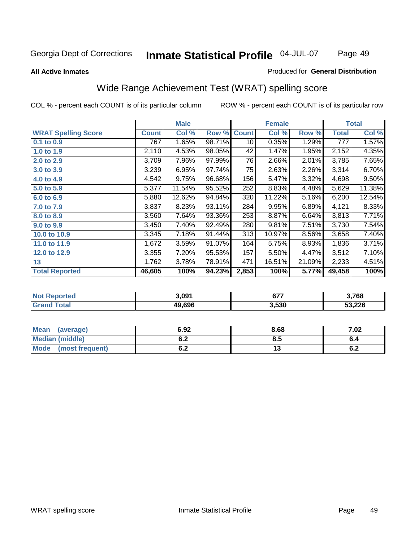#### **All Active Inmates**

#### Produced for **General Distribution**

### Wide Range Achievement Test (WRAT) spelling score

|                            |              | <b>Male</b> |        |              | <b>Female</b> |        |              | <b>Total</b> |
|----------------------------|--------------|-------------|--------|--------------|---------------|--------|--------------|--------------|
| <b>WRAT Spelling Score</b> | <b>Count</b> | Col %       | Row %  | <b>Count</b> | Col %         | Row %  | <b>Total</b> | Col %        |
| $0.1$ to $0.9$             | 767          | 1.65%       | 98.71% | 10           | 0.35%         | 1.29%  | 777          | 1.57%        |
| 1.0 to 1.9                 | 2,110        | 4.53%       | 98.05% | 42           | 1.47%         | 1.95%  | 2,152        | 4.35%        |
| 2.0 to 2.9                 | 3,709        | 7.96%       | 97.99% | 76           | 2.66%         | 2.01%  | 3,785        | 7.65%        |
| 3.0 to 3.9                 | 3,239        | 6.95%       | 97.74% | 75           | 2.63%         | 2.26%  | 3,314        | 6.70%        |
| 4.0 to 4.9                 | 4,542        | 9.75%       | 96.68% | 156          | 5.47%         | 3.32%  | 4,698        | 9.50%        |
| 5.0 to 5.9                 | 5,377        | 11.54%      | 95.52% | 252          | 8.83%         | 4.48%  | 5,629        | 11.38%       |
| 6.0 to 6.9                 | 5,880        | 12.62%      | 94.84% | 320          | 11.22%        | 5.16%  | 6,200        | 12.54%       |
| 7.0 to 7.9                 | 3,837        | 8.23%       | 93.11% | 284          | 9.95%         | 6.89%  | 4,121        | 8.33%        |
| 8.0 to 8.9                 | 3,560        | 7.64%       | 93.36% | 253          | 8.87%         | 6.64%  | 3,813        | 7.71%        |
| 9.0 to 9.9                 | 3,450        | 7.40%       | 92.49% | 280          | 9.81%         | 7.51%  | 3,730        | 7.54%        |
| 10.0 to 10.9               | 3,345        | 7.18%       | 91.44% | 313          | 10.97%        | 8.56%  | 3,658        | 7.40%        |
| 11.0 to 11.9               | 1,672        | 3.59%       | 91.07% | 164          | 5.75%         | 8.93%  | 1,836        | 3.71%        |
| 12.0 to 12.9               | 3,355        | 7.20%       | 95.53% | 157          | 5.50%         | 4.47%  | 3,512        | 7.10%        |
| 13                         | 1,762        | 3.78%       | 78.91% | 471          | 16.51%        | 21.09% | 2,233        | 4.51%        |
| <b>Total Reported</b>      | 46,605       | 100%        | 94.23% | 2,853        | 100%          | 5.77%  | 49,458       | 100%         |

|            | 3.091  | ^77<br>$\mathbf{v}$ | 3,768  |
|------------|--------|---------------------|--------|
| <b>ota</b> | 49.696 | 3,530               | 53,226 |

| <b>Mean</b><br>(average)       | 6.92       | 8.68 | 7.02       |
|--------------------------------|------------|------|------------|
| <b>Median (middle)</b>         | v.z        | ტ.J  | o.4        |
| <b>Mode</b><br>(most frequent) | . .<br>v.z | ں ،  | . .<br>0.Z |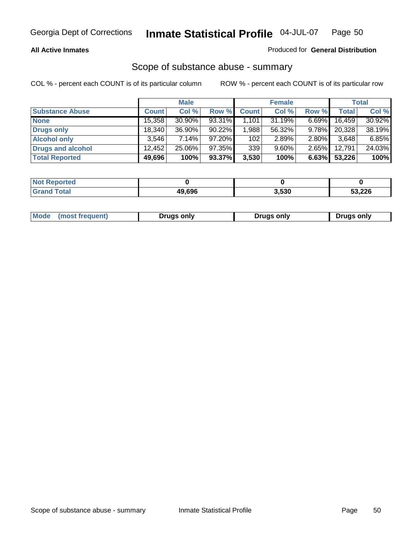#### **All Active Inmates**

#### Produced for **General Distribution**

### Scope of substance abuse - summary

|                        |              | <b>Male</b> |           |              | <b>Female</b> |          |              | Total  |
|------------------------|--------------|-------------|-----------|--------------|---------------|----------|--------------|--------|
| <b>Substance Abuse</b> | <b>Count</b> | Col %       | Row %     | <b>Count</b> | Col %         | Row %    | <b>Total</b> | Col %  |
| <b>None</b>            | 15,358       | $30.90\%$   | 93.31%    | 1,101        | 31.19%        | $6.69\%$ | 16,459       | 30.92% |
| Drugs only             | 18.340       | $36.90\%$   | $90.22\%$ | .988         | 56.32%        | $9.78\%$ | 20,328       | 38.19% |
| <b>Alcohol only</b>    | 3.546        | $7.14\%$    | $97.20\%$ | 102          | 2.89%         | $2.80\%$ | 3,648        | 6.85%  |
| Drugs and alcohol      | 12,452       | 25.06%      | 97.35%    | 339          | $9.60\%$      | $2.65\%$ | 12,791       | 24.03% |
| <b>Total Reported</b>  | 49,696       | 100%        | 93.37%    | 3,530        | 100%          | 6.63%    | 53,226       | 100%   |

| <b>Not Reported</b> |        |       |        |
|---------------------|--------|-------|--------|
| <b>Grand Total</b>  | 49.696 | 3,530 | 53,226 |

|  | Mode<br>(most frequent) | Drugs only | <b>Drugs only</b> | <b>Drugs only</b> |
|--|-------------------------|------------|-------------------|-------------------|
|--|-------------------------|------------|-------------------|-------------------|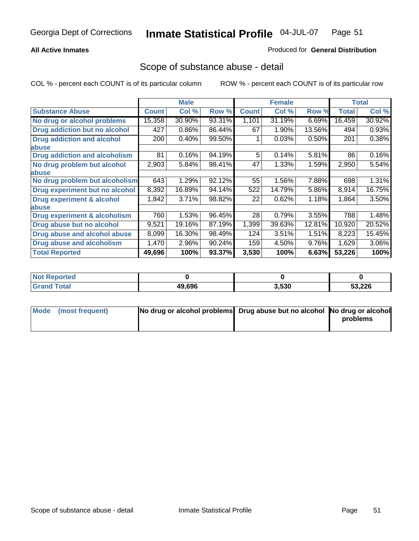### **All Active Inmates**

#### Produced for **General Distribution**

### Scope of substance abuse - detail

|                                      |              | <b>Male</b> |        |              | <b>Female</b> |        |              | Total    |
|--------------------------------------|--------------|-------------|--------|--------------|---------------|--------|--------------|----------|
| <b>Substance Abuse</b>               | <b>Count</b> | Col %       | Row %  | <b>Count</b> | Col %         | Row %  | <b>Total</b> | Col %    |
| No drug or alcohol problems          | 15,358       | 30.90%      | 93.31% | 1,101        | 31.19%        | 6.69%  | 16,459       | 30.92%   |
| Drug addiction but no alcohol        | 427          | 0.86%       | 86.44% | 67           | 1.90%         | 13.56% | 494          | 0.93%    |
| <b>Drug addiction and alcohol</b>    | 200          | 0.40%       | 99.50% |              | 0.03%         | 0.50%  | 201          | 0.38%    |
| <b>labuse</b>                        |              |             |        |              |               |        |              |          |
| <b>Drug addiction and alcoholism</b> | 81           | 0.16%       | 94.19% | 5            | 0.14%         | 5.81%  | 86           | 0.16%    |
| No drug problem but alcohol          | 2,903        | 5.84%       | 98.41% | 47           | 1.33%         | 1.59%  | 2,950        | 5.54%    |
| <b>labuse</b>                        |              |             |        |              |               |        |              |          |
| No drug problem but alcoholism       | 643          | 1.29%       | 92.12% | 55           | 1.56%         | 7.88%  | 698          | 1.31%    |
| Drug experiment but no alcohol       | 8,392        | 16.89%      | 94.14% | 522          | 14.79%        | 5.86%  | 8,914        | 16.75%   |
| <b>Drug experiment &amp; alcohol</b> | 1,842        | 3.71%       | 98.82% | 22           | 0.62%         | 1.18%  | 1,864        | 3.50%    |
| <b>labuse</b>                        |              |             |        |              |               |        |              |          |
| Drug experiment & alcoholism         | 760          | 1.53%       | 96.45% | 28           | 0.79%         | 3.55%  | 788          | 1.48%    |
| Drug abuse but no alcohol            | 9,521        | 19.16%      | 87.19% | 1,399        | 39.63%        | 12.81% | 10,920       | 20.52%   |
| Drug abuse and alcohol abuse         | 8,099        | 16.30%      | 98.49% | 124          | 3.51%         | 1.51%  | 8,223        | 15.45%   |
| Drug abuse and alcoholism            | 1,470        | 2.96%       | 90.24% | 159          | 4.50%         | 9.76%  | 1,629        | $3.06\%$ |
| <b>Total Reported</b>                | 49,696       | 100%        | 93.37% | 3,530        | 100%          | 6.63%  | 53,226       | 100%     |

| <b>Not Reported</b> |        |       |        |
|---------------------|--------|-------|--------|
| 'otal               | 49.696 | 3.530 | 53,226 |

| Mode (most frequent) | No drug or alcohol problems Drug abuse but no alcohol No drug or alcohol |          |
|----------------------|--------------------------------------------------------------------------|----------|
|                      |                                                                          | problems |
|                      |                                                                          |          |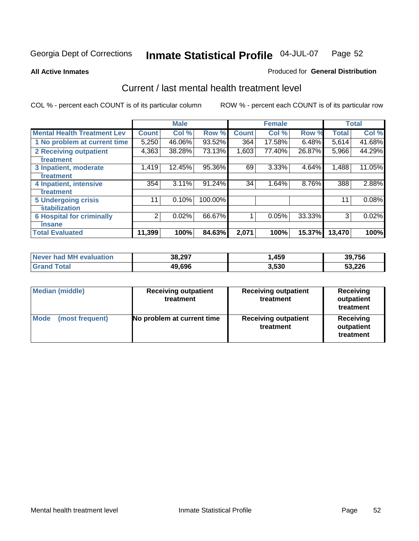**All Active Inmates**

#### Produced for **General Distribution**

### Current / last mental health treatment level

|                                    |                | <b>Male</b> |           |              | <b>Female</b> |        |              | <b>Total</b> |
|------------------------------------|----------------|-------------|-----------|--------------|---------------|--------|--------------|--------------|
| <b>Mental Health Treatment Lev</b> | <b>Count</b>   | Col%        | Row %     | <b>Count</b> | Col%          | Row %  | <b>Total</b> | Col %        |
| 1 No problem at current time       | 5,250          | 46.06%      | $93.52\%$ | 364          | 17.58%        | 6.48%  | 5,614        | 41.68%       |
| <b>2 Receiving outpatient</b>      | 4,363          | 38.28%      | 73.13%    | 1,603        | 77.40%        | 26.87% | 5,966        | 44.29%       |
| treatment                          |                |             |           |              |               |        |              |              |
| 3 Inpatient, moderate              | 1,419          | 12.45%      | 95.36%    | 69           | 3.33%         | 4.64%  | 1,488        | 11.05%       |
| treatment                          |                |             |           |              |               |        |              |              |
| 4 Inpatient, intensive             | 354            | $3.11\%$    | 91.24%    | 34           | 1.64%         | 8.76%  | 388          | 2.88%        |
| treatment                          |                |             |           |              |               |        |              |              |
| <b>5 Undergoing crisis</b>         | 11             | 0.10%       | 100.00%   |              |               |        | 11           | 0.08%        |
| stabilization                      |                |             |           |              |               |        |              |              |
| <b>6 Hospital for criminally</b>   | $\overline{2}$ | 0.02%       | 66.67%    |              | 0.05%         | 33.33% | 3            | 0.02%        |
| insane                             |                |             |           |              |               |        |              |              |
| <b>Total Evaluated</b>             | 11,399         | 100%        | 84.63%    | 2,071        | 100%          | 15.37% | 13,470       | 100%         |

| Never had MH evaluation | 38,297 | ,459  | 39,756 |
|-------------------------|--------|-------|--------|
| <b>Grand Total</b>      | 49,696 | 3,530 | 53,226 |

| Median (middle)         | <b>Receiving outpatient</b><br>treatment | <b>Receiving outpatient</b><br>treatment | <b>Receiving</b><br>outpatient<br>treatment |
|-------------------------|------------------------------------------|------------------------------------------|---------------------------------------------|
| Mode<br>(most frequent) | No problem at current time               | <b>Receiving outpatient</b><br>treatment | Receiving<br>outpatient<br>treatment        |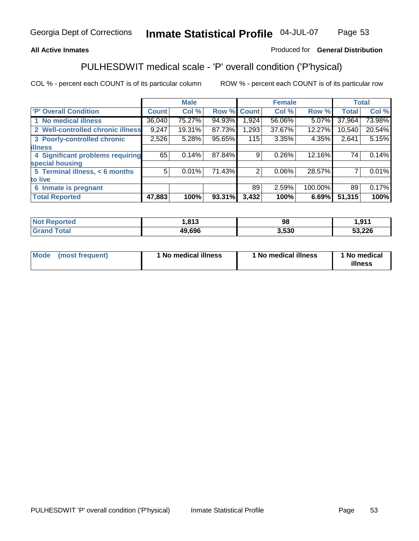### **All Active Inmates**

### Produced for **General Distribution**

### PULHESDWIT medical scale - 'P' overall condition ('P'hysical)

|                                   |              | <b>Male</b> |        |              | <b>Female</b> |         |              | <b>Total</b> |
|-----------------------------------|--------------|-------------|--------|--------------|---------------|---------|--------------|--------------|
| 'P' Overall Condition             | <b>Count</b> | Col %       | Row %  | <b>Count</b> | Col %         | Row %   | <b>Total</b> | Col %        |
| 1 No medical illness              | 36,040       | 75.27%      | 94.93% | .924         | 56.06%        | 5.07%   | 37,964       | 73.98%       |
| 2 Well-controlled chronic illness | 9,247        | 19.31%      | 87.73% | 1,293        | 37.67%        | 12.27%  | 10,540       | 20.54%       |
| 3 Poorly-controlled chronic       | 2,526        | 5.28%       | 95.65% | 115          | 3.35%         | 4.35%   | 2,641        | 5.15%        |
| <b>illness</b>                    |              |             |        |              |               |         |              |              |
| 4 Significant problems requiring  | 65           | 0.14%       | 87.84% | 9            | 0.26%         | 12.16%  | 74           | 0.14%        |
| special housing                   |              |             |        |              |               |         |              |              |
| 5 Terminal illness, < 6 months    | 5            | 0.01%       | 71.43% | 2            | 0.06%         | 28.57%  |              | 0.01%        |
| to live                           |              |             |        |              |               |         |              |              |
| Inmate is pregnant<br>6           |              |             |        | 89           | 2.59%         | 100.00% | 89           | 0.17%        |
| <b>Total Reported</b>             | 47,883       | 100%        | 93.31% | 3,432        | 100%          | 6.69%   | 51,315       | 100%         |

| <b>Not Reported</b> | 813, ا | 98    | 911, ا |
|---------------------|--------|-------|--------|
| <b>Grand Total</b>  | 49,696 | 3,530 | 53,226 |

| Mode (most frequent) | 1 No medical illness | 1 No medical illness | 1 No medical |
|----------------------|----------------------|----------------------|--------------|
|                      |                      |                      | illness      |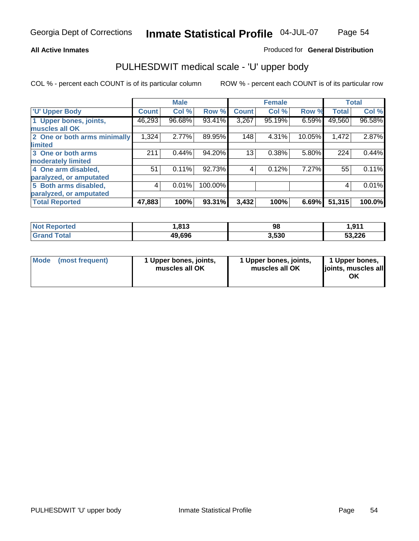#### **All Active Inmates**

#### Produced for **General Distribution**

### PULHESDWIT medical scale - 'U' upper body

|                              |              | <b>Male</b> |         |              | <b>Female</b> |        |              | <b>Total</b> |
|------------------------------|--------------|-------------|---------|--------------|---------------|--------|--------------|--------------|
| <b>U' Upper Body</b>         | <b>Count</b> | Col %       | Row %   | <b>Count</b> | Col %         | Row %  | <b>Total</b> | Col %        |
| 1 Upper bones, joints,       | 46,293       | 96.68%      | 93.41%  | 3,267        | 95.19%        | 6.59%  | 49,560       | 96.58%       |
| muscles all OK               |              |             |         |              |               |        |              |              |
| 2 One or both arms minimally | 1,324        | 2.77%       | 89.95%  | 148          | 4.31%         | 10.05% | 1,472        | 2.87%        |
| limited                      |              |             |         |              |               |        |              |              |
| 3 One or both arms           | 211          | 0.44%       | 94.20%  | 13           | 0.38%         | 5.80%  | 224          | 0.44%        |
| moderately limited           |              |             |         |              |               |        |              |              |
| 4 One arm disabled,          | 51           | 0.11%       | 92.73%  | 4            | 0.12%         | 7.27%  | 55           | 0.11%        |
| paralyzed, or amputated      |              |             |         |              |               |        |              |              |
| 5 Both arms disabled,        | 4            | 0.01%       | 100.00% |              |               |        | 4            | 0.01%        |
| paralyzed, or amputated      |              |             |         |              |               |        |              |              |
| <b>Total Reported</b>        | 47,883       | 100%        | 93.31%  | 3,432        | 100%          | 6.69%  | 51,315       | 100.0%       |

| <b>Not Reported</b> | .813   | 98    | 1,911  |
|---------------------|--------|-------|--------|
| Total<br>' Grand    | 49,696 | 3,530 | 53,226 |

| <b>Mode</b> | (most frequent) | 1 Upper bones, joints,<br>muscles all OK | 1 Upper bones, joints,<br>muscles all OK | 1 Upper bones,<br>joints, muscles all<br>ΟK |
|-------------|-----------------|------------------------------------------|------------------------------------------|---------------------------------------------|
|-------------|-----------------|------------------------------------------|------------------------------------------|---------------------------------------------|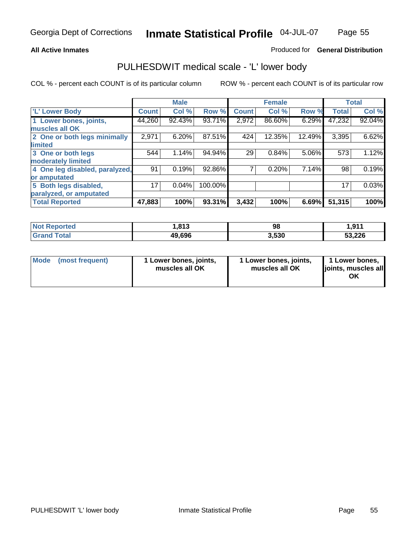#### **All Active Inmates**

### Produced for **General Distribution**

### PULHESDWIT medical scale - 'L' lower body

|                                |                 | <b>Male</b> |         |              | <b>Female</b> |        |              | <b>Total</b> |
|--------------------------------|-----------------|-------------|---------|--------------|---------------|--------|--------------|--------------|
| 'L' Lower Body                 | <b>Count</b>    | Col %       | Row %   | <b>Count</b> | Col %         | Row %  | <b>Total</b> | Col %        |
| 1 Lower bones, joints,         | 44,260          | 92.43%      | 93.71%  | 2,972        | 86.60%        | 6.29%  | 47,232       | 92.04%       |
| muscles all OK                 |                 |             |         |              |               |        |              |              |
| 2 One or both legs minimally   | 2,971           | 6.20%       | 87.51%  | 424          | 12.35%        | 12.49% | 3,395        | 6.62%        |
| limited                        |                 |             |         |              |               |        |              |              |
| 3 One or both legs             | 544             | 1.14%       | 94.94%  | 29           | 0.84%         | 5.06%  | 573          | 1.12%        |
| moderately limited             |                 |             |         |              |               |        |              |              |
| 4 One leg disabled, paralyzed, | 91              | 0.19%       | 92.86%  |              | 0.20%         | 7.14%  | 98           | 0.19%        |
| or amputated                   |                 |             |         |              |               |        |              |              |
| 5 Both legs disabled,          | 17 <sub>1</sub> | 0.04%       | 100.00% |              |               |        | 17           | 0.03%        |
| paralyzed, or amputated        |                 |             |         |              |               |        |              |              |
| <b>Total Reported</b>          | 47,883          | 100%        | 93.31%  | 3,432        | 100%          | 6.69%  | 51,315       | 100%         |

| <b>Not Reported</b> | .813   | 98    | 1,911  |
|---------------------|--------|-------|--------|
| Total<br>' Grand    | 49,696 | 3,530 | 53,226 |

|  | Mode (most frequent) | 1 Lower bones, joints,<br>muscles all OK | 1 Lower bones, joints,<br>muscles all OK | 1 Lower bones,<br>joints, muscles all<br>OK |
|--|----------------------|------------------------------------------|------------------------------------------|---------------------------------------------|
|--|----------------------|------------------------------------------|------------------------------------------|---------------------------------------------|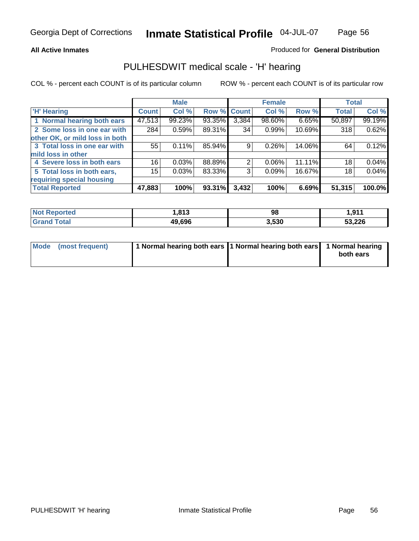#### **All Active Inmates**

### Produced for **General Distribution**

### PULHESDWIT medical scale - 'H' hearing

|                                |              | <b>Male</b> |             |       | <b>Female</b> |        | <b>Total</b> |        |
|--------------------------------|--------------|-------------|-------------|-------|---------------|--------|--------------|--------|
| <b>H'</b> Hearing              | <b>Count</b> | Col %       | Row % Count |       | Col %         | Row %  | <b>Total</b> | Col %  |
| 1 Normal hearing both ears     | 47,513       | 99.23%      | 93.35%      | 3,384 | 98.60%        | 6.65%  | 50,897       | 99.19% |
| 2 Some loss in one ear with    | 284          | 0.59%       | 89.31%      | 34    | 0.99%         | 10.69% | 318          | 0.62%  |
| other OK, or mild loss in both |              |             |             |       |               |        |              |        |
| 3 Total loss in one ear with   | 55           | 0.11%       | 85.94%      | 9     | 0.26%         | 14.06% | 64           | 0.12%  |
| mild loss in other             |              |             |             |       |               |        |              |        |
| 4 Severe loss in both ears     | 16           | 0.03%       | 88.89%      | 2     | $0.06\%$      | 11.11% | 18           | 0.04%  |
| 5 Total loss in both ears,     | 15           | 0.03%       | 83.33%      | 3     | 0.09%         | 16.67% | 18           | 0.04%  |
| requiring special housing      |              |             |             |       |               |        |              |        |
| <b>Total Reported</b>          | 47,883       | 100%        | 93.31%      | 3,432 | 100%          | 6.69%  | 51,315       | 100.0% |

| orted       | 042<br>טו | 98    | 1,911  |
|-------------|-----------|-------|--------|
| $f = 4 \pi$ | 49.696    | 3,530 | 53,226 |

| Mode (most frequent) | 1 Normal hearing both ears   1 Normal hearing both ears   1 Normal hearing |           |
|----------------------|----------------------------------------------------------------------------|-----------|
|                      |                                                                            | both ears |
|                      |                                                                            |           |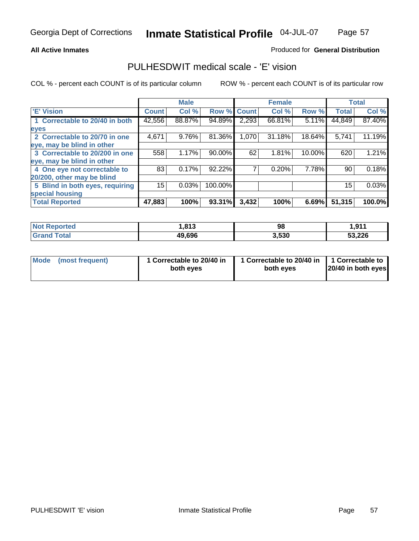#### **All Active Inmates**

### Produced for **General Distribution**

### PULHESDWIT medical scale - 'E' vision

|                                 |              | <b>Male</b> |             |       | <b>Female</b> |        |              | <b>Total</b> |
|---------------------------------|--------------|-------------|-------------|-------|---------------|--------|--------------|--------------|
| 'E' Vision                      | <b>Count</b> | Col %       | Row % Count |       | Col %         | Row %  | <b>Total</b> | Col %        |
| 1 Correctable to 20/40 in both  | 42,556       | 88.87%      | 94.89%      | 2,293 | 66.81%        | 5.11%  | 44,849       | 87.40%       |
| eyes                            |              |             |             |       |               |        |              |              |
| 2 Correctable to 20/70 in one   | 4,671        | 9.76%       | 81.36%      | 1,070 | 31.18%        | 18.64% | 5,741        | 11.19%       |
| eye, may be blind in other      |              |             |             |       |               |        |              |              |
| 3 Correctable to 20/200 in one  | 558          | 1.17%       | 90.00%      | 62    | 1.81%         | 10.00% | 620          | 1.21%        |
| eye, may be blind in other      |              |             |             |       |               |        |              |              |
| 4 One eye not correctable to    | 83           | 0.17%       | 92.22%      |       | 0.20%         | 7.78%  | 90           | 0.18%        |
| 20/200, other may be blind      |              |             |             |       |               |        |              |              |
| 5 Blind in both eyes, requiring | 15           | 0.03%       | 100.00%     |       |               |        | 15           | 0.03%        |
| special housing                 |              |             |             |       |               |        |              |              |
| <b>Total Reported</b>           | 47,883       | 100%        | 93.31%      | 3,432 | 100%          | 6.69%  | 51,315       | 100.0%       |

| <b>Not Reported</b> | ,813   | 98    | 1,911  |
|---------------------|--------|-------|--------|
| Total<br>Grs        | 49,696 | 3,530 | 53,226 |

| Mode | (most frequent) | 1 Correctable to 20/40 in<br>both eves | 1 Correctable to 20/40 in   1 Correctable to<br>both eves | 20/40 in both eyes |
|------|-----------------|----------------------------------------|-----------------------------------------------------------|--------------------|
|      |                 |                                        |                                                           |                    |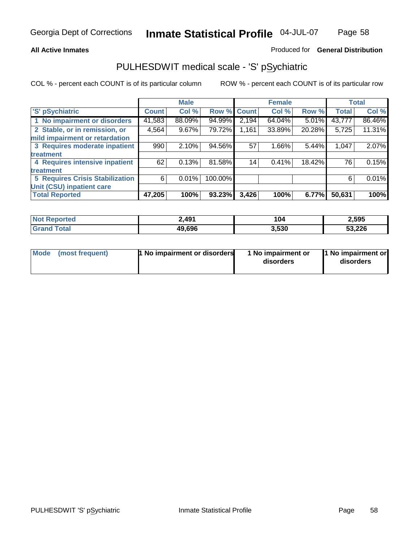#### **All Active Inmates**

#### Produced for **General Distribution**

### PULHESDWIT medical scale - 'S' pSychiatric

|                                        |              | <b>Male</b> |             |       | <b>Female</b> |          |              | <b>Total</b> |
|----------------------------------------|--------------|-------------|-------------|-------|---------------|----------|--------------|--------------|
| 'S' pSychiatric                        | <b>Count</b> | Col %       | Row % Count |       | Col %         | Row %    | <b>Total</b> | Col %        |
| 1 No impairment or disorders           | 41,583       | 88.09%      | 94.99%      | 2,194 | 64.04%        | $5.01\%$ | 43,777       | 86.46%       |
| 2 Stable, or in remission, or          | 4,564        | $9.67\%$    | 79.72%      | 1,161 | 33.89%        | 20.28%   | 5,725        | 11.31%       |
| mild impairment or retardation         |              |             |             |       |               |          |              |              |
| 3 Requires moderate inpatient          | 990          | 2.10%       | 94.56%      | 57    | $1.66\%$      | 5.44%    | 1,047        | 2.07%        |
| treatment                              |              |             |             |       |               |          |              |              |
| 4 Requires intensive inpatient         | 62           | 0.13%       | 81.58%      | 14    | 0.41%         | 18.42%   | 76           | 0.15%        |
| treatment                              |              |             |             |       |               |          |              |              |
| <b>5 Requires Crisis Stabilization</b> | 6            | 0.01%       | 100.00%     |       |               |          | 6            | 0.01%        |
| Unit (CSU) inpatient care              |              |             |             |       |               |          |              |              |
| <b>Total Reported</b>                  | 47,205       | 100%        | 93.23%      | 3,426 | 100%          | 6.77%    | 50,631       | 100%         |

| <b>Not Reported</b>         | 2,491  | 104   | 2,595  |
|-----------------------------|--------|-------|--------|
| $\tau$ otal<br><b>Grand</b> | 49,696 | 3,530 | 53,226 |

| Mode (most frequent) | <b>1</b> No impairment or disorders | 1 No impairment or<br>disorders | 1 No impairment or<br>disorders |
|----------------------|-------------------------------------|---------------------------------|---------------------------------|
|                      |                                     |                                 |                                 |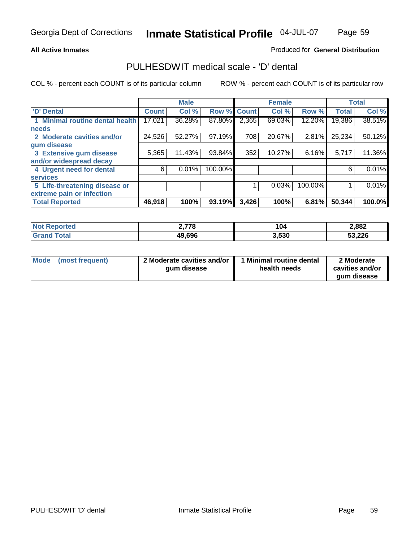#### **All Active Inmates**

### Produced for **General Distribution**

### PULHESDWIT medical scale - 'D' dental

|                                 |              | <b>Male</b> |             |       | <b>Female</b> |         |              | <b>Total</b> |
|---------------------------------|--------------|-------------|-------------|-------|---------------|---------|--------------|--------------|
| 'D' Dental                      | <b>Count</b> | Col %       | Row % Count |       | Col %         | Row %   | <b>Total</b> | Col %        |
| 1 Minimal routine dental health | 17,021       | 36.28%      | 87.80%      | 2,365 | 69.03%        | 12.20%  | 19,386       | 38.51%       |
| <b>needs</b>                    |              |             |             |       |               |         |              |              |
| 2 Moderate cavities and/or      | 24,526       | 52.27%      | 97.19%      | 708   | 20.67%        | 2.81%   | 25,234       | 50.12%       |
| gum disease                     |              |             |             |       |               |         |              |              |
| 3 Extensive gum disease         | 5,365        | 11.43%      | 93.84%      | 352   | 10.27%        | 6.16%   | 5,717        | 11.36%       |
| and/or widespread decay         |              |             |             |       |               |         |              |              |
| 4 Urgent need for dental        | 6            | 0.01%       | 100.00%     |       |               |         | 6            | 0.01%        |
| <b>services</b>                 |              |             |             |       |               |         |              |              |
| 5 Life-threatening disease or   |              |             |             |       | 0.03%         | 100.00% |              | 0.01%        |
| extreme pain or infection       |              |             |             |       |               |         |              |              |
| <b>Total Reported</b>           | 46,918       | 100%        | 93.19%      | 3,426 | 100%          | 6.81%   | 50,344       | 100.0%       |

| <b>Not Reported</b> | 778    | 104   | 2,882  |
|---------------------|--------|-------|--------|
| Гоtа                | 49,696 | 3,530 | 53,226 |

| <b>Mode</b> | (most frequent) | 2 Moderate cavities and/or<br>qum disease | Minimal routine dental<br>health needs | 2 Moderate<br>cavities and/or |
|-------------|-----------------|-------------------------------------------|----------------------------------------|-------------------------------|
|             |                 |                                           |                                        | qum disease                   |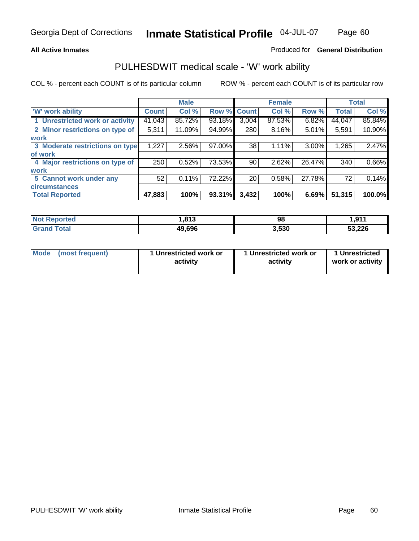#### **All Active Inmates**

#### Produced for **General Distribution**

### PULHESDWIT medical scale - 'W' work ability

|                                 |              | <b>Male</b> |        |              | <b>Female</b> |        |              | <b>Total</b> |
|---------------------------------|--------------|-------------|--------|--------------|---------------|--------|--------------|--------------|
| <b>W' work ability</b>          | <b>Count</b> | Col %       | Row %  | <b>Count</b> | Col %         | Row %  | <b>Total</b> | Col %        |
| 1 Unrestricted work or activity | 41,043       | 85.72%      | 93.18% | 3,004        | 87.53%        | 6.82%  | 44,047       | 85.84%       |
| 2 Minor restrictions on type of | 5,311        | 11.09%      | 94.99% | 280          | $8.16\%$      | 5.01%  | 5,591        | 10.90%       |
| <b>work</b>                     |              |             |        |              |               |        |              |              |
| 3 Moderate restrictions on type | 1,227        | $2.56\%$    | 97.00% | 38           | 1.11%         | 3.00%  | 1,265        | 2.47%        |
| of work                         |              |             |        |              |               |        |              |              |
| 4 Major restrictions on type of | 250          | 0.52%       | 73.53% | 90           | 2.62%         | 26.47% | 340          | 0.66%        |
| <b>work</b>                     |              |             |        |              |               |        |              |              |
| 5 Cannot work under any         | 52           | $0.11\%$    | 72.22% | 20           | 0.58%         | 27.78% | 72           | 0.14%        |
| <b>circumstances</b>            |              |             |        |              |               |        |              |              |
| <b>Total Reported</b>           | 47,883       | 100%        | 93.31% | 3,432        | 100%          | 6.69%  | 51,315       | 100.0%       |

| <b>Not Reported</b>          | ,813   | 98    | 1,911  |
|------------------------------|--------|-------|--------|
| <b>Total</b><br><b>Grand</b> | 49,696 | 3,530 | 53,226 |

| Mode | (most frequent) | 1 Unrestricted work or<br>activity | 1 Unrestricted work or<br>activity | 1 Unrestricted<br>work or activity |
|------|-----------------|------------------------------------|------------------------------------|------------------------------------|
|------|-----------------|------------------------------------|------------------------------------|------------------------------------|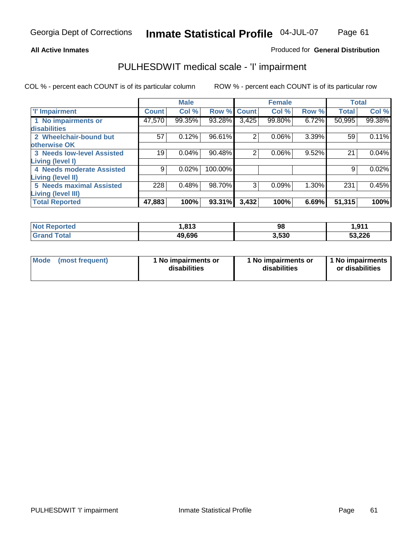### **All Active Inmates**

### Produced for **General Distribution**

### PULHESDWIT medical scale - 'I' impairment

|                                   |              | <b>Male</b> |             |       | <b>Female</b> |          | <b>Total</b> |        |
|-----------------------------------|--------------|-------------|-------------|-------|---------------|----------|--------------|--------|
| <b>T' Impairment</b>              | <b>Count</b> | Col %       | Row % Count |       | Col %         | Row %    | <b>Total</b> | Col %  |
| 1 No impairments or               | 47,570       | 99.35%      | 93.28%      | 3,425 | 99.80%        | 6.72%    | 50,995       | 99.38% |
| disabilities                      |              |             |             |       |               |          |              |        |
| 2 Wheelchair-bound but            | 57           | 0.12%       | 96.61%      | 2     | 0.06%         | $3.39\%$ | 59           | 0.11%  |
| otherwise OK                      |              |             |             |       |               |          |              |        |
| <b>3 Needs low-level Assisted</b> | 19           | 0.04%       | 90.48%      | 2     | 0.06%         | 9.52%    | 21           | 0.04%  |
| <b>Living (level I)</b>           |              |             |             |       |               |          |              |        |
| 4 Needs moderate Assisted         | 9            | 0.02%       | 100.00%     |       |               |          | 9            | 0.02%  |
| <b>Living (level II)</b>          |              |             |             |       |               |          |              |        |
| <b>5 Needs maximal Assisted</b>   | 228          | 0.48%       | 98.70%      | 3     | 0.09%         | $1.30\%$ | 231          | 0.45%  |
| Living (level III)                |              |             |             |       |               |          |              |        |
| <b>Total Reported</b>             | 47,883       | 100%        | 93.31%      | 3,432 | 100%          | 6.69%    | 51,315       | 100%   |

| N <sub>0</sub><br><b>Reported</b> | .813   | 98    | 1,911  |
|-----------------------------------|--------|-------|--------|
| 'otal                             | 49,696 | 3,530 | 53,226 |

| <b>Mode</b> | (most frequent) | 1 No impairments or<br>disabilities | 1 No impairments or<br>disabilities | 1 1 No impairments<br>or disabilities |
|-------------|-----------------|-------------------------------------|-------------------------------------|---------------------------------------|
|-------------|-----------------|-------------------------------------|-------------------------------------|---------------------------------------|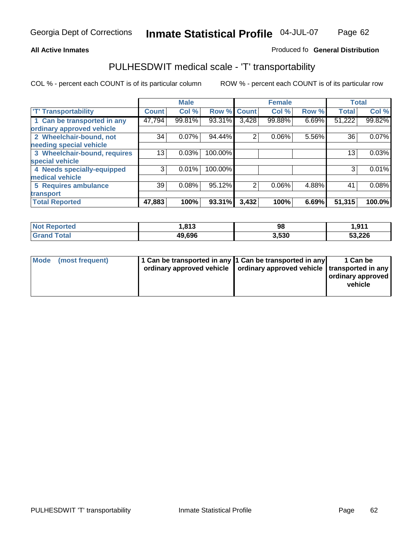#### **Inmate Statistical Profile** 04-JUL-07 Page Page 62

### All Active Inmates **All Active Inmates All Active Inmates Produced fo General Distribution**

### PULHESDWIT medical scale - 'T' transportability

|                              |              | <b>Male</b> |             |                | <b>Female</b> |       | <b>Total</b> |        |
|------------------------------|--------------|-------------|-------------|----------------|---------------|-------|--------------|--------|
| <b>T' Transportability</b>   | <b>Count</b> | Col %       | Row % Count |                | Col %         | Row % | <b>Total</b> | Col %  |
| 1 Can be transported in any  | 47,794       | 99.81%      | 93.31%      | 3,428          | 99.88%        | 6.69% | 51,222       | 99.82% |
| ordinary approved vehicle    |              |             |             |                |               |       |              |        |
| 2 Wheelchair-bound, not      | 34           | 0.07%       | 94.44%      | 2              | 0.06%         | 5.56% | 36           | 0.07%  |
| needing special vehicle      |              |             |             |                |               |       |              |        |
| 3 Wheelchair-bound, requires | 13           | 0.03%       | 100.00%     |                |               |       | 13           | 0.03%  |
| special vehicle              |              |             |             |                |               |       |              |        |
| 4 Needs specially-equipped   | 3            | 0.01%       | 100.00%     |                |               |       | 3            | 0.01%  |
| medical vehicle              |              |             |             |                |               |       |              |        |
| <b>5 Requires ambulance</b>  | 39           | 0.08%       | 95.12%      | $\overline{2}$ | 0.06%         | 4.88% | 41           | 0.08%  |
| transport                    |              |             |             |                |               |       |              |        |
| <b>Total Reported</b>        | 47,883       | 100%        | 93.31%      | 3,432          | 100%          | 6.69% | 51,315       | 100.0% |

| <b>Not</b><br><b>Reported</b> | 813. ا | 98    | 1,911  |
|-------------------------------|--------|-------|--------|
| ™otal<br><b>Gram</b>          | 49,696 | 3,530 | 53,226 |

| Mode (most frequent) | 1 Can be transported in any 1 Can be transported in any | ordinary approved vehicle   ordinary approved vehicle   transported in any | 1 Can be<br>ordinary approved<br>vehicle |
|----------------------|---------------------------------------------------------|----------------------------------------------------------------------------|------------------------------------------|
|                      |                                                         |                                                                            |                                          |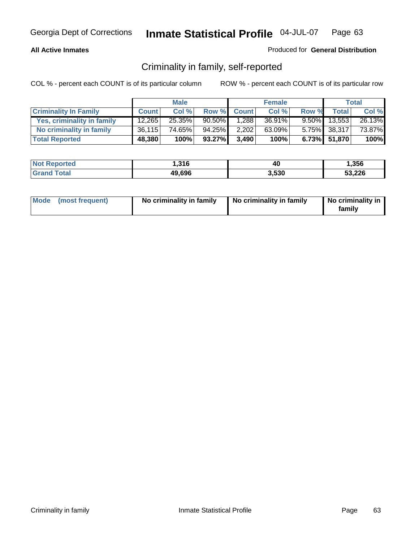### **All Active Inmates**

### Produced for **General Distribution**

### Criminality in family, self-reported

|                              |              | <b>Male</b> |           |             | <b>Female</b> |       |                 | <b>Total</b> |
|------------------------------|--------------|-------------|-----------|-------------|---------------|-------|-----------------|--------------|
| <b>Criminality In Family</b> | <b>Count</b> | Col %       |           | Row % Count | Col %         | Row % | <b>Total</b>    | Col %        |
| Yes, criminality in family   | 12,265       | 25.35%      | $90.50\%$ | 1,288       | 36.91%        |       | $9.50\%$ 13,553 | 26.13%       |
| No criminality in family     | 36,115       | 74.65%      | 94.25%    | 2,202       | 63.09%        |       | 5.75% 38,317    | 73.87%       |
| <b>Total Reported</b>        | 48,380       | 100%        | 93.27%    | 3,490       | 100%          |       | 6.73% 51,870    | 100%         |

| <b>Not Reported</b> | 316, ا | 40    | 1,356  |
|---------------------|--------|-------|--------|
| <b>Tota</b>         | 49,696 | 3.530 | 53,226 |

| Mode (most frequent) |  | No criminality in family | No criminality in family | No criminality in<br>family |
|----------------------|--|--------------------------|--------------------------|-----------------------------|
|----------------------|--|--------------------------|--------------------------|-----------------------------|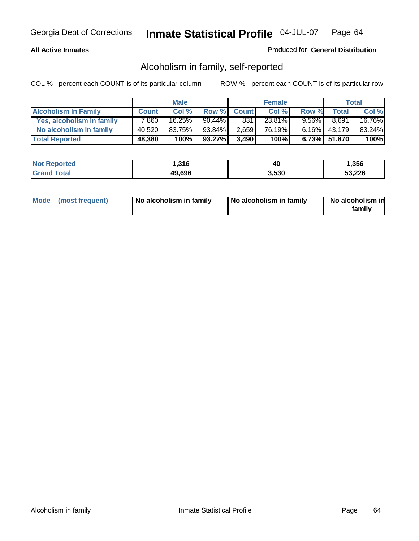### **All Active Inmates**

### Produced for **General Distribution**

### Alcoholism in family, self-reported

|                             |              | <b>Male</b> |           |              | <b>Female</b> |          |              | <b>Total</b> |
|-----------------------------|--------------|-------------|-----------|--------------|---------------|----------|--------------|--------------|
| <b>Alcoholism In Family</b> | <b>Count</b> | Col %       | Row %     | <b>Count</b> | Col %         | Row %    | <b>Total</b> | Col %        |
| Yes, alcoholism in family   | 7,860        | 16.25%      | $90.44\%$ | 831          | 23.81%        | $9.56\%$ | 8,691        | 16.76%       |
| No alcoholism in family     | 40.520       | 83.75%      | 93.84%    | 2,659        | 76.19%        |          | 6.16% 43,179 | 83.24%       |
| <b>Total Reported</b>       | 48,380       | 100%        | 93.27%    | 3,490        | 100%          |          | 6.73% 51,870 | 100%         |

| <b>Not</b><br>∙rted          | <b>316</b><br>ט ו כה ו | 40    | .356   |
|------------------------------|------------------------|-------|--------|
| <sup>-</sup> otal<br>' Grand | 49,696                 | 5,530 | 53,226 |

|  | Mode (most frequent) | No alcoholism in family | No alcoholism in family | No alcoholism in<br>family |
|--|----------------------|-------------------------|-------------------------|----------------------------|
|--|----------------------|-------------------------|-------------------------|----------------------------|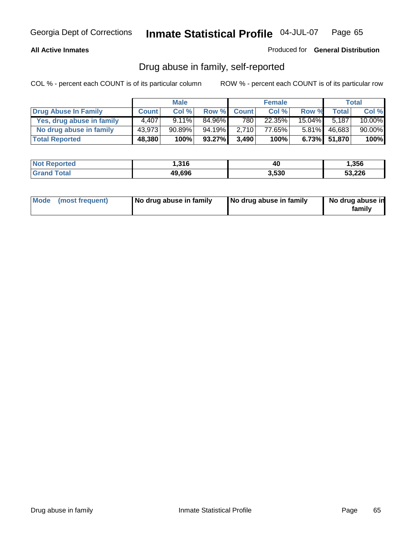#### **All Active Inmates**

#### Produced for **General Distribution**

### Drug abuse in family, self-reported

|                           |              | <b>Male</b> |        |              | <b>Female</b> |           |              | <b>Total</b> |
|---------------------------|--------------|-------------|--------|--------------|---------------|-----------|--------------|--------------|
| Drug Abuse In Family      | <b>Count</b> | Col %       | Row %  | <b>Count</b> | Col %         | Row %     | <b>Total</b> | Col %        |
| Yes, drug abuse in family | 4.407        | $9.11\%$    | 84.96% | 780          | 22.35%        | $15.04\%$ | 5.187        | 10.00%       |
| No drug abuse in family   | 43,973       | 90.89%      | 94.19% | 2,710        | 77.65%        | $5.81\%$  | 46,683       | 90.00%       |
| <b>Total Reported</b>     | 48,380       | 100%        | 93.27% | 3,490        | 100%          |           | 6.73% 51,870 | 100%         |

| <b>Not Reported</b>          | 1,316  | 40    | 356, ا |
|------------------------------|--------|-------|--------|
| <b>Total</b><br><b>Grand</b> | 49,696 | 3,530 | 53,226 |

|  | Mode (most frequent) | No drug abuse in family | No drug abuse in family | No drug abuse in<br>family |
|--|----------------------|-------------------------|-------------------------|----------------------------|
|--|----------------------|-------------------------|-------------------------|----------------------------|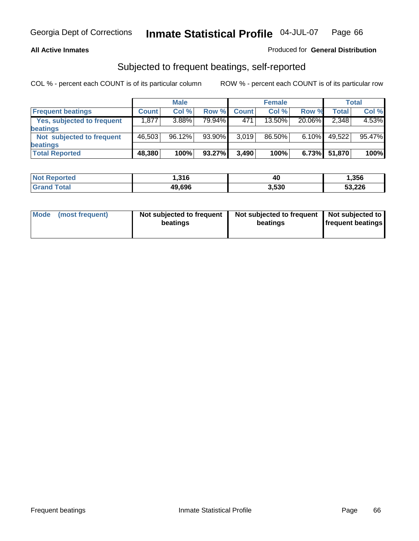#### **All Active Inmates**

### Produced for **General Distribution**

### Subjected to frequent beatings, self-reported

|                                   |              | <b>Male</b> |        |              | <b>Female</b> |          |        | <b>Total</b> |
|-----------------------------------|--------------|-------------|--------|--------------|---------------|----------|--------|--------------|
| <b>Frequent beatings</b>          | <b>Count</b> | Col%        | Row %  | <b>Count</b> | Col%          | Row %    | Total  | Col %        |
| <b>Yes, subjected to frequent</b> | 1,877        | 3.88%       | 79.94% | 471          | 13.50%        | 20.06%   | 2,348  | 4.53%        |
| beatings                          |              |             |        |              |               |          |        |              |
| Not subjected to frequent         | 46,503       | 96.12%      | 93.90% | 3.019        | 86.50%        | $6.10\%$ | 49,522 | 95.47%       |
| beatings                          |              |             |        |              |               |          |        |              |
| <b>Total Reported</b>             | 48,380       | 100%        | 93.27% | 3,490        | 100%          | 6.73%    | 51,870 | 100%         |

| <b>Not Reported</b> | .316   | . .<br>4L | 1,356  |
|---------------------|--------|-----------|--------|
| Total               | 49,696 | 3,530     | 53,226 |

| Mode            | Not subjected to frequent | Not subjected to frequent | Not subjected to  |
|-----------------|---------------------------|---------------------------|-------------------|
| (most frequent) | beatings                  | beatings                  | frequent beatings |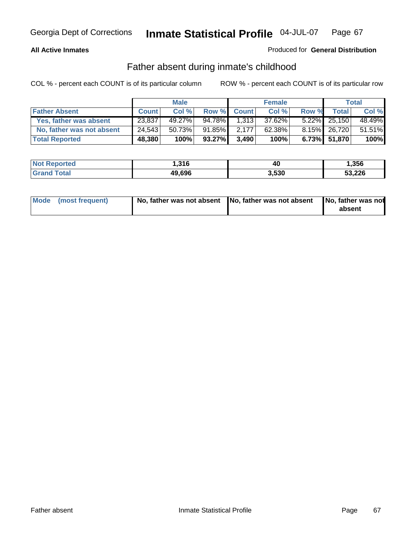### **All Active Inmates**

### Produced for **General Distribution**

### Father absent during inmate's childhood

|                           |              | <b>Male</b> |           |              | <b>Female</b> |       |                 | <b>Total</b> |
|---------------------------|--------------|-------------|-----------|--------------|---------------|-------|-----------------|--------------|
| <b>Father Absent</b>      | <b>Count</b> | Col %       | Row %     | <b>Count</b> | Col %         | Row % | <b>Total</b>    | Col %        |
| Yes, father was absent    | 23,837       | 49.27%      | 94.78%    | 1,313        | 37.62%        |       | $5.22\%$ 25,150 | 48.49%       |
| No, father was not absent | 24,543       | 50.73%      | 91.85%    | 2.177        | $62.38\%$     |       | 8.15% 26,720    | 51.51%       |
| <b>Total Reported</b>     | 48,380       | 100%        | $93.27\%$ | 3.490        | 100%          |       | $6.73\%$ 51,870 | 100%         |

| <b>Not Reported</b> | 1,316  | 4U    | .356   |
|---------------------|--------|-------|--------|
| <b>Grand Total</b>  | 49,696 | 3.530 | 53,226 |

| Mode (most frequent) |  | 「No, father was not absent ┃No, father was not absent ┃No, father was not | absent |
|----------------------|--|---------------------------------------------------------------------------|--------|
|----------------------|--|---------------------------------------------------------------------------|--------|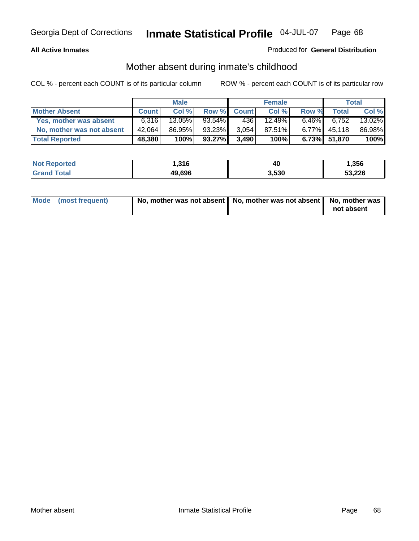### **All Active Inmates**

### Produced for **General Distribution**

### Mother absent during inmate's childhood

|                           |              | <b>Male</b> |           |              | <b>Female</b> |          |              | Total  |
|---------------------------|--------------|-------------|-----------|--------------|---------------|----------|--------------|--------|
| <b>Mother Absent</b>      | <b>Count</b> | Col%        | Row %     | <b>Count</b> | Col %         | Row %    | <b>Total</b> | Col %  |
| Yes, mother was absent    | 6.316        | $13.05\%$   | $93.54\%$ | 436          | 12.49%        | $6.46\%$ | 6,752        | 13.02% |
| No, mother was not absent | 42,064       | 86.95%      | 93.23%    | 3,054        | 87.51%        | $6.77\%$ | 45,118       | 86.98% |
| <b>Total Reported</b>     | 48,380       | 100%        | 93.27%    | 3.490        | 100%          |          | 6.73% 51,870 | 100%   |

| <b>Not Reported</b> | 1,316  | 40    | 356, ا |
|---------------------|--------|-------|--------|
| <b>Grand Total</b>  | 49,696 | 3,530 | 53,226 |

| Mode (most frequent) | No, mother was not absent   No, mother was not absent   No, mother was | not absent |
|----------------------|------------------------------------------------------------------------|------------|
|----------------------|------------------------------------------------------------------------|------------|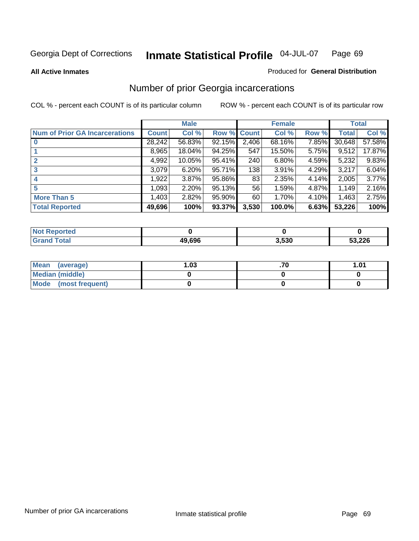#### **All Active Inmates**

#### Produced for **General Distribution**

### Number of prior Georgia incarcerations

|                                       |              | <b>Male</b> |                    |       | <b>Female</b> |       |        | <b>Total</b> |
|---------------------------------------|--------------|-------------|--------------------|-------|---------------|-------|--------|--------------|
| <b>Num of Prior GA Incarcerations</b> | <b>Count</b> | Col %       | <b>Row % Count</b> |       | Col %         | Row % | Total  | Col %        |
| $\bf{0}$                              | 28,242       | 56.83%      | 92.15%             | 2,406 | 68.16%        | 7.85% | 30,648 | 57.58%       |
|                                       | 8,965        | 18.04%      | 94.25%             | 547   | 15.50%        | 5.75% | 9,512  | 17.87%       |
|                                       | 4,992        | 10.05%      | 95.41%             | 240   | 6.80%         | 4.59% | 5,232  | 9.83%        |
| 3                                     | 3,079        | 6.20%       | 95.71%             | 138   | 3.91%         | 4.29% | 3,217  | 6.04%        |
|                                       | 1,922        | 3.87%       | 95.86%             | 83    | 2.35%         | 4.14% | 2,005  | 3.77%        |
| 5                                     | 1,093        | 2.20%       | 95.13%             | 56    | 1.59%         | 4.87% | 1,149  | 2.16%        |
| <b>More Than 5</b>                    | 1,403        | 2.82%       | 95.90%             | 60    | 1.70%         | 4.10% | 1,463  | 2.75%        |
| <b>Total Reported</b>                 | 49,696       | 100%        | 93.37%             | 3,530 | 100.0%        | 6.63% | 53,226 | 100%         |

| oorted<br>NO.        |        |       |        |
|----------------------|--------|-------|--------|
| <b>c</b> otal<br>Gra | 49.696 | 3,530 | 53,226 |

| Mean (average)       | l.O3 | 1.01 |
|----------------------|------|------|
| Median (middle)      |      |      |
| Mode (most frequent) |      |      |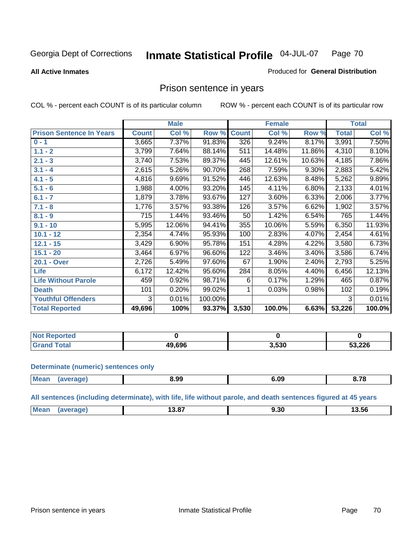**All Active Inmates**

#### Produced for **General Distribution**

### Prison sentence in years

COL % - percent each COUNT is of its particular column ROW % - percent each COUNT is of its particular row

|                                 |              | <b>Male</b> |         |              | <b>Female</b> |          |              | <b>Total</b> |
|---------------------------------|--------------|-------------|---------|--------------|---------------|----------|--------------|--------------|
| <b>Prison Sentence In Years</b> | <b>Count</b> | Col %       | Row %   | <b>Count</b> | Col %         | Row %    | <b>Total</b> | Col %        |
| $0 - 1$                         | 3,665        | 7.37%       | 91.83%  | 326          | 9.24%         | 8.17%    | 3,991        | 7.50%        |
| $1.1 - 2$                       | 3,799        | 7.64%       | 88.14%  | 511          | 14.48%        | 11.86%   | 4,310        | 8.10%        |
| $2.1 - 3$                       | 3,740        | 7.53%       | 89.37%  | 445          | 12.61%        | 10.63%   | 4,185        | 7.86%        |
| $3.1 - 4$                       | 2,615        | 5.26%       | 90.70%  | 268          | 7.59%         | $9.30\%$ | 2,883        | 5.42%        |
| $4.1 - 5$                       | 4,816        | 9.69%       | 91.52%  | 446          | 12.63%        | 8.48%    | 5,262        | 9.89%        |
| $5.1 - 6$                       | 1,988        | 4.00%       | 93.20%  | 145          | 4.11%         | 6.80%    | 2,133        | 4.01%        |
| $6.1 - 7$                       | 1,879        | 3.78%       | 93.67%  | 127          | 3.60%         | 6.33%    | 2,006        | 3.77%        |
| $7.1 - 8$                       | 1,776        | 3.57%       | 93.38%  | 126          | 3.57%         | 6.62%    | 1,902        | 3.57%        |
| $8.1 - 9$                       | 715          | 1.44%       | 93.46%  | 50           | 1.42%         | 6.54%    | 765          | 1.44%        |
| $9.1 - 10$                      | 5,995        | 12.06%      | 94.41%  | 355          | 10.06%        | 5.59%    | 6,350        | 11.93%       |
| $10.1 - 12$                     | 2,354        | 4.74%       | 95.93%  | 100          | 2.83%         | 4.07%    | 2,454        | 4.61%        |
| $12.1 - 15$                     | 3,429        | 6.90%       | 95.78%  | 151          | 4.28%         | 4.22%    | 3,580        | 6.73%        |
| $15.1 - 20$                     | 3,464        | 6.97%       | 96.60%  | 122          | 3.46%         | 3.40%    | 3,586        | 6.74%        |
| 20.1 - Over                     | 2,726        | 5.49%       | 97.60%  | 67           | 1.90%         | 2.40%    | 2,793        | 5.25%        |
| <b>Life</b>                     | 6,172        | 12.42%      | 95.60%  | 284          | 8.05%         | 4.40%    | 6,456        | 12.13%       |
| <b>Life Without Parole</b>      | 459          | 0.92%       | 98.71%  | 6            | 0.17%         | 1.29%    | 465          | 0.87%        |
| <b>Death</b>                    | 101          | 0.20%       | 99.02%  |              | 0.03%         | 0.98%    | 102          | 0.19%        |
| <b>Youthful Offenders</b>       | 3            | 0.01%       | 100.00% |              |               |          | 3            | 0.01%        |
| <b>Total Reported</b>           | 49,696       | 100%        | 93.37%  | 3,530        | 100.0%        | 6.63%    | 53,226       | 100.0%       |

| <b>Not Reported</b>  |        |       |        |
|----------------------|--------|-------|--------|
| `otal<br><b>Grat</b> | 19.696 | 3,530 | 53,226 |

#### **Determinate (numeric) sentences only**

| Mear<br>$\cdots$ | ane | 8.99 | … | ^ מי<br>v. . L<br>$ -$ |
|------------------|-----|------|---|------------------------|
|                  |     |      |   |                        |

**All sentences (including determinate), with life, life without parole, and death sentences figured at 45 years**

| Me<br>.<br>$\sim$ $\sim$<br>I 3.56<br>9.JU<br>19.07<br>___<br>$  -$ |  |  |  |
|---------------------------------------------------------------------|--|--|--|
|                                                                     |  |  |  |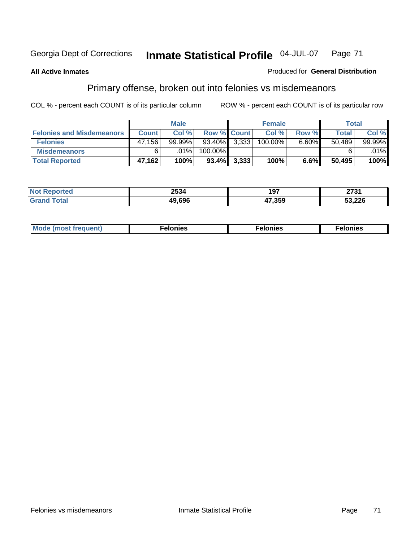#### **All Active Inmates**

#### Produced for **General Distribution**

## Primary offense, broken out into felonies vs misdemeanors

|                                  |              | <b>Male</b> |                    |       | <b>Female</b> |       | Total        |        |
|----------------------------------|--------------|-------------|--------------------|-------|---------------|-------|--------------|--------|
| <b>Felonies and Misdemeanors</b> | <b>Count</b> | Col%        | <b>Row % Count</b> |       | Col %         | Row % | <b>Total</b> | Col %  |
| <b>Felonies</b>                  | 47,156       | $99.99\%$   | $93.40\%$ 3.333    |       | 100.00%       | 6.60% | 50.489       | 99.99% |
| <b>Misdemeanors</b>              | 6            | $.01\%$     | 100.00%            |       |               |       |              | .01%   |
| <b>Total Reported</b>            | 47,162       | 100%        | $93.4\%$           | 3,333 | 100%          | 6.6%  | 50,495       | 100%   |

| ted.<br>NO:<br>⋯ | 2534   | 1 N.Z<br>.<br>וטו | 0724<br>21 J I |
|------------------|--------|-------------------|----------------|
|                  | 19 696 | 17.359            | 53,226         |

| Mode (most frequent) | elonies | elonies | onies<br>-е к |
|----------------------|---------|---------|---------------|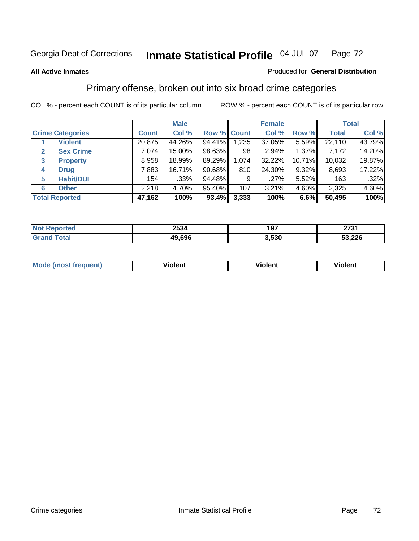#### **All Active Inmates**

#### Produced for **General Distribution**

### Primary offense, broken out into six broad crime categories

|   |                         |              | <b>Male</b> |             |       | <b>Female</b> |          |              | <b>Total</b> |
|---|-------------------------|--------------|-------------|-------------|-------|---------------|----------|--------------|--------------|
|   | <b>Crime Categories</b> | <b>Count</b> | Col %       | Row % Count |       | Col %         | Row %    | <b>Total</b> | Col %        |
|   | <b>Violent</b>          | 20,875       | 44.26%      | 94.41%      | 1,235 | 37.05%        | $5.59\%$ | 22,110       | 43.79%       |
| 2 | <b>Sex Crime</b>        | 7.074        | 15.00%      | 98.63%      | 98    | 2.94%         | 1.37%    | 7,172        | 14.20%       |
| 3 | <b>Property</b>         | 8,958        | 18.99%      | 89.29%      | 1,074 | 32.22%        | 10.71%   | 10,032       | 19.87%       |
| 4 | <b>Drug</b>             | 7,883        | 16.71%      | 90.68%      | 810   | 24.30%        | 9.32%    | 8,693        | 17.22%       |
| 5 | <b>Habit/DUI</b>        | 154          | $.33\%$     | 94.48%      | 9     | $.27\%$       | 5.52%    | 163          | .32%         |
| 6 | <b>Other</b>            | 2,218        | 4.70%       | 95.40%      | 107   | 3.21%         | 4.60%    | 2,325        | 4.60%        |
|   | <b>Total Reported</b>   | 47,162       | 100%        | 93.4%       | 3,333 | 100%          | 6.6%     | 50,495       | 100%         |

|             | 2534   | $10-$<br>ו ש | 2731<br>_____ |
|-------------|--------|--------------|---------------|
| <b>otal</b> | 49,696 | 3.530        | 53,226        |

|  | <b>Mou</b><br>--- | .<br>วlent | ---<br>olent | ≀lent<br>-------- |
|--|-------------------|------------|--------------|-------------------|
|--|-------------------|------------|--------------|-------------------|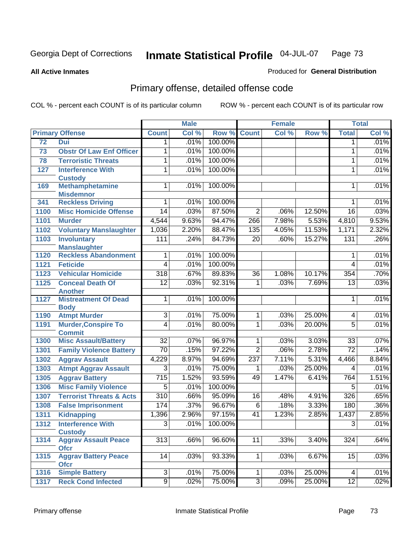**All Active Inmates**

#### Produced for **General Distribution**

# Primary offense, detailed offense code

|      |                                            | <b>Male</b>      |       |         | <b>Female</b>   | <b>Total</b> |        |                 |         |
|------|--------------------------------------------|------------------|-------|---------|-----------------|--------------|--------|-----------------|---------|
|      | <b>Primary Offense</b>                     | <b>Count</b>     | Col % | Row %   | <b>Count</b>    | Col %        | Row %  | <b>Total</b>    | Col %   |
| 72   | Dui                                        | 1                | .01%  | 100.00% |                 |              |        | 1               | .01%    |
| 73   | <b>Obstr Of Law Enf Officer</b>            | 1                | .01%  | 100.00% |                 |              |        | 1               | .01%    |
| 78   | <b>Terroristic Threats</b>                 | 1                | .01%  | 100.00% |                 |              |        | 1               | .01%    |
| 127  | <b>Interference With</b>                   | 1                | .01%  | 100.00% |                 |              |        | $\mathbf{1}$    | .01%    |
|      | <b>Custody</b>                             |                  |       |         |                 |              |        |                 |         |
| 169  | <b>Methamphetamine</b>                     | 1                | .01%  | 100.00% |                 |              |        | 1               | .01%    |
|      | <b>Misdemnor</b>                           |                  |       |         |                 |              |        |                 |         |
| 341  | <b>Reckless Driving</b>                    | 1                | .01%  | 100.00% |                 |              |        | 1               | .01%    |
| 1100 | <b>Misc Homicide Offense</b>               | $\overline{14}$  | .03%  | 87.50%  | $\overline{2}$  | .06%         | 12.50% | $\overline{16}$ | .03%    |
| 1101 | <b>Murder</b>                              | 4,544            | 9.63% | 94.47%  | 266             | 7.98%        | 5.53%  | 4,810           | 9.53%   |
| 1102 | <b>Voluntary Manslaughter</b>              | 1,036            | 2.20% | 88.47%  | 135             | 4.05%        | 11.53% | 1,171           | 2.32%   |
| 1103 | <b>Involuntary</b>                         | 111              | .24%  | 84.73%  | $\overline{20}$ | .60%         | 15.27% | 131             | .26%    |
|      | <b>Manslaughter</b>                        |                  |       |         |                 |              |        |                 |         |
| 1120 | <b>Reckless Abandonment</b>                | 1                | .01%  | 100.00% |                 |              |        | 1               | .01%    |
| 1121 | <b>Feticide</b>                            | $\overline{4}$   | .01%  | 100.00% |                 |              |        | 4               | .01%    |
| 1123 | <b>Vehicular Homicide</b>                  | $\overline{318}$ | .67%  | 89.83%  | $\overline{36}$ | 1.08%        | 10.17% | 354             | .70%    |
| 1125 | <b>Conceal Death Of</b>                    | $\overline{12}$  | .03%  | 92.31%  | $\mathbf{1}$    | .03%         | 7.69%  | $\overline{13}$ | .03%    |
|      | <b>Another</b>                             |                  |       |         |                 |              |        |                 |         |
| 1127 | <b>Mistreatment Of Dead</b><br><b>Body</b> | 1                | .01%  | 100.00% |                 |              |        | 1               | .01%    |
| 1190 | <b>Atmpt Murder</b>                        | $\overline{3}$   | .01%  | 75.00%  | 1               | .03%         | 25.00% | 4               | .01%    |
| 1191 | <b>Murder, Conspire To</b>                 | 4                | .01%  | 80.00%  | 1               | .03%         | 20.00% | 5               | .01%    |
|      | <b>Commit</b>                              |                  |       |         |                 |              |        |                 |         |
| 1300 | <b>Misc Assault/Battery</b>                | $\overline{32}$  | .07%  | 96.97%  | $\mathbf 1$     | .03%         | 3.03%  | $\overline{33}$ | .07%    |
| 1301 | <b>Family Violence Battery</b>             | $\overline{70}$  | .15%  | 97.22%  | $\overline{2}$  | .06%         | 2.78%  | $\overline{72}$ | .14%    |
| 1302 | <b>Aggrav Assault</b>                      | 4,229            | 8.97% | 94.69%  | 237             | 7.11%        | 5.31%  | 4,466           | 8.84%   |
| 1303 | <b>Atmpt Aggrav Assault</b>                | $\overline{3}$   | .01%  | 75.00%  | 1               | .03%         | 25.00% | 4               | .01%    |
| 1305 | <b>Aggrav Battery</b>                      | 715              | 1.52% | 93.59%  | 49              | 1.47%        | 6.41%  | 764             | 1.51%   |
| 1306 | <b>Misc Family Violence</b>                | $\overline{5}$   | .01%  | 100.00% |                 |              |        | 5               | .01%    |
| 1307 | <b>Terrorist Threats &amp; Acts</b>        | $\overline{310}$ | .66%  | 95.09%  | 16              | .48%         | 4.91%  | 326             | .65%    |
| 1308 | <b>False Imprisonment</b>                  | 174              | .37%  | 96.67%  | $\overline{6}$  | .18%         | 3.33%  | 180             | $.36\%$ |
| 1311 | <b>Kidnapping</b>                          | 1,396            | 2.96% | 97.15%  | 41              | 1.23%        | 2.85%  | 1,437           | 2.85%   |
| 1312 | <b>Interference With</b>                   | $\overline{3}$   | .01%  | 100.00% |                 |              |        | $\overline{3}$  | .01%    |
|      | <b>Custody</b>                             |                  |       |         |                 |              |        |                 |         |
| 1314 | <b>Aggrav Assault Peace</b>                | $\overline{313}$ | .66%  | 96.60%  | 11              | .33%         | 3.40%  | 324             | .64%    |
|      | <b>Ofcr</b>                                |                  |       |         |                 |              |        |                 |         |
| 1315 | <b>Aggrav Battery Peace</b>                | $\overline{14}$  | .03%  | 93.33%  | 1 <sup>1</sup>  | .03%         | 6.67%  | 15              | .03%    |
|      | <b>Ofcr</b>                                | $\overline{3}$   | .01%  | 75.00%  | $\mathbf 1$     | .03%         | 25.00% | 4               | .01%    |
| 1316 | <b>Simple Battery</b>                      |                  |       |         |                 |              |        |                 |         |
| 1317 | <b>Reck Cond Infected</b>                  | $\overline{9}$   | .02%  | 75.00%  | $\overline{3}$  | .09%         | 25.00% | $\overline{12}$ | .02%    |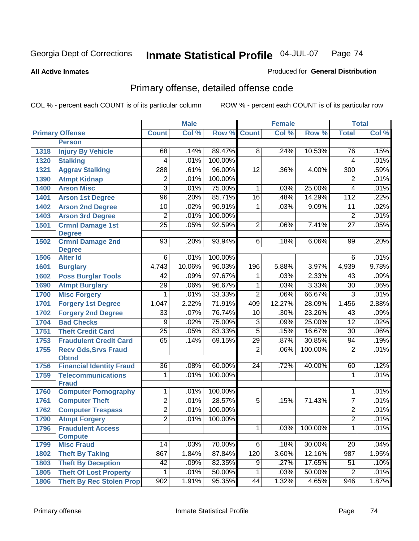**All Active Inmates**

#### Produced for **General Distribution**

# Primary offense, detailed offense code

|      |                                             |                 | <b>Male</b> |         |                 | <b>Female</b> |         |                 | <b>Total</b> |
|------|---------------------------------------------|-----------------|-------------|---------|-----------------|---------------|---------|-----------------|--------------|
|      | <b>Primary Offense</b>                      | <b>Count</b>    | Col %       | Row %   | <b>Count</b>    | Col %         | Row %   | <b>Total</b>    | Col %        |
|      | <b>Person</b>                               |                 |             |         |                 |               |         |                 |              |
| 1318 | <b>Injury By Vehicle</b>                    | 68              | .14%        | 89.47%  | 8               | .24%          | 10.53%  | 76              | .15%         |
| 1320 | <b>Stalking</b>                             | 4               | .01%        | 100.00% |                 |               |         | 4               | .01%         |
| 1321 | <b>Aggrav Stalking</b>                      | 288             | .61%        | 96.00%  | 12              | .36%          | 4.00%   | 300             | .59%         |
| 1390 | <b>Atmpt Kidnap</b>                         | 2               | .01%        | 100.00% |                 |               |         | 2               | .01%         |
| 1400 | <b>Arson Misc</b>                           | 3               | .01%        | 75.00%  | 1               | .03%          | 25.00%  | 4               | .01%         |
| 1401 | <b>Arson 1st Degree</b>                     | 96              | .20%        | 85.71%  | $\overline{16}$ | .48%          | 14.29%  | 112             | .22%         |
| 1402 | <b>Arson 2nd Degree</b>                     | 10              | .02%        | 90.91%  | $\mathbf{1}$    | .03%          | 9.09%   | 11              | .02%         |
| 1403 | <b>Arson 3rd Degree</b>                     | $\overline{2}$  | .01%        | 100.00% |                 |               |         | $\overline{2}$  | .01%         |
| 1501 | <b>Crmnl Damage 1st</b>                     | $\overline{25}$ | .05%        | 92.59%  | $\overline{2}$  | .06%          | 7.41%   | $\overline{27}$ | .05%         |
|      | <b>Degree</b>                               |                 |             |         |                 |               |         |                 |              |
| 1502 | <b>Crmnl Damage 2nd</b>                     | $\overline{93}$ | .20%        | 93.94%  | 6               | .18%          | 6.06%   | 99              | .20%         |
| 1506 | <b>Degree</b><br><b>Alter Id</b>            | $6\overline{6}$ | .01%        | 100.00% |                 |               |         | 6               | .01%         |
| 1601 | <b>Burglary</b>                             | 4,743           | 10.06%      | 96.03%  | 196             | 5.88%         | 3.97%   | 4,939           | 9.78%        |
| 1602 | <b>Poss Burglar Tools</b>                   | 42              | .09%        | 97.67%  | 1               | .03%          | 2.33%   | 43              | .09%         |
| 1690 | <b>Atmpt Burglary</b>                       | $\overline{29}$ | .06%        | 96.67%  | $\overline{1}$  | .03%          | 3.33%   | 30              | .06%         |
| 1700 | <b>Misc Forgery</b>                         | 1               | .01%        | 33.33%  | $\overline{2}$  | .06%          | 66.67%  | $\overline{3}$  | .01%         |
| 1701 | <b>Forgery 1st Degree</b>                   | 1,047           | 2.22%       | 71.91%  | 409             | 12.27%        | 28.09%  | 1,456           | 2.88%        |
| 1702 | <b>Forgery 2nd Degree</b>                   | $\overline{33}$ | .07%        | 76.74%  | 10              | .30%          | 23.26%  | 43              | .09%         |
| 1704 | <b>Bad Checks</b>                           | $\overline{9}$  | .02%        | 75.00%  | $\overline{3}$  | .09%          | 25.00%  | $\overline{12}$ | .02%         |
| 1751 | <b>Theft Credit Card</b>                    | $\overline{25}$ | .05%        | 83.33%  | $\overline{5}$  | .15%          | 16.67%  | $\overline{30}$ | .06%         |
|      | <b>Fraudulent Credit Card</b>               | 65              | .14%        | 69.15%  | 29              | .87%          | 30.85%  | 94              | .19%         |
| 1753 |                                             |                 |             |         | $\overline{2}$  | .06%          | 100.00% | $\overline{2}$  | .01%         |
| 1755 | <b>Recv Gds, Srvs Fraud</b><br><b>Obtnd</b> |                 |             |         |                 |               |         |                 |              |
| 1756 | <b>Financial Identity Fraud</b>             | $\overline{36}$ | .08%        | 60.00%  | 24              | .72%          | 40.00%  | 60              | .12%         |
| 1759 | <b>Telecommunications</b>                   | 1               | .01%        | 100.00% |                 |               |         | 1               | .01%         |
|      | <b>Fraud</b>                                |                 |             |         |                 |               |         |                 |              |
| 1760 | <b>Computer Pornography</b>                 | 1               | .01%        | 100.00% |                 |               |         | 1               | .01%         |
| 1761 | <b>Computer Theft</b>                       | $\overline{2}$  | .01%        | 28.57%  | $\overline{5}$  | .15%          | 71.43%  | $\overline{7}$  | .01%         |
| 1762 | <b>Computer Trespass</b>                    | $\overline{2}$  | .01%        | 100.00% |                 |               |         | $\overline{2}$  | .01%         |
| 1790 | <b>Atmpt Forgery</b>                        | $\overline{2}$  | .01%        | 100.00% |                 |               |         | $\overline{2}$  | .01%         |
| 1796 | <b>Fraudulent Access</b>                    |                 |             |         | 1               | .03%          | 100.00% | 1               | .01%         |
|      | <b>Compute</b>                              |                 |             |         |                 |               |         |                 |              |
| 1799 | <b>Misc Fraud</b>                           | 14              | .03%        | 70.00%  | 6               | .18%          | 30.00%  | 20              | .04%         |
| 1802 | <b>Theft By Taking</b>                      | 867             | 1.84%       | 87.84%  | 120             | 3.60%         | 12.16%  | 987             | 1.95%        |
| 1803 | <b>Theft By Deception</b>                   | 42              | .09%        | 82.35%  | 9               | .27%          | 17.65%  | 51              | .10%         |
| 1805 | <b>Theft Of Lost Property</b>               | 1               | .01%        | 50.00%  | $\mathbf{1}$    | .03%          | 50.00%  | $\overline{2}$  | .01%         |
| 1806 | <b>Theft By Rec Stolen Prop</b>             | 902             | 1.91%       | 95.35%  | 44              | 1.32%         | 4.65%   | 946             | 1.87%        |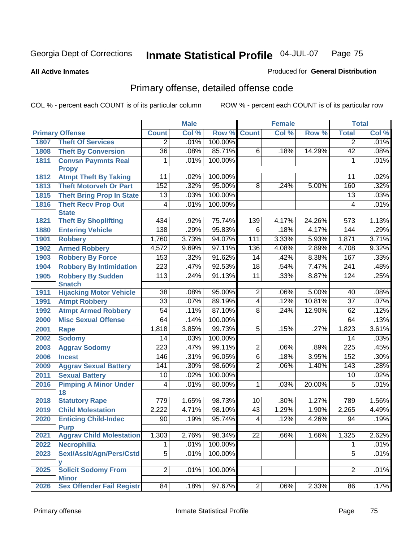**All Active Inmates**

#### Produced for **General Distribution**

# Primary offense, detailed offense code

|      |                                            | <b>Male</b>      |       |         |                 | <b>Female</b> |        | <b>Total</b>     |       |
|------|--------------------------------------------|------------------|-------|---------|-----------------|---------------|--------|------------------|-------|
|      | <b>Primary Offense</b>                     | <b>Count</b>     | Col % | Row %   | <b>Count</b>    | Col %         | Row %  | <b>Total</b>     | Col % |
| 1807 | <b>Theft Of Services</b>                   | $\overline{2}$   | .01%  | 100.00% |                 |               |        | $\overline{2}$   | .01%  |
| 1808 | <b>Theft By Conversion</b>                 | $\overline{36}$  | .08%  | 85.71%  | $\overline{6}$  | .18%          | 14.29% | $\overline{42}$  | .08%  |
| 1811 | <b>Convsn Paymnts Real</b>                 | 1                | .01%  | 100.00% |                 |               |        | 1                | .01%  |
|      | <b>Propy</b>                               |                  |       |         |                 |               |        |                  |       |
| 1812 | <b>Atmpt Theft By Taking</b>               | 11               | .02%  | 100.00% |                 |               |        | 11               | .02%  |
| 1813 | <b>Theft Motorveh Or Part</b>              | 152              | .32%  | 95.00%  | $\overline{8}$  | .24%          | 5.00%  | 160              | .32%  |
| 1815 | <b>Theft Bring Prop In State</b>           | $\overline{13}$  | .03%  | 100.00% |                 |               |        | 13               | .03%  |
| 1816 | <b>Theft Recv Prop Out</b>                 | 4                | .01%  | 100.00% |                 |               |        | 4                | .01%  |
|      | <b>State</b>                               |                  |       |         |                 |               |        |                  |       |
| 1821 | <b>Theft By Shoplifting</b>                | 434              | .92%  | 75.74%  | 139             | 4.17%         | 24.26% | 573              | 1.13% |
| 1880 | <b>Entering Vehicle</b>                    | 138              | .29%  | 95.83%  | $\overline{6}$  | .18%          | 4.17%  | 144              | .29%  |
| 1901 | <b>Robbery</b>                             | 1,760            | 3.73% | 94.07%  | 111             | 3.33%         | 5.93%  | 1,871            | 3.71% |
| 1902 | <b>Armed Robbery</b>                       | 4,572            | 9.69% | 97.11%  | 136             | 4.08%         | 2.89%  | 4,708            | 9.32% |
| 1903 | <b>Robbery By Force</b>                    | 153              | .32%  | 91.62%  | 14              | .42%          | 8.38%  | 167              | .33%  |
| 1904 | <b>Robbery By Intimidation</b>             | 223              | .47%  | 92.53%  | $\overline{18}$ | .54%          | 7.47%  | $\overline{241}$ | .48%  |
| 1905 | <b>Robbery By Sudden</b>                   | $\overline{113}$ | .24%  | 91.13%  | $\overline{11}$ | .33%          | 8.87%  | 124              | .25%  |
|      | <b>Snatch</b>                              |                  |       |         |                 |               |        |                  |       |
| 1911 | <b>Hijacking Motor Vehicle</b>             | $\overline{38}$  | .08%  | 95.00%  | $\overline{2}$  | .06%          | 5.00%  | 40               | .08%  |
| 1991 | <b>Atmpt Robbery</b>                       | $\overline{33}$  | .07%  | 89.19%  | $\overline{4}$  | .12%          | 10.81% | $\overline{37}$  | .07%  |
| 1992 | <b>Atmpt Armed Robbery</b>                 | $\overline{54}$  | .11%  | 87.10%  | $\overline{8}$  | .24%          | 12.90% | 62               | .12%  |
| 2000 | <b>Misc Sexual Offense</b>                 | 64               | .14%  | 100.00% |                 |               |        | 64               | .13%  |
| 2001 | <b>Rape</b>                                | 1,818            | 3.85% | 99.73%  | $\overline{5}$  | .15%          | .27%   | 1,823            | 3.61% |
| 2002 | <b>Sodomy</b>                              | 14               | .03%  | 100.00% |                 |               |        | $\overline{14}$  | .03%  |
| 2003 | <b>Aggrav Sodomy</b>                       | $\overline{223}$ | .47%  | 99.11%  | $\overline{2}$  | .06%          | .89%   | $\overline{225}$ | .45%  |
| 2006 | <b>Incest</b>                              | 146              | .31%  | 96.05%  | $\overline{6}$  | .18%          | 3.95%  | 152              | .30%  |
| 2009 | <b>Aggrav Sexual Battery</b>               | 141              | .30%  | 98.60%  | $\overline{2}$  | .06%          | 1.40%  | 143              | .28%  |
| 2011 | <b>Sexual Battery</b>                      | 10               | .02%  | 100.00% |                 |               |        | $\overline{10}$  | .02%  |
| 2016 | <b>Pimping A Minor Under</b>               | 4                | .01%  | 80.00%  | 1               | .03%          | 20.00% | $\overline{5}$   | .01%  |
|      | 18                                         |                  |       |         |                 |               |        |                  |       |
| 2018 | <b>Statutory Rape</b>                      | 779              | 1.65% | 98.73%  | 10              | .30%          | 1.27%  | 789              | 1.56% |
| 2019 | <b>Child Molestation</b>                   | 2,222            | 4.71% | 98.10%  | 43              | 1.29%         | 1.90%  | 2,265            | 4.49% |
| 2020 | <b>Enticing Child-Indec</b>                | 90               | .19%  | 95.74%  | $\overline{4}$  | .12%          | 4.26%  | 94               | .19%  |
|      | <b>Purp</b>                                |                  |       |         |                 |               |        |                  |       |
| 2021 | <b>Aggrav Child Molestation</b>            | 1,303            | 2.76% | 98.34%  | $\overline{22}$ | .66%          | 1.66%  | 1,325            | 2.62% |
| 2022 | <b>Necrophilia</b>                         | 1                | .01%  | 100.00% |                 |               |        | 1                | .01%  |
| 2023 | Sexl/Asslt/Agn/Pers/Cstd                   | $\overline{5}$   | .01%  | 100.00% |                 |               |        | $\overline{5}$   | .01%  |
|      |                                            | $\overline{2}$   |       | 100.00% |                 |               |        | $\overline{2}$   |       |
| 2025 | <b>Solicit Sodomy From</b><br><b>Minor</b> |                  | .01%  |         |                 |               |        |                  | .01%  |
| 2026 | <b>Sex Offender Fail Registr</b>           | 84               | .18%  | 97.67%  | $\overline{2}$  | .06%          | 2.33%  | 86               | .17%  |
|      |                                            |                  |       |         |                 |               |        |                  |       |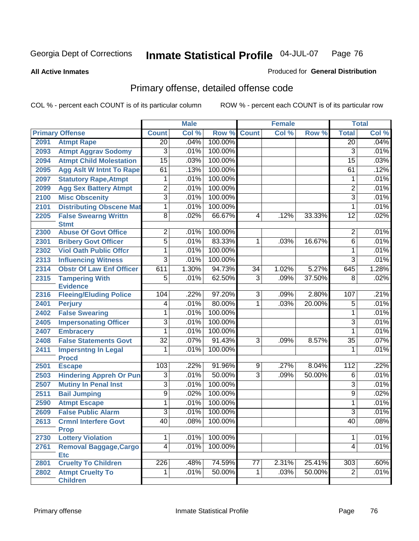**All Active Inmates**

#### Produced for **General Distribution**

# Primary offense, detailed offense code

|      |                                             |                         | <b>Male</b> |         |                 | <b>Female</b> |        |                 | <b>Total</b> |
|------|---------------------------------------------|-------------------------|-------------|---------|-----------------|---------------|--------|-----------------|--------------|
|      | <b>Primary Offense</b>                      | <b>Count</b>            | Col %       | Row %   | <b>Count</b>    | Col %         | Row %  | <b>Total</b>    | Col %        |
| 2091 | <b>Atmpt Rape</b>                           | $\overline{20}$         | .04%        | 100.00% |                 |               |        | $\overline{20}$ | .04%         |
| 2093 | <b>Atmpt Aggrav Sodomy</b>                  | $\overline{3}$          | .01%        | 100.00% |                 |               |        | $\overline{3}$  | .01%         |
| 2094 | <b>Atmpt Child Molestation</b>              | $\overline{15}$         | .03%        | 100.00% |                 |               |        | $\overline{15}$ | .03%         |
| 2095 | <b>Agg Aslt W Intnt To Rape</b>             | 61                      | .13%        | 100.00% |                 |               |        | 61              | .12%         |
| 2097 | <b>Statutory Rape, Atmpt</b>                | 1                       | .01%        | 100.00% |                 |               |        | 1               | .01%         |
| 2099 | <b>Agg Sex Battery Atmpt</b>                | $\overline{2}$          | .01%        | 100.00% |                 |               |        | $\overline{2}$  | .01%         |
| 2100 | <b>Misc Obscenity</b>                       | $\overline{3}$          | .01%        | 100.00% |                 |               |        | 3               | .01%         |
| 2101 | <b>Distributing Obscene Mat</b>             | 1                       | .01%        | 100.00% |                 |               |        | 1               | .01%         |
| 2205 | <b>False Swearng Writtn</b><br><b>Stmt</b>  | $\overline{8}$          | .02%        | 66.67%  | $\overline{4}$  | .12%          | 33.33% | $\overline{12}$ | .02%         |
| 2300 | <b>Abuse Of Govt Office</b>                 | $\overline{2}$          | .01%        | 100.00% |                 |               |        | $\overline{2}$  | .01%         |
| 2301 | <b>Bribery Govt Officer</b>                 | $\overline{5}$          | .01%        | 83.33%  | 1               | .03%          | 16.67% | 6               | .01%         |
| 2302 | <b>Viol Oath Public Offcr</b>               | 1                       | .01%        | 100.00% |                 |               |        | 1               | .01%         |
| 2313 | <b>Influencing Witness</b>                  | $\overline{3}$          | .01%        | 100.00% |                 |               |        | 3               | .01%         |
| 2314 | <b>Obstr Of Law Enf Officer</b>             | 611                     | 1.30%       | 94.73%  | $\overline{34}$ | 1.02%         | 5.27%  | 645             | 1.28%        |
| 2315 | <b>Tampering With</b>                       | $\overline{5}$          | .01%        | 62.50%  | 3               | .09%          | 37.50% | 8               | .02%         |
|      | <b>Evidence</b>                             |                         |             |         |                 |               |        |                 |              |
| 2316 | <b>Fleeing/Eluding Police</b>               | 104                     | .22%        | 97.20%  | $\overline{3}$  | .09%          | 2.80%  | 107             | .21%         |
| 2401 | <b>Perjury</b>                              | $\overline{4}$          | .01%        | 80.00%  | 1               | .03%          | 20.00% | $\overline{5}$  | .01%         |
| 2402 | <b>False Swearing</b>                       | 1                       | .01%        | 100.00% |                 |               |        | 1               | .01%         |
| 2405 | <b>Impersonating Officer</b>                | $\overline{\mathbf{3}}$ | .01%        | 100.00% |                 |               |        | $\overline{3}$  | .01%         |
| 2407 | <b>Embracery</b>                            | 1                       | .01%        | 100.00% |                 |               |        | 1               | .01%         |
| 2408 | <b>False Statements Govt</b>                | $\overline{32}$         | .07%        | 91.43%  | $\overline{3}$  | .09%          | 8.57%  | 35              | .07%         |
| 2411 | <b>Impersntng In Legal</b><br><b>Procd</b>  | 1                       | .01%        | 100.00% |                 |               |        | 1               | .01%         |
| 2501 | <b>Escape</b>                               | 103                     | .22%        | 91.96%  | 9               | .27%          | 8.04%  | 112             | .22%         |
| 2503 | <b>Hindering Appreh Or Pun</b>              | $\overline{3}$          | .01%        | 50.00%  | $\overline{3}$  | .09%          | 50.00% | $\overline{6}$  | .01%         |
| 2507 | <b>Mutiny In Penal Inst</b>                 | $\overline{3}$          | .01%        | 100.00% |                 |               |        | $\overline{3}$  | .01%         |
| 2511 | <b>Bail Jumping</b>                         | $\overline{9}$          | .02%        | 100.00% |                 |               |        | $\overline{9}$  | .02%         |
| 2590 | <b>Atmpt Escape</b>                         | 1                       | .01%        | 100.00% |                 |               |        | 1               | .01%         |
| 2609 | <b>False Public Alarm</b>                   | $\overline{3}$          | .01%        | 100.00% |                 |               |        | $\overline{3}$  | .01%         |
| 2613 | <b>Crmnl Interfere Govt</b><br><b>Prop</b>  | $\overline{40}$         | .08%        | 100.00% |                 |               |        | 40              | .08%         |
| 2730 | <b>Lottery Violation</b>                    | 1                       | .01%        | 100.00% |                 |               |        | 1               | .01%         |
| 2761 | <b>Removal Baggage, Cargo</b><br><b>Etc</b> | $\overline{4}$          | .01%        | 100.00% |                 |               |        | 4               | .01%         |
| 2801 | <b>Cruelty To Children</b>                  | $\overline{226}$        | .48%        | 74.59%  | 77              | 2.31%         | 25.41% | 303             | .60%         |
| 2802 | <b>Atmpt Cruelty To</b>                     | $\mathbf{1}$            | .01%        | 50.00%  | $\mathbf{1}$    | .03%          | 50.00% | $\overline{2}$  | .01%         |
|      | <b>Children</b>                             |                         |             |         |                 |               |        |                 |              |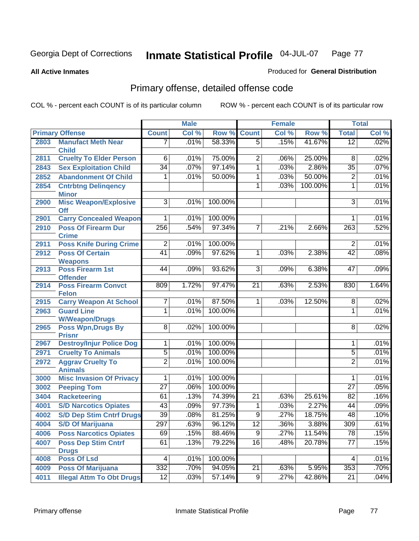**All Active Inmates**

#### Produced for **General Distribution**

# Primary offense, detailed offense code

|      |                                                |                  | <b>Male</b> |         | <b>Female</b>   |       |         | <b>Total</b>     |       |
|------|------------------------------------------------|------------------|-------------|---------|-----------------|-------|---------|------------------|-------|
|      | <b>Primary Offense</b>                         | <b>Count</b>     | Col %       | Row %   | <b>Count</b>    | Col % | Row %   | <b>Total</b>     | CoI%  |
| 2803 | <b>Manufact Meth Near</b>                      | 7                | .01%        | 58.33%  | $\overline{5}$  | .15%  | 41.67%  | $\overline{12}$  | .02%  |
| 2811 | <b>Child</b><br><b>Cruelty To Elder Person</b> | 6                | .01%        | 75.00%  | 2               | .06%  | 25.00%  | 8                | .02%  |
| 2843 |                                                | $\overline{34}$  | .07%        | 97.14%  |                 |       | 2.86%   |                  | .07%  |
|      | <b>Sex Exploitation Child</b>                  |                  |             |         | 1               | .03%  |         | $\overline{35}$  |       |
| 2852 | <b>Abandonment Of Child</b>                    | 1                | .01%        | 50.00%  | 1               | .03%  | 50.00%  | $\overline{2}$   | .01%  |
| 2854 | <b>Cntrbtng Delingency</b><br><b>Minor</b>     |                  |             |         | 1               | .03%  | 100.00% | 1                | .01%  |
| 2900 | <b>Misc Weapon/Explosive</b>                   | $\overline{3}$   | .01%        | 100.00% |                 |       |         | $\overline{3}$   | .01%  |
|      | <b>Off</b>                                     |                  |             |         |                 |       |         |                  |       |
| 2901 | <b>Carry Concealed Weapon</b>                  | 1                | .01%        | 100.00% |                 |       |         | 1                | .01%  |
| 2910 | <b>Poss Of Firearm Dur</b><br><b>Crime</b>     | 256              | .54%        | 97.34%  | 7               | .21%  | 2.66%   | 263              | .52%  |
| 2911 | <b>Poss Knife During Crime</b>                 | 2                | .01%        | 100.00% |                 |       |         | $\overline{2}$   | .01%  |
| 2912 | <b>Poss Of Certain</b>                         | $\overline{41}$  | .09%        | 97.62%  | 1               | .03%  | 2.38%   | $\overline{42}$  | .08%  |
|      | <b>Weapons</b>                                 |                  |             |         |                 |       |         |                  |       |
| 2913 | <b>Poss Firearm 1st</b>                        | 44               | .09%        | 93.62%  | $\overline{3}$  | .09%  | 6.38%   | 47               | .09%  |
|      | <b>Offender</b>                                |                  |             |         |                 |       |         |                  |       |
| 2914 | <b>Poss Firearm Convct</b><br><b>Felon</b>     | 809              | 1.72%       | 97.47%  | $\overline{21}$ | .63%  | 2.53%   | 830              | 1.64% |
| 2915 | <b>Carry Weapon At School</b>                  | 7                | .01%        | 87.50%  | 1               | .03%  | 12.50%  | 8                | .02%  |
| 2963 | <b>Guard Line</b>                              | 1                | .01%        | 100.00% |                 |       |         | 1                | .01%  |
|      | <b>W/Weapon/Drugs</b>                          |                  |             |         |                 |       |         |                  |       |
| 2965 | <b>Poss Wpn, Drugs By</b>                      | $\overline{8}$   | .02%        | 100.00% |                 |       |         | 8                | .02%  |
|      | <b>Prisnr</b>                                  |                  |             |         |                 |       |         |                  |       |
| 2967 | <b>Destroy/Injur Police Dog</b>                | 1                | .01%        | 100.00% |                 |       |         | 1                | .01%  |
| 2971 | <b>Cruelty To Animals</b>                      | 5                | .01%        | 100.00% |                 |       |         | 5                | .01%  |
| 2972 | <b>Aggrav Cruelty To</b>                       | $\overline{2}$   | .01%        | 100.00% |                 |       |         | $\overline{2}$   | .01%  |
|      | <b>Animals</b>                                 |                  |             |         |                 |       |         |                  |       |
| 3000 | <b>Misc Invasion Of Privacy</b>                | 1                | .01%        | 100.00% |                 |       |         | 1                | .01%  |
| 3002 | <b>Peeping Tom</b>                             | $\overline{27}$  | .06%        | 100.00% |                 |       |         | $\overline{27}$  | .05%  |
| 3404 | <b>Racketeering</b>                            | 61               | .13%        | 74.39%  | $\overline{21}$ | .63%  | 25.61%  | $\overline{82}$  | .16%  |
| 4001 | <b>S/D Narcotics Opiates</b>                   | $\overline{43}$  | .09%        | 97.73%  | 1               | .03%  | 2.27%   | 44               | .09%  |
| 4002 | <b>S/D Dep Stim Cntrf Drugs</b>                | 39               | .08%        | 81.25%  | $\overline{9}$  | .27%  | 18.75%  | 48               | .10%  |
| 4004 | <b>S/D Of Marijuana</b>                        | $\overline{297}$ | 63%         | 96.12%  | $\overline{12}$ | 36%   | 3.88%   | $\overline{309}$ | .61%  |
| 4006 | <b>Poss Narcotics Opiates</b>                  | 69               | .15%        | 88.46%  | $\overline{9}$  | .27%  | 11.54%  | $\overline{78}$  | .15%  |
| 4007 | <b>Poss Dep Stim Cntrf</b>                     | 61               | .13%        | 79.22%  | 16              | .48%  | 20.78%  | $\overline{77}$  | .15%  |
|      | <b>Drugs</b>                                   |                  |             |         |                 |       |         |                  |       |
| 4008 | <b>Poss Of Lsd</b>                             | 4                | .01%        | 100.00% |                 |       |         | 4                | .01%  |
| 4009 | <b>Poss Of Marijuana</b>                       | $\overline{332}$ | .70%        | 94.05%  | $\overline{21}$ | .63%  | 5.95%   | 353              | .70%  |
| 4011 | <b>Illegal Attm To Obt Drugs</b>               | $\overline{12}$  | .03%        | 57.14%  | 9               | .27%  | 42.86%  | $\overline{21}$  | .04%  |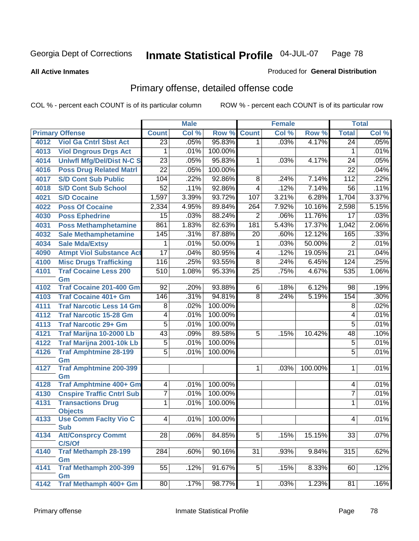**All Active Inmates**

#### Produced for **General Distribution**

# Primary offense, detailed offense code

|      |                                     | <b>Male</b>      |       |         | <b>Female</b>   | <b>Total</b> |         |                 |       |
|------|-------------------------------------|------------------|-------|---------|-----------------|--------------|---------|-----------------|-------|
|      | <b>Primary Offense</b>              | <b>Count</b>     | Col % | Row %   | <b>Count</b>    | Col %        | Row %   | <b>Total</b>    | Col % |
| 4012 | <b>Viol Ga Cntrl Sbst Act</b>       | $\overline{23}$  | .05%  | 95.83%  | 1 <sup>1</sup>  | .03%         | 4.17%   | $\overline{24}$ | .05%  |
| 4013 | <b>Viol Dngrous Drgs Act</b>        | 1                | .01%  | 100.00% |                 |              |         | 1               | .01%  |
| 4014 | <b>Uniwfl Mfg/Del/Dist N-C S</b>    | $\overline{23}$  | .05%  | 95.83%  | 1               | .03%         | 4.17%   | 24              | .05%  |
| 4016 | <b>Poss Drug Related Matri</b>      | $\overline{22}$  | .05%  | 100.00% |                 |              |         | $\overline{22}$ | .04%  |
| 4017 | <b>S/D Cont Sub Public</b>          | 104              | .22%  | 92.86%  | $\overline{8}$  | .24%         | 7.14%   | 112             | .22%  |
| 4018 | <b>S/D Cont Sub School</b>          | $\overline{52}$  | .11%  | 92.86%  | $\overline{4}$  | .12%         | 7.14%   | 56              | .11%  |
| 4021 | <b>S/D Cocaine</b>                  | 1,597            | 3.39% | 93.72%  | 107             | 3.21%        | 6.28%   | 1,704           | 3.37% |
| 4022 | <b>Poss Of Cocaine</b>              | 2,334            | 4.95% | 89.84%  | 264             | 7.92%        | 10.16%  | 2,598           | 5.15% |
| 4030 | <b>Poss Ephedrine</b>               | 15               | .03%  | 88.24%  | $\overline{2}$  | .06%         | 11.76%  | 17              | .03%  |
| 4031 | <b>Poss Methamphetamine</b>         | 861              | 1.83% | 82.63%  | 181             | 5.43%        | 17.37%  | 1,042           | 2.06% |
| 4032 | <b>Sale Methamphetamine</b>         | 145              | .31%  | 87.88%  | $\overline{20}$ | .60%         | 12.12%  | 165             | .33%  |
| 4034 | <b>Sale Mda/Extsy</b>               | 1                | .01%  | 50.00%  | 1               | .03%         | 50.00%  | $\overline{2}$  | .01%  |
| 4090 | <b>Atmpt Viol Substance Act</b>     | 17               | .04%  | 80.95%  | $\overline{4}$  | .12%         | 19.05%  | $\overline{21}$ | .04%  |
| 4100 | <b>Misc Drugs Trafficking</b>       | 116              | .25%  | 93.55%  | $\overline{8}$  | .24%         | 6.45%   | 124             | .25%  |
| 4101 | <b>Traf Cocaine Less 200</b>        | $\overline{510}$ | 1.08% | 95.33%  | $\overline{25}$ | .75%         | 4.67%   | 535             | 1.06% |
|      | Gm                                  |                  |       |         |                 |              |         |                 |       |
| 4102 | Traf Cocaine 201-400 Gm             | $\overline{92}$  | .20%  | 93.88%  | 6               | .18%         | 6.12%   | 98              | .19%  |
| 4103 | <b>Traf Cocaine 401+ Gm</b>         | 146              | .31%  | 94.81%  | $\overline{8}$  | .24%         | 5.19%   | 154             | .30%  |
| 4111 | <b>Traf Narcotic Less 14 Gm</b>     | 8                | .02%  | 100.00% |                 |              |         | 8               | .02%  |
| 4112 | <b>Traf Narcotic 15-28 Gm</b>       | $\overline{4}$   | .01%  | 100.00% |                 |              |         | 4               | .01%  |
| 4113 | <b>Traf Narcotic 29+ Gm</b>         | 5                | .01%  | 100.00% |                 |              |         | $\overline{5}$  | .01%  |
| 4121 | Traf Marijna 10-2000 Lb             | 43               | .09%  | 89.58%  | $\overline{5}$  | .15%         | 10.42%  | 48              | .10%  |
| 4122 | Traf Marijna 2001-10k Lb            | $\overline{5}$   | .01%  | 100.00% |                 |              |         | $\overline{5}$  | .01%  |
| 4126 | <b>Traf Amphtmine 28-199</b>        | $\overline{5}$   | .01%  | 100.00% |                 |              |         | 5               | .01%  |
|      | Gm                                  |                  |       |         |                 |              |         |                 |       |
| 4127 | <b>Traf Amphtmine 200-399</b><br>Gm |                  |       |         | 1               | .03%         | 100.00% | 1               | .01%  |
| 4128 | <b>Traf Amphtmine 400+ Gm</b>       | $\overline{4}$   | .01%  | 100.00% |                 |              |         | 4               | .01%  |
| 4130 | <b>Cnspire Traffic Cntrl Sub</b>    | 7                | .01%  | 100.00% |                 |              |         | $\overline{7}$  | .01%  |
| 4131 | <b>Transactions Drug</b>            | 1                | .01%  | 100.00% |                 |              |         | 1               | .01%  |
|      | <b>Objects</b>                      |                  |       |         |                 |              |         |                 |       |
| 4133 | <b>Use Comm Facity Vio C</b>        | 4                | .01%  | 100.00% |                 |              |         | 4               | .01%  |
|      | <b>Sub</b>                          |                  |       |         |                 |              |         |                 |       |
| 4134 | <b>Att/Consprcy Commt</b>           | $\overline{28}$  | .06%  | 84.85%  | $\overline{5}$  | .15%         | 15.15%  | 33              | .07%  |
|      | C/S/Of                              |                  |       |         |                 |              |         |                 |       |
| 4140 | <b>Traf Methamph 28-199</b>         | 284              | .60%  | 90.16%  | 31              | .93%         | 9.84%   | 315             | .62%  |
| 4141 | Gm<br><b>Traf Methamph 200-399</b>  | 55               | .12%  | 91.67%  | $\overline{5}$  | .15%         | 8.33%   | 60              | .12%  |
|      | Gm                                  |                  |       |         |                 |              |         |                 |       |
| 4142 | Traf Methamph 400+ Gm               | 80               | .17%  | 98.77%  | 1               | .03%         | 1.23%   | 81              | .16%  |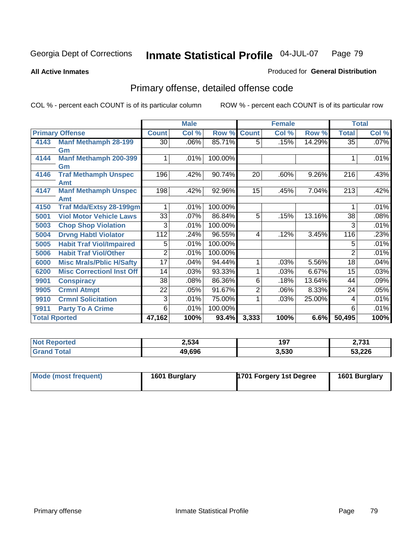**All Active Inmates**

#### Produced for **General Distribution**

# Primary offense, detailed offense code

|                      |                                  | <b>Male</b><br><b>Female</b> |       |         |                | <b>Total</b> |        |                 |         |
|----------------------|----------------------------------|------------------------------|-------|---------|----------------|--------------|--------|-----------------|---------|
|                      | <b>Primary Offense</b>           | <b>Count</b>                 | Col % | Row %   | <b>Count</b>   | Col %        | Row %  | <b>Total</b>    | Col %   |
| 4143                 | <b>Manf Methamph 28-199</b>      | 30 <sub>1</sub>              | .06%  | 85.71%  | 5 <sup>1</sup> | .15%         | 14.29% | $\overline{35}$ | $.07\%$ |
|                      | Gm                               |                              |       |         |                |              |        |                 |         |
| 4144                 | <b>Manf Methamph 200-399</b>     |                              | .01%  | 100.00% |                |              |        |                 | .01%    |
|                      | Gm                               |                              |       |         |                |              |        |                 |         |
| 4146                 | <b>Traf Methamph Unspec</b>      | 196                          | .42%  | 90.74%  | 20             | .60%         | 9.26%  | 216             | .43%    |
|                      | Amt                              |                              |       |         |                |              |        |                 |         |
| 4147                 | <b>Manf Methamph Unspec</b>      | 198                          | .42%  | 92.96%  | 15             | .45%         | 7.04%  | 213             | .42%    |
|                      | Amt                              |                              |       |         |                |              |        |                 |         |
| 4150                 | <b>Traf Mda/Extsy 28-199gm</b>   |                              | .01%  | 100.00% |                |              |        |                 | .01%    |
| 5001                 | <b>Viol Motor Vehicle Laws</b>   | 33                           | .07%  | 86.84%  | 5              | .15%         | 13.16% | 38              | .08%    |
| 5003                 | <b>Chop Shop Violation</b>       | 3                            | .01%  | 100.00% |                |              |        | 3               | .01%    |
| 5004                 | <b>Drvng Habtl Violator</b>      | $\overline{112}$             | .24%  | 96.55%  | 4              | .12%         | 3.45%  | 116             | .23%    |
| 5005                 | <b>Habit Traf Viol/Impaired</b>  | 5                            | .01%  | 100.00% |                |              |        | 5               | .01%    |
| 5006                 | <b>Habit Traf Viol/Other</b>     | 2                            | .01%  | 100.00% |                |              |        | 2               | .01%    |
| 6000                 | <b>Misc Mrals/Pblic H/Safty</b>  | 17                           | .04%  | 94.44%  | 1              | .03%         | 5.56%  | 18              | .04%    |
| 6200                 | <b>Misc Correctionl Inst Off</b> | 14                           | .03%  | 93.33%  |                | .03%         | 6.67%  | 15              | .03%    |
| 9901                 | <b>Conspiracy</b>                | 38                           | .08%  | 86.36%  | 6              | .18%         | 13.64% | 44              | .09%    |
| 9905                 | <b>Crmnl Atmpt</b>               | 22                           | .05%  | 91.67%  | $\overline{2}$ | .06%         | 8.33%  | 24              | .05%    |
| 9910                 | <b>Crmnl Solicitation</b>        | 3                            | .01%  | 75.00%  |                | .03%         | 25.00% | 4               | .01%    |
| 9911                 | <b>Party To A Crime</b>          | 6                            | .01%  | 100.00% |                |              |        | 6               | .01%    |
| <b>Total Rported</b> |                                  | 47,162                       | 100%  | 93.4%   | 3,333          | 100%         | 6.6%   | 50,495          | 100%    |

| <b>Not</b><br>Reported | 2,534  | 197   | n 794<br>ו כי י |
|------------------------|--------|-------|-----------------|
| <b>Fotal</b>           | 49,696 | 3,530 | 53,226          |

| Mode (most frequent) | 1601 Burglary | 1701 Forgery 1st Degree | 1601 Burglary |
|----------------------|---------------|-------------------------|---------------|
|----------------------|---------------|-------------------------|---------------|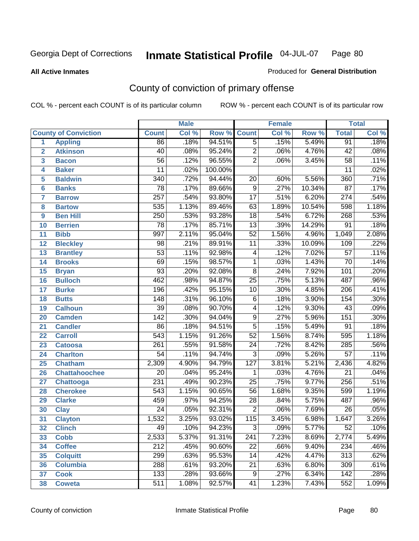**All Active Inmates**

### Produced for **General Distribution**

# County of conviction of primary offense

|                 |                             |                  | <b>Male</b> |                    | <b>Female</b>           |       |        | <b>Total</b>     |                            |  |
|-----------------|-----------------------------|------------------|-------------|--------------------|-------------------------|-------|--------|------------------|----------------------------|--|
|                 | <b>County of Conviction</b> | <b>Count</b>     | Col %       | <b>Row % Count</b> |                         | Col % | Row %  | <b>Total</b>     | $\overline{\text{Col }\%}$ |  |
| 1               | <b>Appling</b>              | 86               | .18%        | 94.51%             | $\overline{5}$          | .15%  | 5.49%  | 91               | .18%                       |  |
| $\overline{2}$  | <b>Atkinson</b>             | 40               | .08%        | 95.24%             | $\overline{2}$          | .06%  | 4.76%  | $\overline{42}$  | .08%                       |  |
| 3               | <b>Bacon</b>                | $\overline{56}$  | .12%        | 96.55%             | $\overline{2}$          | .06%  | 3.45%  | $\overline{58}$  | .11%                       |  |
| 4               | <b>Baker</b>                | $\overline{11}$  | .02%        | 100.00%            |                         |       |        | 11               | .02%                       |  |
| 5               | <b>Baldwin</b>              | $\overline{340}$ | .72%        | 94.44%             | 20                      | .60%  | 5.56%  | 360              | .71%                       |  |
| $6\phantom{a}$  | <b>Banks</b>                | $\overline{78}$  | .17%        | 89.66%             | $\overline{9}$          | .27%  | 10.34% | $\overline{87}$  | .17%                       |  |
| $\overline{7}$  | <b>Barrow</b>               | $\overline{257}$ | .54%        | 93.80%             | $\overline{17}$         | .51%  | 6.20%  | 274              | .54%                       |  |
| 8               | <b>Bartow</b>               | 535              | 1.13%       | 89.46%             | 63                      | 1.89% | 10.54% | 598              | 1.18%                      |  |
| 9               | <b>Ben Hill</b>             | 250              | .53%        | 93.28%             | $\overline{18}$         | .54%  | 6.72%  | 268              | .53%                       |  |
| 10              | <b>Berrien</b>              | 78               | .17%        | 85.71%             | $\overline{13}$         | .39%  | 14.29% | $\overline{91}$  | .18%                       |  |
| 11              | <b>Bibb</b>                 | 997              | 2.11%       | 95.04%             | $\overline{52}$         | 1.56% | 4.96%  | 1,049            | 2.08%                      |  |
| 12              | <b>Bleckley</b>             | $\overline{98}$  | .21%        | 89.91%             | $\overline{11}$         | .33%  | 10.09% | 109              | .22%                       |  |
| $\overline{13}$ | <b>Brantley</b>             | $\overline{53}$  | .11%        | 92.98%             | $\overline{4}$          | .12%  | 7.02%  | $\overline{57}$  | .11%                       |  |
| 14              | <b>Brooks</b>               | 69               | .15%        | 98.57%             | $\mathbf 1$             | .03%  | 1.43%  | $\overline{70}$  | .14%                       |  |
| 15              | <b>Bryan</b>                | $\overline{93}$  | .20%        | 92.08%             | $\overline{8}$          | .24%  | 7.92%  | 101              | .20%                       |  |
| 16              | <b>Bulloch</b>              | 462              | .98%        | 94.87%             | $\overline{25}$         | .75%  | 5.13%  | 487              | .96%                       |  |
| 17              | <b>Burke</b>                | 196              | .42%        | 95.15%             | $\overline{10}$         | .30%  | 4.85%  | $\overline{206}$ | .41%                       |  |
| 18              | <b>Butts</b>                | 148              | .31%        | 96.10%             | $\overline{6}$          | .18%  | 3.90%  | 154              | .30%                       |  |
| 19              | Calhoun                     | $\overline{39}$  | .08%        | 90.70%             | $\overline{\mathbf{4}}$ | .12%  | 9.30%  | $\overline{43}$  | .09%                       |  |
| 20              | <b>Camden</b>               | $\overline{142}$ | .30%        | 94.04%             | $\overline{9}$          | .27%  | 5.96%  | 151              | .30%                       |  |
| 21              | <b>Candler</b>              | 86               | .18%        | 94.51%             | $\overline{5}$          | .15%  | 5.49%  | $\overline{91}$  | .18%                       |  |
| 22              | <b>Carroll</b>              | 543              | 1.15%       | 91.26%             | $\overline{52}$         | 1.56% | 8.74%  | 595              | 1.18%                      |  |
| 23              | <b>Catoosa</b>              | $\overline{261}$ | .55%        | 91.58%             | $\overline{24}$         | .72%  | 8.42%  | 285              | .56%                       |  |
| 24              | <b>Charlton</b>             | 54               | .11%        | 94.74%             | $\overline{3}$          | .09%  | 5.26%  | $\overline{57}$  | .11%                       |  |
| 25              | <b>Chatham</b>              | 2,309            | 4.90%       | 94.79%             | $\overline{127}$        | 3.81% | 5.21%  | 2,436            | 4.82%                      |  |
| 26              | <b>Chattahoochee</b>        | 20               | .04%        | 95.24%             | 1                       | .03%  | 4.76%  | $\overline{21}$  | .04%                       |  |
| 27              | <b>Chattooga</b>            | 231              | .49%        | 90.23%             | $\overline{25}$         | .75%  | 9.77%  | 256              | .51%                       |  |
| 28              | <b>Cherokee</b>             | $\overline{543}$ | 1.15%       | 90.65%             | $\overline{56}$         | 1.68% | 9.35%  | 599              | 1.19%                      |  |
| 29              | <b>Clarke</b>               | 459              | .97%        | 94.25%             | $\overline{28}$         | .84%  | 5.75%  | 487              | .96%                       |  |
| 30              | <b>Clay</b>                 | $\overline{24}$  | .05%        | 92.31%             | $\overline{2}$          | .06%  | 7.69%  | $\overline{26}$  | .05%                       |  |
| 31              | <b>Clayton</b>              | 1,532            | 3.25%       | 93.02%             | 115                     | 3.45% | 6.98%  | 1,647            | 3.26%                      |  |
| 32              | <b>Clinch</b>               | 49               | .10%        | 94.23%             | 3                       | .09%  | 5.77%  | 52               | $.10\%$                    |  |
| 33              | <b>Cobb</b>                 | 2,533            | 5.37%       | 91.31%             | 241                     | 7.23% | 8.69%  | 2,774            | 5.49%                      |  |
| 34              | <b>Coffee</b>               | 212              | .45%        | 90.60%             | 22                      | .66%  | 9.40%  | 234              | .46%                       |  |
| 35              | <b>Colquitt</b>             | 299              | .63%        | 95.53%             | 14                      | .42%  | 4.47%  | 313              | .62%                       |  |
| 36              | <b>Columbia</b>             | 288              | .61%        | 93.20%             | 21                      | .63%  | 6.80%  | 309              | .61%                       |  |
| 37              | <b>Cook</b>                 | 133              | .28%        | 93.66%             | 9                       | .27%  | 6.34%  | 142              | .28%                       |  |
| 38              | <b>Coweta</b>               | 511              | 1.08%       | 92.57%             | 41                      | 1.23% | 7.43%  | 552              | 1.09%                      |  |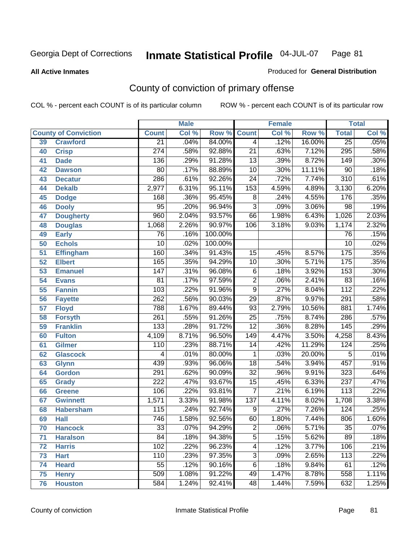#### **All Active Inmates**

#### Produced for **General Distribution**

# County of conviction of primary offense

|                 |                             |                  | <b>Male</b> |         | <b>Female</b>   |       |        | <b>Total</b>     |       |  |
|-----------------|-----------------------------|------------------|-------------|---------|-----------------|-------|--------|------------------|-------|--|
|                 | <b>County of Conviction</b> | <b>Count</b>     | Col %       | Row %   | <b>Count</b>    | Col % | Row %  | <b>Total</b>     | Col % |  |
| 39              | <b>Crawford</b>             | $\overline{21}$  | .04%        | 84.00%  | $\overline{4}$  | .12%  | 16.00% | $\overline{25}$  | .05%  |  |
| 40              | <b>Crisp</b>                | $\overline{274}$ | .58%        | 92.88%  | $\overline{21}$ | .63%  | 7.12%  | 295              | .58%  |  |
| 41              | <b>Dade</b>                 | 136              | .29%        | 91.28%  | $\overline{13}$ | .39%  | 8.72%  | 149              | .30%  |  |
| 42              | <b>Dawson</b>               | $\overline{80}$  | .17%        | 88.89%  | $\overline{10}$ | .30%  | 11.11% | $\overline{90}$  | .18%  |  |
| 43              | <b>Decatur</b>              | 286              | .61%        | 92.26%  | $\overline{24}$ | .72%  | 7.74%  | $\overline{310}$ | .61%  |  |
| 44              | <b>Dekalb</b>               | 2,977            | 6.31%       | 95.11%  | 153             | 4.59% | 4.89%  | 3,130            | 6.20% |  |
| 45              | <b>Dodge</b>                | 168              | .36%        | 95.45%  | $\overline{8}$  | .24%  | 4.55%  | 176              | .35%  |  |
| 46              | <b>Dooly</b>                | $\overline{95}$  | .20%        | 96.94%  | $\overline{3}$  | .09%  | 3.06%  | $\overline{98}$  | .19%  |  |
| 47              | <b>Dougherty</b>            | 960              | 2.04%       | 93.57%  | 66              | 1.98% | 6.43%  | 1,026            | 2.03% |  |
| 48              | <b>Douglas</b>              | 1,068            | 2.26%       | 90.97%  | 106             | 3.18% | 9.03%  | 1,174            | 2.32% |  |
| 49              | <b>Early</b>                | $\overline{76}$  | .16%        | 100.00% |                 |       |        | $\overline{76}$  | .15%  |  |
| 50              | <b>Echols</b>               | $\overline{10}$  | .02%        | 100.00% |                 |       |        | $\overline{10}$  | .02%  |  |
| 51              | <b>Effingham</b>            | 160              | .34%        | 91.43%  | 15              | .45%  | 8.57%  | 175              | .35%  |  |
| $\overline{52}$ | <b>Elbert</b>               | 165              | .35%        | 94.29%  | $\overline{10}$ | .30%  | 5.71%  | 175              | .35%  |  |
| 53              | <b>Emanuel</b>              | $\overline{147}$ | .31%        | 96.08%  | $\overline{6}$  | .18%  | 3.92%  | 153              | .30%  |  |
| 54              | <b>Evans</b>                | $\overline{81}$  | .17%        | 97.59%  | $\overline{2}$  | .06%  | 2.41%  | 83               | .16%  |  |
| 55              | <b>Fannin</b>               | 103              | .22%        | 91.96%  | $\overline{9}$  | .27%  | 8.04%  | $\overline{112}$ | .22%  |  |
| 56              | <b>Fayette</b>              | 262              | .56%        | 90.03%  | 29              | .87%  | 9.97%  | 291              | .58%  |  |
| 57              | <b>Floyd</b>                | 788              | 1.67%       | 89.44%  | 93              | 2.79% | 10.56% | 881              | 1.74% |  |
| 58              | <b>Forsyth</b>              | $\overline{261}$ | .55%        | 91.26%  | $\overline{25}$ | .75%  | 8.74%  | 286              | .57%  |  |
| 59              | <b>Franklin</b>             | $\overline{133}$ | .28%        | 91.72%  | $\overline{12}$ | .36%  | 8.28%  | 145              | .29%  |  |
| 60              | <b>Fulton</b>               | 4,109            | 8.71%       | 96.50%  | 149             | 4.47% | 3.50%  | 4,258            | 8.43% |  |
| 61              | Gilmer                      | $\overline{110}$ | .23%        | 88.71%  | 14              | .42%  | 11.29% | 124              | .25%  |  |
| 62              | <b>Glascock</b>             | 4                | .01%        | 80.00%  | 1               | .03%  | 20.00% | $\overline{5}$   | .01%  |  |
| 63              | <b>Glynn</b>                | 439              | .93%        | 96.06%  | $\overline{18}$ | .54%  | 3.94%  | 457              | .91%  |  |
| 64              | <b>Gordon</b>               | 291              | .62%        | 90.09%  | $\overline{32}$ | .96%  | 9.91%  | $\overline{323}$ | .64%  |  |
| 65              | <b>Grady</b>                | 222              | .47%        | 93.67%  | 15              | .45%  | 6.33%  | 237              | .47%  |  |
| 66              | <b>Greene</b>               | 106              | .22%        | 93.81%  | $\overline{7}$  | .21%  | 6.19%  | 113              | .22%  |  |
| 67              | <b>Gwinnett</b>             | 1,571            | 3.33%       | 91.98%  | 137             | 4.11% | 8.02%  | 1,708            | 3.38% |  |
| 68              | <b>Habersham</b>            | $\overline{115}$ | .24%        | 92.74%  | $\overline{9}$  | .27%  | 7.26%  | 124              | .25%  |  |
| 69              | <b>Hall</b>                 | $\overline{746}$ | 1.58%       | 92.56%  | 60              | 1.80% | 7.44%  | 806              | 1.60% |  |
| 70              | <b>Hancock</b>              | 33               | .07%        | 94.29%  | 2               | .06%  | 5.71%  | 35               | .07%  |  |
| 71              | <b>Haralson</b>             | $\overline{84}$  | .18%        | 94.38%  | $\overline{5}$  | .15%  | 5.62%  | 89               | .18%  |  |
| 72              | <b>Harris</b>               | $\overline{102}$ | .22%        | 96.23%  | $\overline{4}$  | .12%  | 3.77%  | 106              | .21%  |  |
| 73              | <b>Hart</b>                 | 110              | .23%        | 97.35%  | $\overline{3}$  | .09%  | 2.65%  | $\overline{113}$ | .22%  |  |
| 74              | <b>Heard</b>                | $\overline{55}$  | .12%        | 90.16%  | $\overline{6}$  | .18%  | 9.84%  | 61               | .12%  |  |
| 75              | <b>Henry</b>                | 509              | 1.08%       | 91.22%  | 49              | 1.47% | 8.78%  | 558              | 1.11% |  |
| 76              | <b>Houston</b>              | 584              | 1.24%       | 92.41%  | $\overline{48}$ | 1.44% | 7.59%  | 632              | 1.25% |  |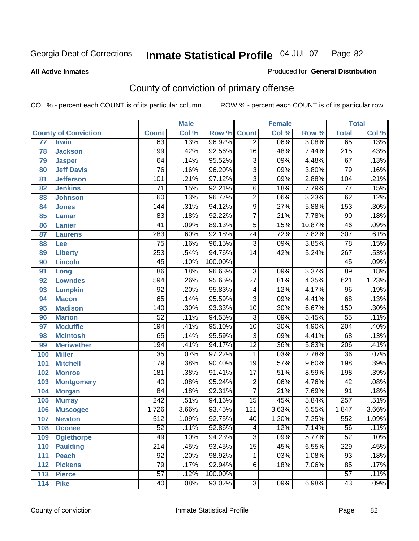**All Active Inmates**

#### Produced for **General Distribution**

# County of conviction of primary offense

|     |                             |                  | <b>Male</b> |         | <b>Female</b>            |       |        | <b>Total</b>     |         |
|-----|-----------------------------|------------------|-------------|---------|--------------------------|-------|--------|------------------|---------|
|     | <b>County of Conviction</b> | <b>Count</b>     | Col %       | Row %   | <b>Count</b>             | Col % | Row %  | <b>Total</b>     | Col %   |
| 77  | <b>Irwin</b>                | 63               | .13%        | 96.92%  | $\overline{2}$           | .06%  | 3.08%  | 65               | .13%    |
| 78  | <b>Jackson</b>              | 199              | .42%        | 92.56%  | $\overline{16}$          | .48%  | 7.44%  | $\overline{215}$ | .43%    |
| 79  | <b>Jasper</b>               | 64               | .14%        | 95.52%  | $\overline{3}$           | .09%  | 4.48%  | 67               | .13%    |
| 80  | <b>Jeff Davis</b>           | $\overline{76}$  | .16%        | 96.20%  | $\overline{3}$           | .09%  | 3.80%  | 79               | .16%    |
| 81  | <b>Jefferson</b>            | 101              | .21%        | 97.12%  | $\overline{3}$           | .09%  | 2.88%  | 104              | .21%    |
| 82  | <b>Jenkins</b>              | $\overline{71}$  | .15%        | 92.21%  | $\overline{6}$           | .18%  | 7.79%  | $\overline{77}$  | .15%    |
| 83  | <b>Johnson</b>              | 60               | .13%        | 96.77%  | $\overline{2}$           | .06%  | 3.23%  | 62               | .12%    |
| 84  | <b>Jones</b>                | 144              | .31%        | 94.12%  | $\overline{9}$           | .27%  | 5.88%  | 153              | .30%    |
| 85  | <b>Lamar</b>                | 83               | .18%        | 92.22%  | $\overline{7}$           | .21%  | 7.78%  | $\overline{90}$  | .18%    |
| 86  | <b>Lanier</b>               | $\overline{41}$  | .09%        | 89.13%  | $\overline{5}$           | .15%  | 10.87% | 46               | .09%    |
| 87  | <b>Laurens</b>              | 283              | .60%        | 92.18%  | $\overline{24}$          | .72%  | 7.82%  | $\overline{307}$ | .61%    |
| 88  | Lee                         | $\overline{75}$  | .16%        | 96.15%  | $\overline{3}$           | .09%  | 3.85%  | $\overline{78}$  | .15%    |
| 89  | <b>Liberty</b>              | $\overline{253}$ | .54%        | 94.76%  | $\overline{14}$          | .42%  | 5.24%  | $\overline{267}$ | .53%    |
| 90  | <b>Lincoln</b>              | 45               | .10%        | 100.00% |                          |       |        | 45               | .09%    |
| 91  | Long                        | $\overline{86}$  | .18%        | 96.63%  | $\overline{3}$           | .09%  | 3.37%  | 89               | .18%    |
| 92  | <b>Lowndes</b>              | 594              | 1.26%       | 95.65%  | $\overline{27}$          | .81%  | 4.35%  | 621              | 1.23%   |
| 93  | <b>Lumpkin</b>              | $\overline{92}$  | .20%        | 95.83%  | $\overline{\mathcal{A}}$ | .12%  | 4.17%  | $\overline{96}$  | .19%    |
| 94  | <b>Macon</b>                | 65               | .14%        | 95.59%  | $\overline{3}$           | .09%  | 4.41%  | 68               | .13%    |
| 95  | <b>Madison</b>              | $\overline{140}$ | .30%        | 93.33%  | 10                       | .30%  | 6.67%  | 150              | .30%    |
| 96  | <b>Marion</b>               | $\overline{52}$  | .11%        | 94.55%  | $\overline{3}$           | .09%  | 5.45%  | $\overline{55}$  | .11%    |
| 97  | <b>Mcduffie</b>             | 194              | .41%        | 95.10%  | 10                       | .30%  | 4.90%  | 204              | .40%    |
| 98  | <b>Mcintosh</b>             | 65               | .14%        | 95.59%  | $\overline{3}$           | .09%  | 4.41%  | 68               | .13%    |
| 99  | <b>Meriwether</b>           | 194              | .41%        | 94.17%  | $\overline{12}$          | .36%  | 5.83%  | $\overline{206}$ | .41%    |
| 100 | <b>Miller</b>               | $\overline{35}$  | .07%        | 97.22%  | $\mathbf{1}$             | .03%  | 2.78%  | $\overline{36}$  | .07%    |
| 101 | <b>Mitchell</b>             | 179              | .38%        | 90.40%  | $\overline{19}$          | .57%  | 9.60%  | 198              | .39%    |
| 102 | <b>Monroe</b>               | 181              | .38%        | 91.41%  | $\overline{17}$          | .51%  | 8.59%  | 198              | .39%    |
| 103 | <b>Montgomery</b>           | 40               | .08%        | 95.24%  | $\overline{2}$           | .06%  | 4.76%  | 42               | .08%    |
| 104 | <b>Morgan</b>               | 84               | .18%        | 92.31%  | $\overline{7}$           | .21%  | 7.69%  | 91               | .18%    |
| 105 | <b>Murray</b>               | $\overline{242}$ | .51%        | 94.16%  | $\overline{15}$          | .45%  | 5.84%  | $\overline{257}$ | .51%    |
| 106 | <b>Muscogee</b>             | 1,726            | 3.66%       | 93.45%  | $\overline{121}$         | 3.63% | 6.55%  | 1,847            | 3.66%   |
| 107 | <b>Newton</b>               | $\overline{512}$ | 1.09%       | 92.75%  | 40                       | 1.20% | 7.25%  | 552              | 1.09%   |
| 108 | <b>Oconee</b>               | 52               | .11%        | 92.86%  | 4                        | .12%  | 7.14%  | 56               | $.11\%$ |
| 109 | <b>Oglethorpe</b>           | 49               | .10%        | 94.23%  | $\overline{3}$           | .09%  | 5.77%  | $\overline{52}$  | .10%    |
| 110 | <b>Paulding</b>             | $\overline{214}$ | .45%        | 93.45%  | $\overline{15}$          | .45%  | 6.55%  | 229              | .45%    |
| 111 | <b>Peach</b>                | 92               | .20%        | 98.92%  | 1                        | .03%  | 1.08%  | 93               | .18%    |
| 112 | <b>Pickens</b>              | 79               | .17%        | 92.94%  | 6                        | .18%  | 7.06%  | 85               | .17%    |
| 113 | <b>Pierce</b>               | $\overline{57}$  | .12%        | 100.00% |                          |       |        | $\overline{57}$  | .11%    |
| 114 | <b>Pike</b>                 | 40               | .08%        | 93.02%  | $\overline{3}$           | .09%  | 6.98%  | 43               | .09%    |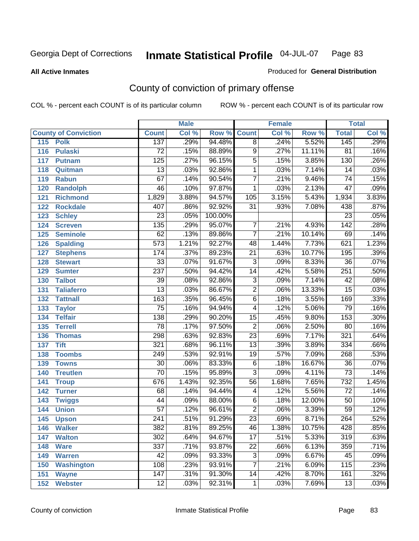**All Active Inmates**

#### Produced for **General Distribution**

# County of conviction of primary offense

|                             |                  | <b>Male</b> |                    |                 | <b>Female</b> |        |                  | <b>Total</b> |
|-----------------------------|------------------|-------------|--------------------|-----------------|---------------|--------|------------------|--------------|
| <b>County of Conviction</b> | <b>Count</b>     | Col %       | <b>Row % Count</b> |                 | Col %         | Row %  | <b>Total</b>     | Col %        |
| 115<br><b>Polk</b>          | 137              | .29%        | 94.48%             | $\overline{8}$  | .24%          | 5.52%  | 145              | .29%         |
| 116<br><b>Pulaski</b>       | $\overline{72}$  | .15%        | 88.89%             | $\overline{9}$  | .27%          | 11.11% | $\overline{81}$  | .16%         |
| 117<br><b>Putnam</b>        | 125              | .27%        | 96.15%             | $\overline{5}$  | .15%          | 3.85%  | 130              | .26%         |
| 118<br>Quitman              | $\overline{13}$  | .03%        | 92.86%             | 1               | .03%          | 7.14%  | 14               | .03%         |
| 119<br><b>Rabun</b>         | $\overline{67}$  | .14%        | 90.54%             | $\overline{7}$  | .21%          | 9.46%  | $\overline{74}$  | .15%         |
| 120<br><b>Randolph</b>      | 46               | .10%        | 97.87%             | $\mathbf{1}$    | .03%          | 2.13%  | $\overline{47}$  | .09%         |
| <b>Richmond</b><br>121      | 1,829            | 3.88%       | 94.57%             | 105             | 3.15%         | 5.43%  | 1,934            | 3.83%        |
| 122<br><b>Rockdale</b>      | 407              | .86%        | 92.92%             | 31              | .93%          | 7.08%  | 438              | .87%         |
| 123<br><b>Schley</b>        | $\overline{23}$  | .05%        | 100.00%            |                 |               |        | $\overline{23}$  | .05%         |
| 124<br><b>Screven</b>       | 135              | .29%        | 95.07%             | $\overline{7}$  | .21%          | 4.93%  | $\overline{142}$ | .28%         |
| 125<br><b>Seminole</b>      | 62               | .13%        | 89.86%             | $\overline{7}$  | .21%          | 10.14% | 69               | .14%         |
| 126<br><b>Spalding</b>      | $\overline{573}$ | 1.21%       | 92.27%             | 48              | 1.44%         | 7.73%  | 621              | 1.23%        |
| 127<br><b>Stephens</b>      | 174              | .37%        | 89.23%             | $\overline{21}$ | .63%          | 10.77% | 195              | .39%         |
| 128<br><b>Stewart</b>       | $\overline{33}$  | .07%        | 91.67%             | $\overline{3}$  | .09%          | 8.33%  | $\overline{36}$  | .07%         |
| 129<br><b>Sumter</b>        | $\overline{237}$ | .50%        | 94.42%             | 14              | .42%          | 5.58%  | 251              | .50%         |
| <b>Talbot</b><br>130        | $\overline{39}$  | .08%        | 92.86%             | $\overline{3}$  | .09%          | 7.14%  | $\overline{42}$  | .08%         |
| 131<br><b>Taliaferro</b>    | $\overline{13}$  | .03%        | 86.67%             | $\overline{2}$  | .06%          | 13.33% | $\overline{15}$  | .03%         |
| <b>Tattnall</b><br>132      | $\overline{163}$ | .35%        | 96.45%             | $\overline{6}$  | .18%          | 3.55%  | 169              | .33%         |
| 133<br><b>Taylor</b>        | $\overline{75}$  | .16%        | 94.94%             | $\overline{4}$  | .12%          | 5.06%  | 79               | .16%         |
| <b>Telfair</b><br>134       | 138              | .29%        | 90.20%             | 15              | .45%          | 9.80%  | 153              | .30%         |
| 135<br><b>Terrell</b>       | $\overline{78}$  | .17%        | 97.50%             | $\overline{2}$  | .06%          | 2.50%  | $\overline{80}$  | .16%         |
| 136<br><b>Thomas</b>        | 298              | .63%        | 92.83%             | $\overline{23}$ | .69%          | 7.17%  | 321              | .64%         |
| 137<br><b>Tift</b>          | 321              | .68%        | 96.11%             | $\overline{13}$ | .39%          | 3.89%  | 334              | .66%         |
| <b>Toombs</b><br>138        | 249              | .53%        | 92.91%             | 19              | .57%          | 7.09%  | 268              | .53%         |
| 139<br><b>Towns</b>         | $\overline{30}$  | .06%        | 83.33%             | $\overline{6}$  | .18%          | 16.67% | $\overline{36}$  | .07%         |
| <b>Treutlen</b><br>140      | $\overline{70}$  | .15%        | 95.89%             | $\overline{3}$  | .09%          | 4.11%  | $\overline{73}$  | .14%         |
| 141<br><b>Troup</b>         | 676              | 1.43%       | 92.35%             | $\overline{56}$ | 1.68%         | 7.65%  | 732              | 1.45%        |
| 142<br><b>Turner</b>        | 68               | .14%        | 94.44%             | 4               | .12%          | 5.56%  | 72               | .14%         |
| 143<br><b>Twiggs</b>        | $\overline{44}$  | .09%        | 88.00%             | $\overline{6}$  | .18%          | 12.00% | 50               | .10%         |
| 144<br><b>Union</b>         | $\overline{57}$  | .12%        | 96.61%             | $\overline{2}$  | .06%          | 3.39%  | $\overline{59}$  | .12%         |
| 145<br><b>Upson</b>         | $\overline{241}$ | .51%        | 91.29%             | $\overline{23}$ | .69%          | 8.71%  | 264              | .52%         |
| 146<br><b>Walker</b>        | 382              | .81%        | 89.25%             | 46              | 1.38%         | 10.75% | 428              | $.85\%$      |
| 147<br><b>Walton</b>        | 302              | .64%        | 94.67%             | $\overline{17}$ | .51%          | 5.33%  | $\overline{319}$ | .63%         |
| 148<br><b>Ware</b>          | $\overline{337}$ | .71%        | 93.87%             | $\overline{22}$ | .66%          | 6.13%  | 359              | .71%         |
| 149<br><b>Warren</b>        | $\overline{42}$  | .09%        | 93.33%             | 3               | .09%          | 6.67%  | 45               | .09%         |
| <b>Washington</b><br>150    | 108              | .23%        | 93.91%             | $\overline{7}$  | .21%          | 6.09%  | 115              | .23%         |
| 151<br><b>Wayne</b>         | $\overline{147}$ | .31%        | 91.30%             | 14              | .42%          | 8.70%  | 161              | .32%         |
| <b>Webster</b><br>152       | $\overline{12}$  | .03%        | 92.31%             | $\mathbf{1}$    | .03%          | 7.69%  | $\overline{13}$  | .03%         |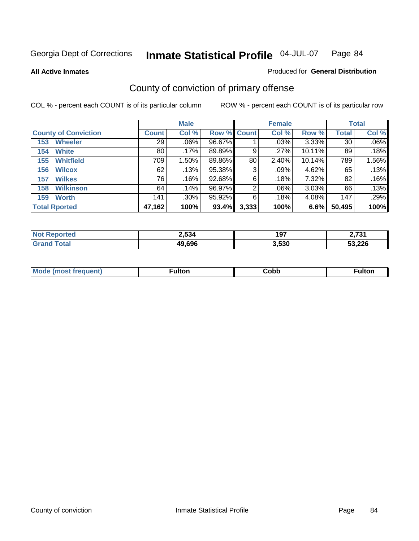**All Active Inmates**

#### Produced for **General Distribution**

# County of conviction of primary offense

|                             |              | <b>Male</b> |             |       | <b>Female</b> |           |              | <b>Total</b> |
|-----------------------------|--------------|-------------|-------------|-------|---------------|-----------|--------------|--------------|
| <b>County of Conviction</b> | <b>Count</b> | Col %       | Row % Count |       | Col %         | Row %     | <b>Total</b> | Col %        |
| <b>Wheeler</b><br>153       | 29           | $.06\%$     | 96.67%      |       | .03%          | 3.33%     | 30           | $.06\%$      |
| <b>White</b><br>154         | 80           | .17%        | 89.89%      | 9     | $.27\%$       | $10.11\%$ | 89           | .18%         |
| <b>Whitfield</b><br>155     | 709          | 1.50%       | 89.86%      | 80    | 2.40%         | 10.14%    | 789          | 1.56%        |
| <b>Wilcox</b><br>156        | 62           | .13%        | 95.38%      | 3     | .09%          | 4.62%     | 65           | .13%         |
| <b>Wilkes</b><br>157        | 76           | .16%        | 92.68%      | 6     | .18%          | 7.32%     | 82           | .16%         |
| <b>Wilkinson</b><br>158     | 64           | .14%        | 96.97%      | 2     | .06%          | 3.03%     | 66           | .13%         |
| <b>Worth</b><br>159         | 141          | .30%        | $95.92\%$   | 6     | .18%          | 4.08%     | 147          | .29%         |
| <b>Total Rported</b>        | 47,162       | 100%        | 93.4%       | 3,333 | 100%          | 6.6%      | 50,495       | 100%         |

| тео<br>NI. | 2,534  | 197   | 2794<br>וטי |
|------------|--------|-------|-------------|
|            | 49.696 | 3.530 | 53,226      |

| <b>Mo</b><br>uent) | ™ulton<br>_____ | obb∶ |  |
|--------------------|-----------------|------|--|
|                    |                 |      |  |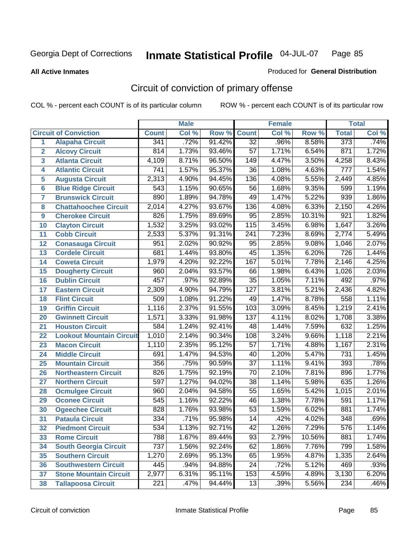Produced for **General Distribution**

#### **All Active Inmates**

# Circuit of conviction of primary offense

|                 |                                 |                  | <b>Male</b> |        |                  | <b>Female</b> |        |                  | <b>Total</b> |
|-----------------|---------------------------------|------------------|-------------|--------|------------------|---------------|--------|------------------|--------------|
|                 | <b>Circuit of Conviction</b>    | <b>Count</b>     | Col %       | Row %  | <b>Count</b>     | Col %         | Row %  | <b>Total</b>     | Col %        |
| 1               | <b>Alapaha Circuit</b>          | 341              | .72%        | 91.42% | $\overline{32}$  | .96%          | 8.58%  | 373              | .74%         |
| $\overline{2}$  | <b>Alcovy Circuit</b>           | 814              | 1.73%       | 93.46% | 57               | 1.71%         | 6.54%  | 871              | 1.72%        |
| 3               | <b>Atlanta Circuit</b>          | 4,109            | 8.71%       | 96.50% | 149              | 4.47%         | 3.50%  | 4,258            | 8.43%        |
| 4               | <b>Atlantic Circuit</b>         | $\overline{741}$ | 1.57%       | 95.37% | $\overline{36}$  | 1.08%         | 4.63%  | $\overline{777}$ | 1.54%        |
| 5               | <b>Augusta Circuit</b>          | 2,313            | 4.90%       | 94.45% | 136              | 4.08%         | 5.55%  | 2,449            | 4.85%        |
| $6\phantom{a}$  | <b>Blue Ridge Circuit</b>       | 543              | 1.15%       | 90.65% | 56               | 1.68%         | 9.35%  | 599              | 1.19%        |
| $\overline{7}$  | <b>Brunswick Circuit</b>        | 890              | 1.89%       | 94.78% | 49               | 1.47%         | 5.22%  | 939              | 1.86%        |
| 8               | <b>Chattahoochee Circuit</b>    | 2,014            | 4.27%       | 93.67% | 136              | 4.08%         | 6.33%  | 2,150            | 4.26%        |
| 9               | <b>Cherokee Circuit</b>         | 826              | 1.75%       | 89.69% | 95               | 2.85%         | 10.31% | $\overline{921}$ | 1.82%        |
| 10              | <b>Clayton Circuit</b>          | 1,532            | 3.25%       | 93.02% | 115              | 3.45%         | 6.98%  | 1,647            | 3.26%        |
| 11              | <b>Cobb Circuit</b>             | 2,533            | 5.37%       | 91.31% | $\overline{241}$ | 7.23%         | 8.69%  | 2,774            | 5.49%        |
| 12              | <b>Conasauga Circuit</b>        | 951              | 2.02%       | 90.92% | 95               | 2.85%         | 9.08%  | 1,046            | 2.07%        |
| 13              | <b>Cordele Circuit</b>          | 681              | 1.44%       | 93.80% | $\overline{45}$  | 1.35%         | 6.20%  | $\overline{726}$ | 1.44%        |
| 14              | <b>Coweta Circuit</b>           | 1,979            | 4.20%       | 92.22% | 167              | 5.01%         | 7.78%  | 2,146            | 4.25%        |
| 15              | <b>Dougherty Circuit</b>        | 960              | 2.04%       | 93.57% | 66               | 1.98%         | 6.43%  | 1,026            | 2.03%        |
| 16              | <b>Dublin Circuit</b>           | 457              | .97%        | 92.89% | $\overline{35}$  | 1.05%         | 7.11%  | 492              | .97%         |
| 17              | <b>Eastern Circuit</b>          | 2,309            | 4.90%       | 94.79% | $\overline{127}$ | 3.81%         | 5.21%  | 2,436            | 4.82%        |
| 18              | <b>Flint Circuit</b>            | 509              | 1.08%       | 91.22% | 49               | 1.47%         | 8.78%  | 558              | 1.11%        |
| 19              | <b>Griffin Circuit</b>          | 1,116            | 2.37%       | 91.55% | 103              | 3.09%         | 8.45%  | 1,219            | 2.41%        |
| 20              | <b>Gwinnett Circuit</b>         | 1,571            | 3.33%       | 91.98% | $\overline{137}$ | 4.11%         | 8.02%  | 1,708            | 3.38%        |
| $\overline{21}$ | <b>Houston Circuit</b>          | 584              | 1.24%       | 92.41% | 48               | 1.44%         | 7.59%  | 632              | 1.25%        |
| 22              | <b>Lookout Mountain Circuit</b> | 1,010            | 2.14%       | 90.34% | 108              | 3.24%         | 9.66%  | 1,118            | 2.21%        |
| 23              | <b>Macon Circuit</b>            | 1,110            | 2.35%       | 95.12% | $\overline{57}$  | 1.71%         | 4.88%  | 1,167            | 2.31%        |
| 24              | <b>Middle Circuit</b>           | 691              | 1.47%       | 94.53% | 40               | 1.20%         | 5.47%  | 731              | 1.45%        |
| 25              | <b>Mountain Circuit</b>         | 356              | .75%        | 90.59% | $\overline{37}$  | 1.11%         | 9.41%  | 393              | .78%         |
| 26              | <b>Northeastern Circuit</b>     | $\overline{826}$ | 1.75%       | 92.19% | $\overline{70}$  | 2.10%         | 7.81%  | 896              | 1.77%        |
| 27              | <b>Northern Circuit</b>         | $\overline{597}$ | 1.27%       | 94.02% | $\overline{38}$  | 1.14%         | 5.98%  | 635              | 1.26%        |
| 28              | <b>Ocmulgee Circuit</b>         | 960              | 2.04%       | 94.58% | $\overline{55}$  | 1.65%         | 5.42%  | 1,015            | 2.01%        |
| 29              | <b>Oconee Circuit</b>           | 545              | 1.16%       | 92.22% | $\overline{46}$  | 1.38%         | 7.78%  | 591              | 1.17%        |
| 30              | <b>Ogeechee Circuit</b>         | 828              | 1.76%       | 93.98% | 53               | 1.59%         | 6.02%  | 881              | 1.74%        |
| $\overline{31}$ | <b>Pataula Circuit</b>          | 334              | .71%        | 95.98% | $\overline{14}$  | .42%          | 4.02%  | 348              | .69%         |
| 32              | <b>Piedmont Circuit</b>         | 534              | 1.13%       | 92.71% | 42               | 1.26%         | 7.29%  | 576              | 1.14%        |
| 33              | <b>Rome Circuit</b>             | 788              | 1.67%       | 89.44% | 93               | 2.79%         | 10.56% | 881              | 1.74%        |
| 34              | <b>South Georgia Circuit</b>    | 737              | 1.56%       | 92.24% | 62               | 1.86%         | 7.76%  | 799              | 1.58%        |
| 35              | <b>Southern Circuit</b>         | 1,270            | 2.69%       | 95.13% | 65               | 1.95%         | 4.87%  | 1,335            | 2.64%        |
| 36              | <b>Southwestern Circuit</b>     | 445              | .94%        | 94.88% | $\overline{24}$  | .72%          | 5.12%  | 469              | .93%         |
| 37              | <b>Stone Mountain Circuit</b>   | 2,977            | 6.31%       | 95.11% | 153              | 4.59%         | 4.89%  | 3,130            | 6.20%        |
| 38              | <b>Tallapoosa Circuit</b>       | 221              | .47%        | 94.44% | 13               | .39%          | 5.56%  | 234              | .46%         |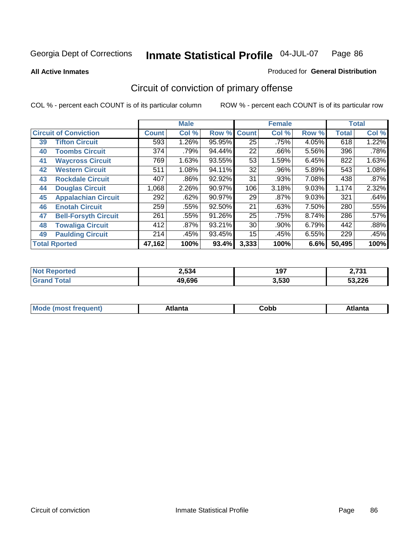**All Active Inmates**

#### Produced for **General Distribution**

# Circuit of conviction of primary offense

|    |                              |              | <b>Male</b> |        |              | <b>Female</b> |       |              | <b>Total</b> |
|----|------------------------------|--------------|-------------|--------|--------------|---------------|-------|--------------|--------------|
|    | <b>Circuit of Conviction</b> | <b>Count</b> | Col %       | Row %  | <b>Count</b> | Col %         | Row % | <b>Total</b> | Col %        |
| 39 | <b>Tifton Circuit</b>        | 593          | $1.26\%$    | 95.95% | 25           | .75%          | 4.05% | 618          | 1.22%        |
| 40 | <b>Toombs Circuit</b>        | 374          | .79%        | 94.44% | 22           | .66%          | 5.56% | 396          | .78%         |
| 41 | <b>Waycross Circuit</b>      | 769          | 1.63%       | 93.55% | 53           | 1.59%         | 6.45% | 822          | 1.63%        |
| 42 | <b>Western Circuit</b>       | 511          | 1.08%       | 94.11% | 32           | .96%          | 5.89% | 543          | 1.08%        |
| 43 | <b>Rockdale Circuit</b>      | 407          | .86%        | 92.92% | 31           | .93%          | 7.08% | 438          | .87%         |
| 44 | <b>Douglas Circuit</b>       | 1,068        | 2.26%       | 90.97% | 106          | 3.18%         | 9.03% | 1,174        | 2.32%        |
| 45 | <b>Appalachian Circuit</b>   | 292          | .62%        | 90.97% | 29           | $.87\%$       | 9.03% | 321          | .64%         |
| 46 | <b>Enotah Circuit</b>        | 259          | .55%        | 92.50% | 21           | .63%          | 7.50% | 280          | .55%         |
| 47 | <b>Bell-Forsyth Circuit</b>  | 261          | .55%        | 91.26% | 25           | .75%          | 8.74% | 286          | .57%         |
| 48 | <b>Towaliga Circuit</b>      | 412          | .87%        | 93.21% | 30           | .90%          | 6.79% | 442          | .88%         |
| 49 | <b>Paulding Circuit</b>      | 214          | .45%        | 93.45% | 15           | .45%          | 6.55% | 229          | .45%         |
|    | <b>Total Rported</b>         | 47,162       | 100%        | 93.4%  | 3,333        | 100%          | 6.6%  | 50,495       | 100%         |

| II HO | 2,534  | 197   | 2724   |
|-------|--------|-------|--------|
|       | 49.696 | 3,530 | 53,226 |

| M, | $+1 - - + -$<br>annu -<br>uu | ∶obb<br>- - - - - | .<br>чна<br>- --------- |
|----|------------------------------|-------------------|-------------------------|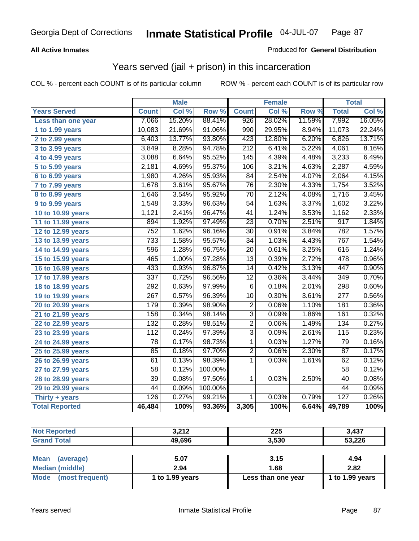### **All Active Inmates**

### Produced for **General Distribution**

### Years served (jail + prison) in this incarceration

|                              |                  | <b>Male</b> |         |                  | <b>Female</b> |        |                  | <b>Total</b>       |
|------------------------------|------------------|-------------|---------|------------------|---------------|--------|------------------|--------------------|
| <b>Years Served</b>          | <b>Count</b>     | Col %       | Row %   | <b>Count</b>     | Col %         | Row %  | <b>Total</b>     | Col%               |
| Less than one year           | 7,066            | 15.20%      | 88.41%  | 926              | 28.02%        | 11.59% | 7,992            | 16.05%             |
| 1 to 1.99 years              | 10,083           | 21.69%      | 91.06%  | 990              | 29.95%        | 8.94%  | 11,073           | 22.24%             |
| 2 to 2.99 years              | 6,403            | 13.77%      | 93.80%  | 423              | 12.80%        | 6.20%  | 6,826            | 13.71%             |
| 3 to 3.99 years              | 3,849            | 8.28%       | 94.78%  | $\overline{212}$ | 6.41%         | 5.22%  | 4,061            | 8.16%              |
| $\overline{4}$ to 4.99 years | 3,088            | 6.64%       | 95.52%  | 145              | 4.39%         | 4.48%  | 3,233            | 6.49%              |
| 5 to 5.99 years              | 2,181            | 4.69%       | 95.37%  | 106              | 3.21%         | 4.63%  | 2,287            | 4.59%              |
| 6 to 6.99 years              | 1,980            | 4.26%       | 95.93%  | $\overline{84}$  | 2.54%         | 4.07%  | 2,064            | 4.15%              |
| 7 to 7.99 years              | 1,678            | 3.61%       | 95.67%  | $\overline{76}$  | 2.30%         | 4.33%  | 1,754            | 3.52%              |
| 8 to 8.99 years              | 1,646            | 3.54%       | 95.92%  | $\overline{70}$  | 2.12%         | 4.08%  | 1,716            | 3.45%              |
| 9 to 9.99 years              | 1,548            | 3.33%       | 96.63%  | $\overline{54}$  | 1.63%         | 3.37%  | 1,602            | 3.22%              |
| 10 to 10.99 years            | 1,121            | 2.41%       | 96.47%  | 41               | 1.24%         | 3.53%  | 1,162            | 2.33%              |
| 11 to 11.99 years            | 894              | 1.92%       | 97.49%  | $\overline{23}$  | 0.70%         | 2.51%  | $\overline{917}$ | 1.84%              |
| 12 to 12.99 years            | $\overline{752}$ | 1.62%       | 96.16%  | $\overline{30}$  | 0.91%         | 3.84%  | 782              | 1.57%              |
| 13 to 13.99 years            | 733              | 1.58%       | 95.57%  | 34               | 1.03%         | 4.43%  | 767              | 1.54%              |
| 14 to 14.99 years            | 596              | 1.28%       | 96.75%  | $\overline{20}$  | 0.61%         | 3.25%  | 616              | 1.24%              |
| 15 to 15.99 years            | 465              | 1.00%       | 97.28%  | 13               | 0.39%         | 2.72%  | 478              | 0.96%              |
| 16 to 16.99 years            | 433              | 0.93%       | 96.87%  | $\overline{14}$  | 0.42%         | 3.13%  | 447              | 0.90%              |
| 17 to 17.99 years            | 337              | 0.72%       | 96.56%  | $\overline{12}$  | 0.36%         | 3.44%  | 349              | 0.70%              |
| 18 to 18.99 years            | 292              | 0.63%       | 97.99%  | $\overline{6}$   | 0.18%         | 2.01%  | 298              | 0.60%              |
| 19 to 19.99 years            | 267              | 0.57%       | 96.39%  | 10               | 0.30%         | 3.61%  | $\overline{277}$ | 0.56%              |
| 20 to 20.99 years            | 179              | 0.39%       | 98.90%  | $\overline{2}$   | 0.06%         | 1.10%  | 181              | 0.36%              |
| 21 to 21.99 years            | 158              | 0.34%       | 98.14%  | $\overline{3}$   | 0.09%         | 1.86%  | 161              | 0.32%              |
| 22 to 22.99 years            | 132              | 0.28%       | 98.51%  | $\overline{2}$   | 0.06%         | 1.49%  | 134              | 0.27%              |
| 23 to 23.99 years            | 112              | 0.24%       | 97.39%  | $\overline{3}$   | 0.09%         | 2.61%  | 115              | 0.23%              |
| 24 to 24.99 years            | 78               | 0.17%       | 98.73%  | $\mathbf{1}$     | 0.03%         | 1.27%  | 79               | 0.16%              |
| 25 to 25.99 years            | 85               | 0.18%       | 97.70%  | $\overline{2}$   | 0.06%         | 2.30%  | 87               | 0.17%              |
| 26 to 26.99 years            | 61               | 0.13%       | 98.39%  | 1                | 0.03%         | 1.61%  | 62               | 0.12%              |
| 27 to 27.99 years            | $\overline{58}$  | 0.12%       | 100.00% |                  |               |        | $\overline{58}$  | 0.12%              |
| 28 to 28.99 years            | $\overline{39}$  | 0.08%       | 97.50%  | $\overline{1}$   | 0.03%         | 2.50%  | $\overline{40}$  | 0.08%              |
| 29 to 29.99 years            | 44               | 0.09%       | 100.00% |                  |               |        | 44               | 0.09%              |
| Thirty + years               | 126              | 0.27%       | 99.21%  | $\mathbf{1}$     | 0.03%         | 0.79%  | 127              | 0.26%              |
| <b>Total Reported</b>        | 46,484           | 100%        | 93.36%  | 3,305            | 100%          | 6.64%  | 49,789           | $\overline{100\%}$ |

| <b>Not Reported</b>            | 3,212           | 225                | 3,437           |
|--------------------------------|-----------------|--------------------|-----------------|
| <b>Grand Total</b>             | 49,696          | 3,530              | 53,226          |
|                                |                 |                    |                 |
| <b>Mean</b><br>(average)       | 5.07            | 3.15               | 4.94            |
| <b>Median (middle)</b>         | 2.94            | 1.68               | 2.82            |
| <b>Mode</b><br>(most frequent) | 1 to 1.99 years | Less than one year | 1 to 1.99 years |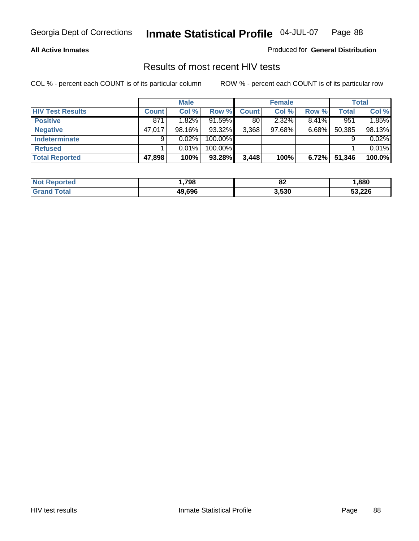#### **All Active Inmates**

Produced for **General Distribution**

### Results of most recent HIV tests

|                         |              | <b>Male</b> |         |       | <b>Female</b> |          |        | Total  |
|-------------------------|--------------|-------------|---------|-------|---------------|----------|--------|--------|
| <b>HIV Test Results</b> | <b>Count</b> | Col %       | Row %   | Count | Col %         | Row %    | Total  | Col %  |
| <b>Positive</b>         | 871          | $1.82\%$    | 91.59%  | 80    | 2.32%         | 8.41%    | 951    | 1.85%  |
| <b>Negative</b>         | 47,017       | 98.16%      | 93.32%  | 3,368 | 97.68%        | $6.68\%$ | 50,385 | 98.13% |
| <b>Indeterminate</b>    | 9            | 0.02%       | 100.00% |       |               |          |        | 0.02%  |
| <b>Refused</b>          |              | 0.01%       | 100.00% |       |               |          |        | 0.01%  |
| <b>Total Reported</b>   | 47,898       | 100%        | 93.28%  | 3,448 | 100%          | 6.72%    | 51,346 | 100.0% |

| <b>Not</b><br>Reported | ,798   | or.<br>○▲ | ,880   |
|------------------------|--------|-----------|--------|
| <b>Grand</b><br>™otal  | 49.696 | 3,530     | 53,226 |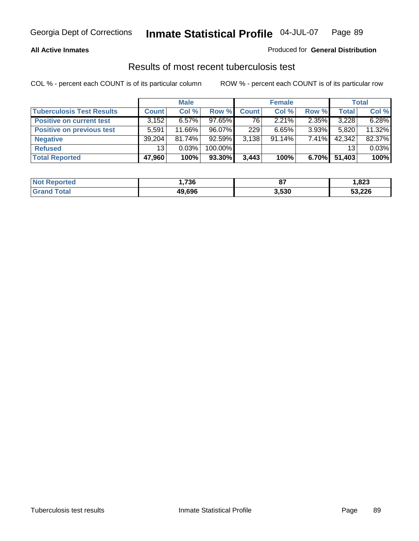### **All Active Inmates**

### Produced for **General Distribution**

### Results of most recent tuberculosis test

|                                  |              | <b>Male</b> |         |              | <b>Female</b> |          |              | <b>Total</b> |
|----------------------------------|--------------|-------------|---------|--------------|---------------|----------|--------------|--------------|
| <b>Tuberculosis Test Results</b> | <b>Count</b> | Col %       | Row %   | <b>Count</b> | Col %         | Row %    | <b>Total</b> | Col %        |
| <b>Positive on current test</b>  | 3,152        | $6.57\%$    | 97.65%  | 76           | $2.21\%$      | 2.35%    | 3,228        | 6.28%        |
| <b>Positive on previous test</b> | 5,591        | 11.66%      | 96.07%  | 229          | 6.65%         | $3.93\%$ | 5,820        | 11.32%       |
| <b>Negative</b>                  | 39.204       | $81.74\%$   | 92.59%  | 3.138        | $91.14\%$     | $7.41\%$ | 42,342       | 82.37%       |
| <b>Refused</b>                   | 13           | 0.03%       | 100.00% |              |               |          | 13           | 0.03%        |
| <b>Total Reported</b>            | 47,960       | 100%        | 93.30%  | 3,443        | 100%          | 6.70%    | 51,403       | 100%         |

| <b>Not Reported</b>    | ,736   | $\sim$<br>$\mathbf{o}$ | ,823   |
|------------------------|--------|------------------------|--------|
| <b>'Grand</b><br>Total | 49.696 | 3,530                  | 53,226 |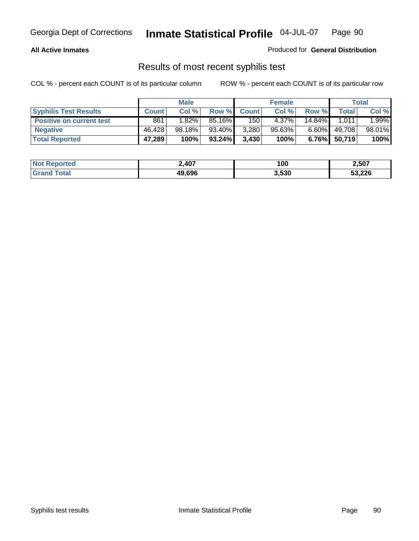#### **All Active Inmates**

#### Produced for **General Distribution**

### Results of most recent syphilis test

|                                 |              | <b>Male</b> |           |              | <b>Female</b> |           |        | Total  |
|---------------------------------|--------------|-------------|-----------|--------------|---------------|-----------|--------|--------|
| <b>Syphilis Test Results</b>    | <b>Count</b> | Col %       | Row %     | <b>Count</b> | Col %         | Row %     | Total  | Col %  |
| <b>Positive on current test</b> | 861          | 1.82%       | 85.16%    | 150          | 4.37%         | $14.84\%$ | 1.011  | 1.99%  |
| <b>Negative</b>                 | 46.428       | 98.18%      | 93.40%    | 3,280        | $95.63\%$     | $6.60\%$  | 49,708 | 98.01% |
| <b>Total Reported</b>           | 47,289       | 100%        | $93.24\%$ | 3,430        | 100%          | 6.76%     | 50,719 | 100%   |

| <b>Not Reported</b> | 2,407  | 100   | 2,507  |
|---------------------|--------|-------|--------|
| <b>Grand Total</b>  | 49.696 | 3,530 | 53,226 |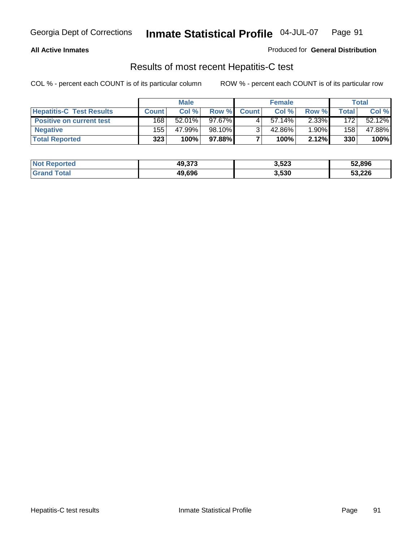### **All Active Inmates**

#### Produced for **General Distribution**

### Results of most recent Hepatitis-C test

|                                 | <b>Male</b>  |        | <b>Female</b> |              |           | <b>Total</b> |                  |        |
|---------------------------------|--------------|--------|---------------|--------------|-----------|--------------|------------------|--------|
| <b>Hepatitis-C Test Results</b> | <b>Count</b> | Col %  | Row %         | <b>Count</b> | Col %     | Row %        | Total            | Col %  |
| <b>Positive on current test</b> | 168          | 52.01% | 97.67%        |              | $57.14\%$ | $2.33\%$     | 172              | 52.12% |
| <b>Negative</b>                 | 155          | 47.99% | 98.10%        |              | 42.86%    | $1.90\%$     | 158 <sub>1</sub> | 47.88% |
| <b>Total Reported</b>           | 323          | 100%   | 97.88%        |              | 100%      | 2.12%        | 330              | 100%   |

| <b>Not Reported</b> | 49,373 | 3,523 | 52,896 |
|---------------------|--------|-------|--------|
| <b>Grand Total</b>  | 49.696 | 3,530 | 53,226 |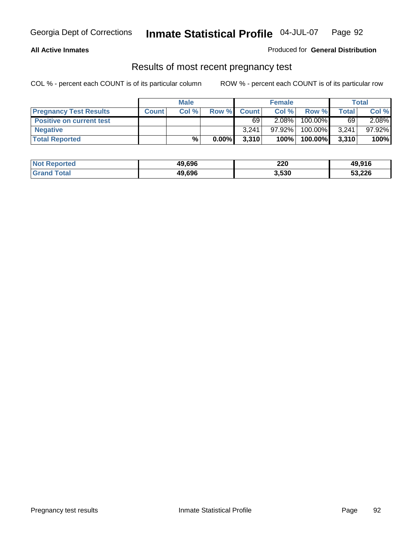### **All Active Inmates**

### Produced for **General Distribution**

### Results of most recent pregnancy test

|                                 | <b>Male</b>  |       | <b>Female</b> |              |           | Total   |       |        |
|---------------------------------|--------------|-------|---------------|--------------|-----------|---------|-------|--------|
| <b>Pregnancy Test Results</b>   | <b>Count</b> | Col % | Row %         | <b>Count</b> | Col %     | Row %   | Total | Col %  |
| <b>Positive on current test</b> |              |       |               | 69           | 2.08%     | 100.00% | 69    | 2.08%  |
| <b>Negative</b>                 |              |       |               | 3.241        | $97.92\%$ | 100.00% | 3,241 | 97.92% |
| <b>Total Reported</b>           |              | $\%$  | $0.00\%$      | 3,310        | 100%      | 100.00% | 3,310 | 100%   |

| <b>Not Reported</b> | 49,696 | 220   | 49,916 |
|---------------------|--------|-------|--------|
| <b>Grand Total</b>  | 49,696 | 3,530 | 53,226 |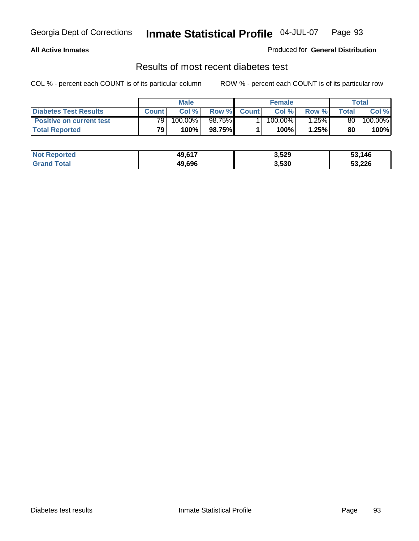### **All Active Inmates**

### Produced for **General Distribution**

### Results of most recent diabetes test

|                                 | <b>Male</b>     |         |         | <b>Female</b> |            |                 | Total |         |
|---------------------------------|-----------------|---------|---------|---------------|------------|-----------------|-------|---------|
| <b>Diabetes Test Results</b>    | <b>Count</b>    | Col %   | Row %   | <b>Count</b>  | Col %      | Row %I          | Total | Col %   |
| <b>Positive on current test</b> | 79 <sub>1</sub> | 100.00% | 98.75%I |               | $100.00\%$ | $^{\circ}$ .25% | 80    | 100.00% |
| <b>Total Reported</b>           | 79              | 100%    | 98.75%  |               | 100%       | 1.25%           | 80    | 100%    |

| <b>Not Reported</b> | 49,617 | 3,529 | 53,146<br>-55 |
|---------------------|--------|-------|---------------|
| <b>Grand Total</b>  | 49.696 | 3,530 | 53,226        |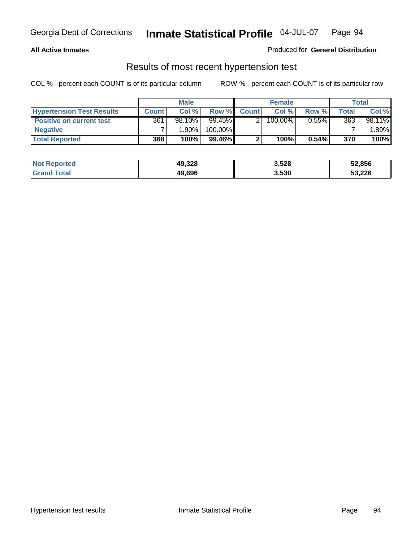### **All Active Inmates**

### Produced for **General Distribution**

### Results of most recent hypertension test

|                                  | <b>Male</b>  |        |         | <b>Female</b> |         |          | Total |        |
|----------------------------------|--------------|--------|---------|---------------|---------|----------|-------|--------|
| <b>Hypertension Test Results</b> | <b>Count</b> | Col %  | Row %   | <b>Count</b>  | Col%    | Row %    | Total | Col %  |
| <b>Positive on current test</b>  | 361          | 98.10% | 99.45%  |               | 100.00% | $0.55\%$ | 363   | 98.11% |
| <b>Negative</b>                  |              | 1.90%  | 100.00% |               |         |          |       | .89%   |
| <b>Total Reported</b>            | 368          | 100%   | 99.46%I |               | 100%    | $0.54\%$ | 370   | 100%   |

| <b>Not Reported</b> | 49,328 | 3,528 | 52,856 |
|---------------------|--------|-------|--------|
| <b>Grand Total</b>  | 49.696 | 3,530 | 53,226 |